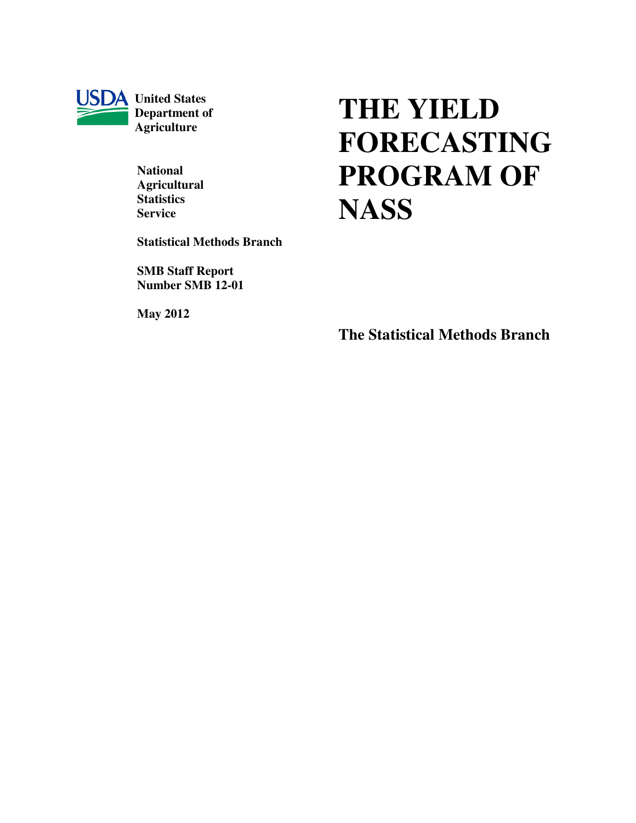

**USDA** United States  **Department of Agriculture** 

> **National Agricultural Statistics Service**

**Statistical Methods Branch** 

**SMB Staff Report Number SMB 12-01** 

**May 2012**

# **THE YIELD FORECASTING PROGRAM OF NASS**

**The Statistical Methods Branch**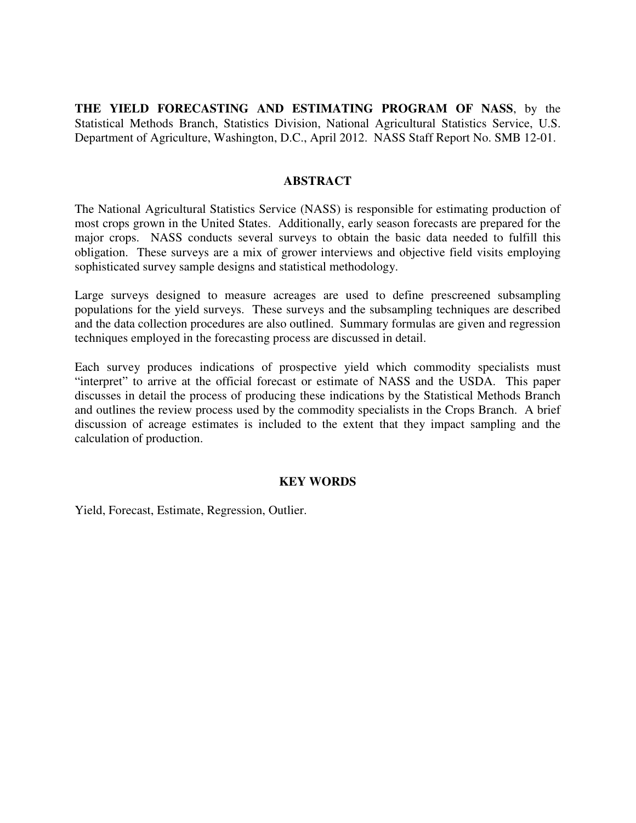**THE YIELD FORECASTING AND ESTIMATING PROGRAM OF NASS**, by the Statistical Methods Branch, Statistics Division, National Agricultural Statistics Service, U.S. Department of Agriculture, Washington, D.C., April 2012. NASS Staff Report No. SMB 12-01.

#### **ABSTRACT**

The National Agricultural Statistics Service (NASS) is responsible for estimating production of most crops grown in the United States. Additionally, early season forecasts are prepared for the major crops. NASS conducts several surveys to obtain the basic data needed to fulfill this obligation. These surveys are a mix of grower interviews and objective field visits employing sophisticated survey sample designs and statistical methodology.

Large surveys designed to measure acreages are used to define prescreened subsampling populations for the yield surveys. These surveys and the subsampling techniques are described and the data collection procedures are also outlined. Summary formulas are given and regression techniques employed in the forecasting process are discussed in detail.

Each survey produces indications of prospective yield which commodity specialists must "interpret" to arrive at the official forecast or estimate of NASS and the USDA. This paper discusses in detail the process of producing these indications by the Statistical Methods Branch and outlines the review process used by the commodity specialists in the Crops Branch. A brief discussion of acreage estimates is included to the extent that they impact sampling and the calculation of production.

#### **KEY WORDS**

Yield, Forecast, Estimate, Regression, Outlier.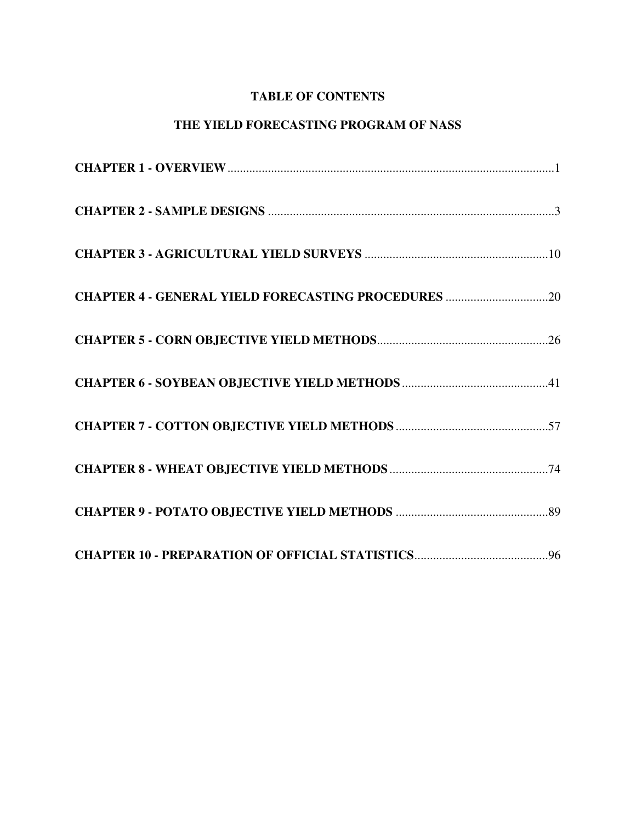# **TABLE OF CONTENTS**

# **THE YIELD FORECASTING PROGRAM OF NASS**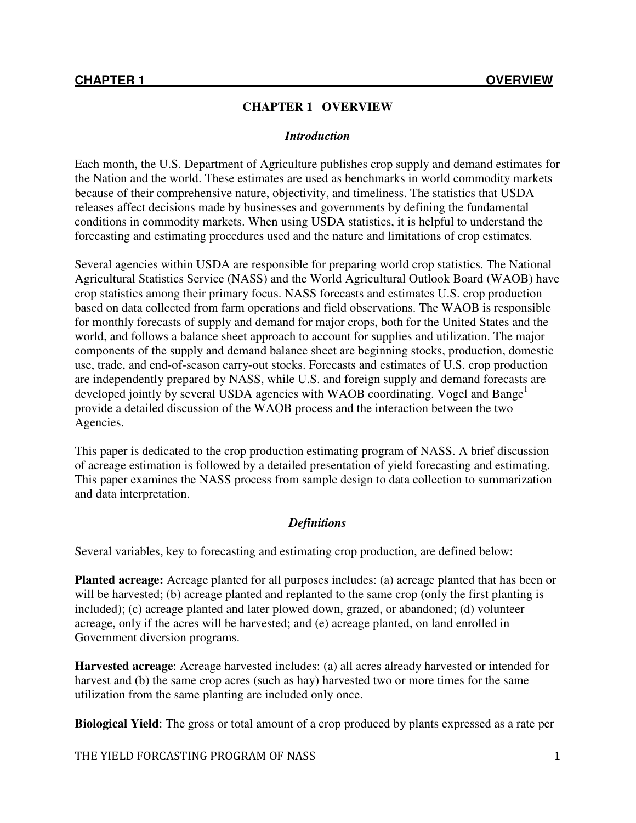## **CHAPTER 1 OVERVIEW**

#### *Introduction*

Each month, the U.S. Department of Agriculture publishes crop supply and demand estimates for the Nation and the world. These estimates are used as benchmarks in world commodity markets because of their comprehensive nature, objectivity, and timeliness. The statistics that USDA releases affect decisions made by businesses and governments by defining the fundamental conditions in commodity markets. When using USDA statistics, it is helpful to understand the forecasting and estimating procedures used and the nature and limitations of crop estimates.

Several agencies within USDA are responsible for preparing world crop statistics. The National Agricultural Statistics Service (NASS) and the World Agricultural Outlook Board (WAOB) have crop statistics among their primary focus. NASS forecasts and estimates U.S. crop production based on data collected from farm operations and field observations. The WAOB is responsible for monthly forecasts of supply and demand for major crops, both for the United States and the world, and follows a balance sheet approach to account for supplies and utilization. The major components of the supply and demand balance sheet are beginning stocks, production, domestic use, trade, and end-of-season carry-out stocks. Forecasts and estimates of U.S. crop production are independently prepared by NASS, while U.S. and foreign supply and demand forecasts are developed jointly by several USDA agencies with WAOB coordinating. Vogel and Bange<sup>1</sup> provide a detailed discussion of the WAOB process and the interaction between the two Agencies.

This paper is dedicated to the crop production estimating program of NASS. A brief discussion of acreage estimation is followed by a detailed presentation of yield forecasting and estimating. This paper examines the NASS process from sample design to data collection to summarization and data interpretation.

## *Definitions*

Several variables, key to forecasting and estimating crop production, are defined below:

**Planted acreage:** Acreage planted for all purposes includes: (a) acreage planted that has been or will be harvested; (b) acreage planted and replanted to the same crop (only the first planting is included); (c) acreage planted and later plowed down, grazed, or abandoned; (d) volunteer acreage, only if the acres will be harvested; and (e) acreage planted, on land enrolled in Government diversion programs.

**Harvested acreage**: Acreage harvested includes: (a) all acres already harvested or intended for harvest and (b) the same crop acres (such as hay) harvested two or more times for the same utilization from the same planting are included only once.

**Biological Yield**: The gross or total amount of a crop produced by plants expressed as a rate per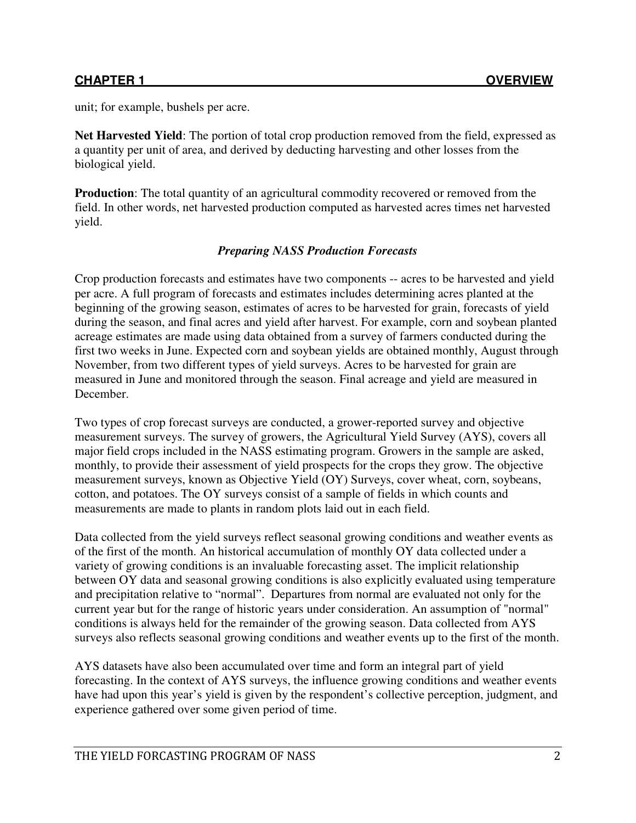unit; for example, bushels per acre.

**Net Harvested Yield**: The portion of total crop production removed from the field, expressed as a quantity per unit of area, and derived by deducting harvesting and other losses from the biological yield.

**Production**: The total quantity of an agricultural commodity recovered or removed from the field. In other words, net harvested production computed as harvested acres times net harvested yield.

## *Preparing NASS Production Forecasts*

Crop production forecasts and estimates have two components -- acres to be harvested and yield per acre. A full program of forecasts and estimates includes determining acres planted at the beginning of the growing season, estimates of acres to be harvested for grain, forecasts of yield during the season, and final acres and yield after harvest. For example, corn and soybean planted acreage estimates are made using data obtained from a survey of farmers conducted during the first two weeks in June. Expected corn and soybean yields are obtained monthly, August through November, from two different types of yield surveys. Acres to be harvested for grain are measured in June and monitored through the season. Final acreage and yield are measured in December.

Two types of crop forecast surveys are conducted, a grower-reported survey and objective measurement surveys. The survey of growers, the Agricultural Yield Survey (AYS), covers all major field crops included in the NASS estimating program. Growers in the sample are asked, monthly, to provide their assessment of yield prospects for the crops they grow. The objective measurement surveys, known as Objective Yield (OY) Surveys, cover wheat, corn, soybeans, cotton, and potatoes. The OY surveys consist of a sample of fields in which counts and measurements are made to plants in random plots laid out in each field.

Data collected from the yield surveys reflect seasonal growing conditions and weather events as of the first of the month. An historical accumulation of monthly OY data collected under a variety of growing conditions is an invaluable forecasting asset. The implicit relationship between OY data and seasonal growing conditions is also explicitly evaluated using temperature and precipitation relative to "normal". Departures from normal are evaluated not only for the current year but for the range of historic years under consideration. An assumption of "normal" conditions is always held for the remainder of the growing season. Data collected from AYS surveys also reflects seasonal growing conditions and weather events up to the first of the month.

AYS datasets have also been accumulated over time and form an integral part of yield forecasting. In the context of AYS surveys, the influence growing conditions and weather events have had upon this year's yield is given by the respondent's collective perception, judgment, and experience gathered over some given period of time.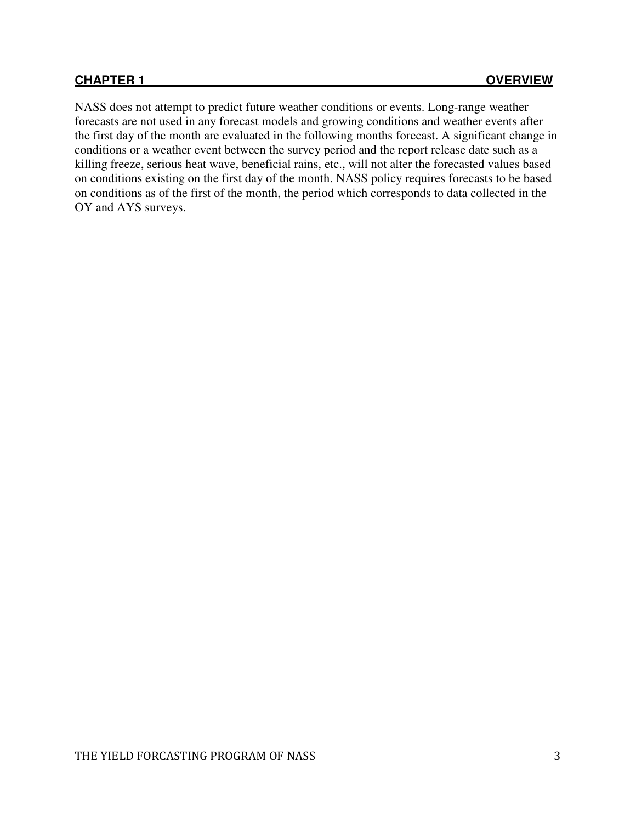NASS does not attempt to predict future weather conditions or events. Long-range weather forecasts are not used in any forecast models and growing conditions and weather events after the first day of the month are evaluated in the following months forecast. A significant change in conditions or a weather event between the survey period and the report release date such as a killing freeze, serious heat wave, beneficial rains, etc., will not alter the forecasted values based on conditions existing on the first day of the month. NASS policy requires forecasts to be based on conditions as of the first of the month, the period which corresponds to data collected in the OY and AYS surveys.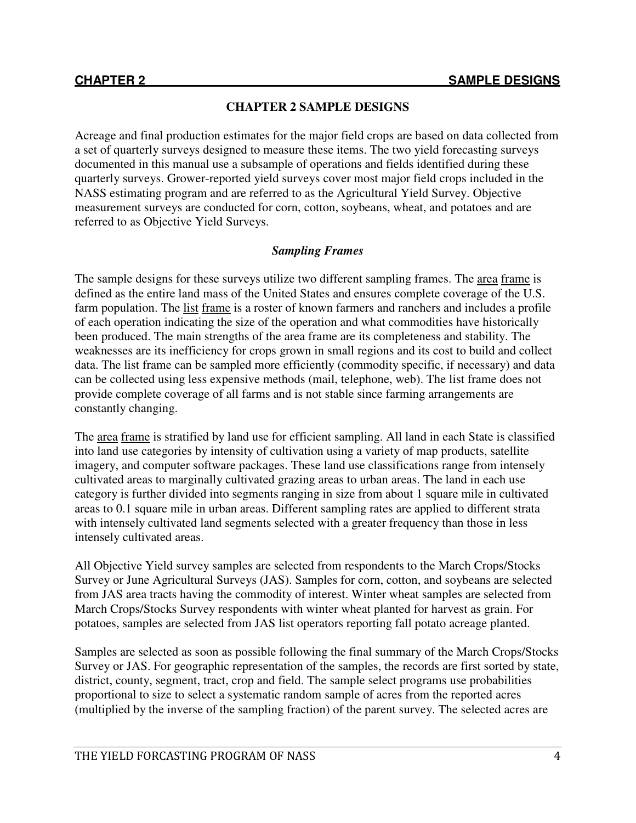# **CHAPTER 2 SAMPLE DESIGNS**

Acreage and final production estimates for the major field crops are based on data collected from a set of quarterly surveys designed to measure these items. The two yield forecasting surveys documented in this manual use a subsample of operations and fields identified during these quarterly surveys. Grower-reported yield surveys cover most major field crops included in the NASS estimating program and are referred to as the Agricultural Yield Survey. Objective measurement surveys are conducted for corn, cotton, soybeans, wheat, and potatoes and are referred to as Objective Yield Surveys.

# *Sampling Frames*

The sample designs for these surveys utilize two different sampling frames. The area frame is defined as the entire land mass of the United States and ensures complete coverage of the U.S. farm population. The <u>list frame</u> is a roster of known farmers and ranchers and includes a profile of each operation indicating the size of the operation and what commodities have historically been produced. The main strengths of the area frame are its completeness and stability. The weaknesses are its inefficiency for crops grown in small regions and its cost to build and collect data. The list frame can be sampled more efficiently (commodity specific, if necessary) and data can be collected using less expensive methods (mail, telephone, web). The list frame does not provide complete coverage of all farms and is not stable since farming arrangements are constantly changing.

The area frame is stratified by land use for efficient sampling. All land in each State is classified into land use categories by intensity of cultivation using a variety of map products, satellite imagery, and computer software packages. These land use classifications range from intensely cultivated areas to marginally cultivated grazing areas to urban areas. The land in each use category is further divided into segments ranging in size from about 1 square mile in cultivated areas to 0.1 square mile in urban areas. Different sampling rates are applied to different strata with intensely cultivated land segments selected with a greater frequency than those in less intensely cultivated areas.

All Objective Yield survey samples are selected from respondents to the March Crops/Stocks Survey or June Agricultural Surveys (JAS). Samples for corn, cotton, and soybeans are selected from JAS area tracts having the commodity of interest. Winter wheat samples are selected from March Crops/Stocks Survey respondents with winter wheat planted for harvest as grain. For potatoes, samples are selected from JAS list operators reporting fall potato acreage planted.

Samples are selected as soon as possible following the final summary of the March Crops/Stocks Survey or JAS. For geographic representation of the samples, the records are first sorted by state, district, county, segment, tract, crop and field. The sample select programs use probabilities proportional to size to select a systematic random sample of acres from the reported acres (multiplied by the inverse of the sampling fraction) of the parent survey. The selected acres are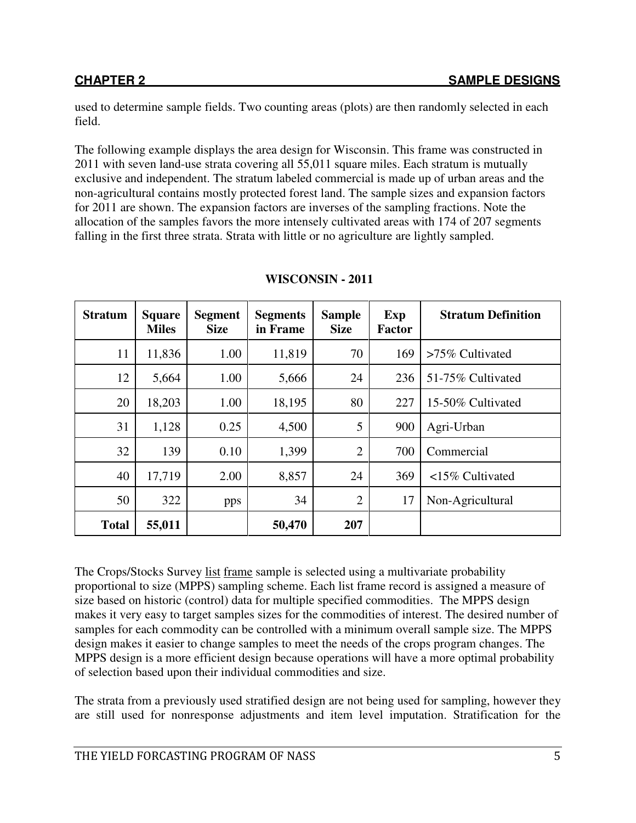used to determine sample fields. Two counting areas (plots) are then randomly selected in each field.

The following example displays the area design for Wisconsin. This frame was constructed in 2011 with seven land-use strata covering all 55,011 square miles. Each stratum is mutually exclusive and independent. The stratum labeled commercial is made up of urban areas and the non-agricultural contains mostly protected forest land. The sample sizes and expansion factors for 2011 are shown. The expansion factors are inverses of the sampling fractions. Note the allocation of the samples favors the more intensely cultivated areas with 174 of 207 segments falling in the first three strata. Strata with little or no agriculture are lightly sampled.

| <b>Stratum</b> | <b>Square</b><br><b>Miles</b> | <b>Segment</b><br><b>Size</b> | <b>Segments</b><br>in Frame | <b>Sample</b><br><b>Size</b> | Exp<br><b>Factor</b> | <b>Stratum Definition</b> |
|----------------|-------------------------------|-------------------------------|-----------------------------|------------------------------|----------------------|---------------------------|
| 11             | 11,836                        | 1.00                          | 11,819                      | 70                           | 169                  | $>75\%$ Cultivated        |
| 12             | 5,664                         | 1.00                          | 5,666                       | 24                           | 236                  | 51-75% Cultivated         |
| 20             | 18,203                        | 1.00                          | 18,195                      | 80                           | 227                  | 15-50% Cultivated         |
| 31             | 1,128                         | 0.25                          | 4,500                       | 5                            | 900                  | Agri-Urban                |
| 32             | 139                           | 0.10                          | 1,399                       | $\overline{2}$               | 700                  | Commercial                |
| 40             | 17,719                        | 2.00                          | 8,857                       | 24                           | 369                  | $15\%$ Cultivated         |
| 50             | 322                           | pps                           | 34                          | $\overline{2}$               | 17                   | Non-Agricultural          |
| <b>Total</b>   | 55,011                        |                               | 50,470                      | 207                          |                      |                           |

#### **WISCONSIN - 2011**

The Crops/Stocks Survey list frame sample is selected using a multivariate probability proportional to size (MPPS) sampling scheme. Each list frame record is assigned a measure of size based on historic (control) data for multiple specified commodities. The MPPS design makes it very easy to target samples sizes for the commodities of interest. The desired number of samples for each commodity can be controlled with a minimum overall sample size. The MPPS design makes it easier to change samples to meet the needs of the crops program changes. The MPPS design is a more efficient design because operations will have a more optimal probability of selection based upon their individual commodities and size.

The strata from a previously used stratified design are not being used for sampling, however they are still used for nonresponse adjustments and item level imputation. Stratification for the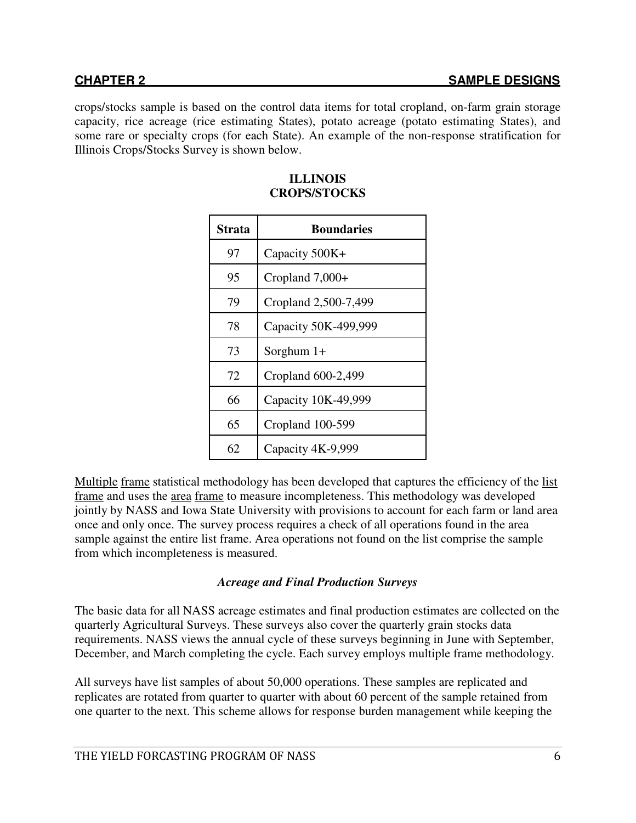crops/stocks sample is based on the control data items for total cropland, on-farm grain storage capacity, rice acreage (rice estimating States), potato acreage (potato estimating States), and some rare or specialty crops (for each State). An example of the non-response stratification for Illinois Crops/Stocks Survey is shown below.

| Strata | <b>Boundaries</b>    |
|--------|----------------------|
| 97     | Capacity 500K+       |
| 95     | Cropland $7,000+$    |
| 79     | Cropland 2,500-7,499 |
| 78     | Capacity 50K-499,999 |
| 73     | Sorghum $1+$         |
| 72     | Cropland 600-2,499   |
| 66     | Capacity 10K-49,999  |
| 65     | Cropland 100-599     |
| 62     | Capacity 4K-9,999    |

#### **ILLINOIS CROPS/STOCKS**

Multiple frame statistical methodology has been developed that captures the efficiency of the list frame and uses the area frame to measure incompleteness. This methodology was developed jointly by NASS and Iowa State University with provisions to account for each farm or land area once and only once. The survey process requires a check of all operations found in the area sample against the entire list frame. Area operations not found on the list comprise the sample from which incompleteness is measured.

## *Acreage and Final Production Surveys*

The basic data for all NASS acreage estimates and final production estimates are collected on the quarterly Agricultural Surveys. These surveys also cover the quarterly grain stocks data requirements. NASS views the annual cycle of these surveys beginning in June with September, December, and March completing the cycle. Each survey employs multiple frame methodology.

All surveys have list samples of about 50,000 operations. These samples are replicated and replicates are rotated from quarter to quarter with about 60 percent of the sample retained from one quarter to the next. This scheme allows for response burden management while keeping the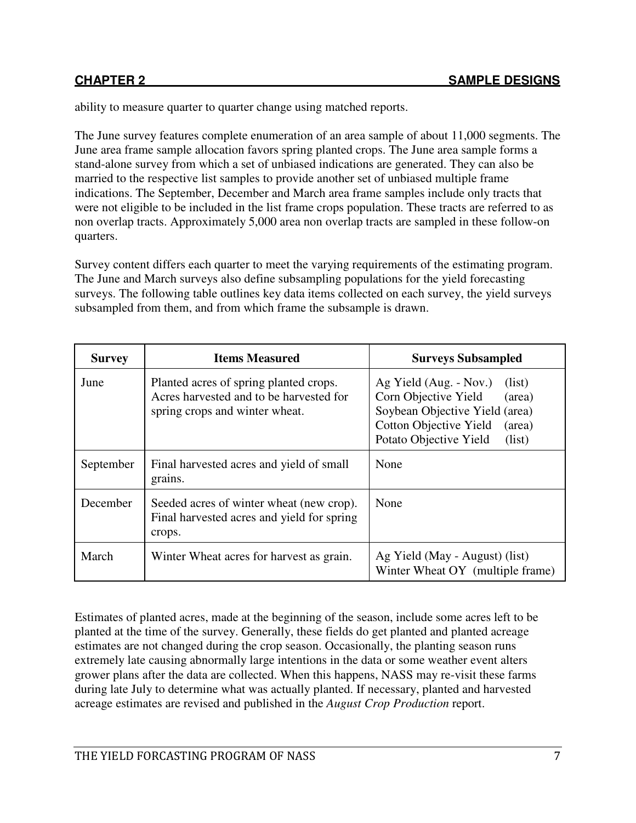ability to measure quarter to quarter change using matched reports.

The June survey features complete enumeration of an area sample of about 11,000 segments. The June area frame sample allocation favors spring planted crops. The June area sample forms a stand-alone survey from which a set of unbiased indications are generated. They can also be married to the respective list samples to provide another set of unbiased multiple frame indications. The September, December and March area frame samples include only tracts that were not eligible to be included in the list frame crops population. These tracts are referred to as non overlap tracts. Approximately 5,000 area non overlap tracts are sampled in these follow-on quarters.

Survey content differs each quarter to meet the varying requirements of the estimating program. The June and March surveys also define subsampling populations for the yield forecasting surveys. The following table outlines key data items collected on each survey, the yield surveys subsampled from them, and from which frame the subsample is drawn.

| <b>Survey</b> | <b>Items Measured</b>                                                                                               | <b>Surveys Subsampled</b>                                                                                                                                                           |
|---------------|---------------------------------------------------------------------------------------------------------------------|-------------------------------------------------------------------------------------------------------------------------------------------------------------------------------------|
| June          | Planted acres of spring planted crops.<br>Acres harvested and to be harvested for<br>spring crops and winter wheat. | Ag Yield (Aug. - Nov.)<br>(iist)<br>Corn Objective Yield<br>(area)<br>Soybean Objective Yield (area)<br><b>Cotton Objective Yield</b><br>(area)<br>Potato Objective Yield<br>(list) |
| September     | Final harvested acres and yield of small<br>grains.                                                                 | None                                                                                                                                                                                |
| December      | Seeded acres of winter wheat (new crop).<br>Final harvested acres and yield for spring<br>crops.                    | None                                                                                                                                                                                |
| March         | Winter Wheat acres for harvest as grain.                                                                            | Ag Yield (May - August) (list)<br>Winter Wheat OY (multiple frame)                                                                                                                  |

Estimates of planted acres, made at the beginning of the season, include some acres left to be planted at the time of the survey. Generally, these fields do get planted and planted acreage estimates are not changed during the crop season. Occasionally, the planting season runs extremely late causing abnormally large intentions in the data or some weather event alters grower plans after the data are collected. When this happens, NASS may re-visit these farms during late July to determine what was actually planted. If necessary, planted and harvested acreage estimates are revised and published in the *August Crop Production* report.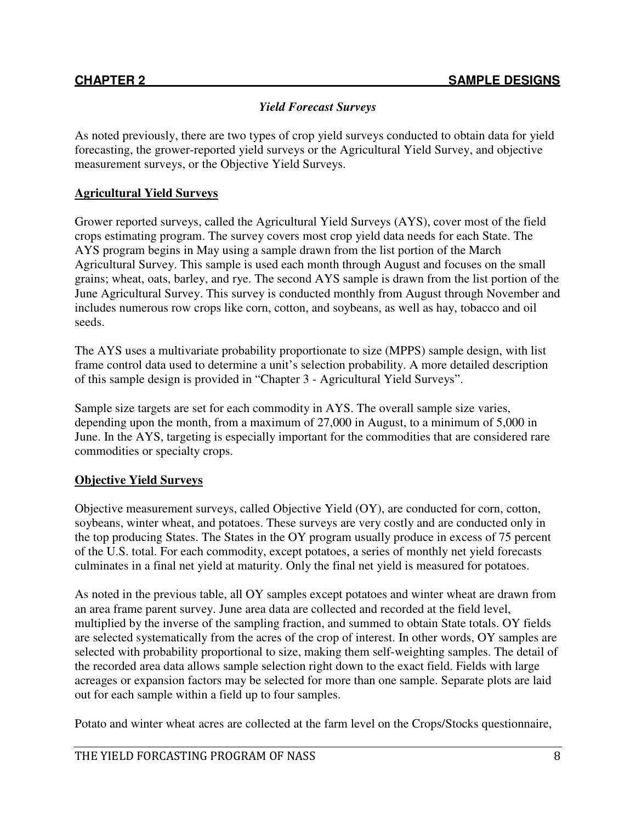# *Yield Forecast Surveys*

As noted previously, there are two types of crop yield surveys conducted to obtain data for yield forecasting, the grower-reported yield surveys or the Agricultural Yield Survey, and objective measurement surveys, or the Objective Yield Surveys.

# **Agricultural Yield Surveys**

Grower reported surveys, called the Agricultural Yield Surveys (AYS), cover most of the field crops estimating program. The survey covers most crop yield data needs for each State. The AYS program begins in May using a sample drawn from the list portion of the March Agricultural Survey. This sample is used each month through August and focuses on the small grains; wheat, oats, barley, and rye. The second AYS sample is drawn from the list portion of the June Agricultural Survey. This survey is conducted monthly from August through November and includes numerous row crops like corn, cotton, and soybeans, as well as hay, tobacco and oil seeds.

The AYS uses a multivariate probability proportionate to size (MPPS) sample design, with list frame control data used to determine a unit's selection probability. A more detailed description of this sample design is provided in "Chapter 3 - Agricultural Yield Surveys".

Sample size targets are set for each commodity in AYS. The overall sample size varies, depending upon the month, from a maximum of 27,000 in August, to a minimum of 5,000 in June. In the AYS, targeting is especially important for the commodities that are considered rare commodities or specialty crops.

## **Objective Yield Surveys**

Objective measurement surveys, called Objective Yield (OY), are conducted for corn, cotton, soybeans, winter wheat, and potatoes. These surveys are very costly and are conducted only in the top producing States. The States in the OY program usually produce in excess of 75 percent of the U.S. total. For each commodity, except potatoes, a series of monthly net yield forecasts culminates in a final net yield at maturity. Only the final net yield is measured for potatoes.

As noted in the previous table, all OY samples except potatoes and winter wheat are drawn from an area frame parent survey. June area data are collected and recorded at the field level, multiplied by the inverse of the sampling fraction, and summed to obtain State totals. OY fields are selected systematically from the acres of the crop of interest. In other words, OY samples are selected with probability proportional to size, making them self-weighting samples. The detail of the recorded area data allows sample selection right down to the exact field. Fields with large acreages or expansion factors may be selected for more than one sample. Separate plots are laid out for each sample within a field up to four samples.

Potato and winter wheat acres are collected at the farm level on the Crops/Stocks questionnaire,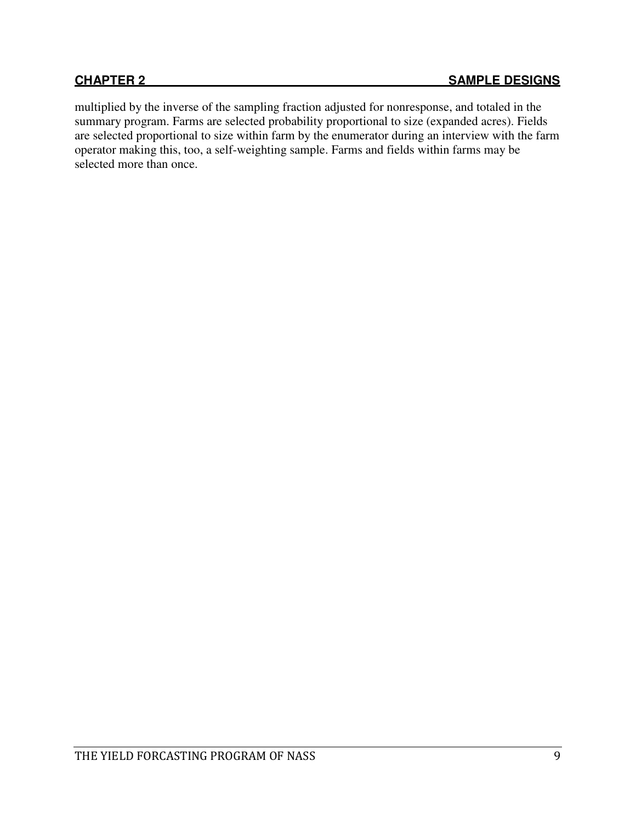multiplied by the inverse of the sampling fraction adjusted for nonresponse, and totaled in the summary program. Farms are selected probability proportional to size (expanded acres). Fields are selected proportional to size within farm by the enumerator during an interview with the farm operator making this, too, a self-weighting sample. Farms and fields within farms may be selected more than once.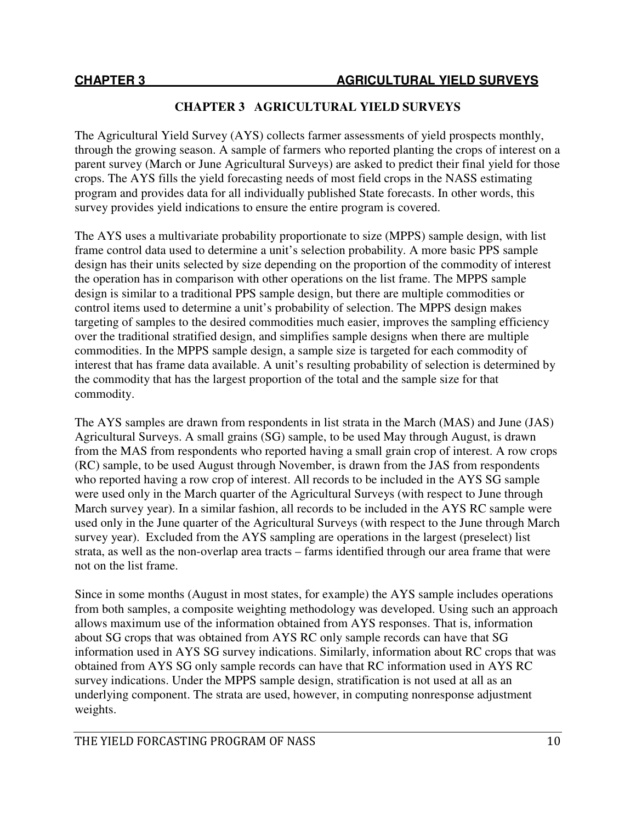## **CHAPTER 3 AGRICULTURAL YIELD SURVEYS**

The Agricultural Yield Survey (AYS) collects farmer assessments of yield prospects monthly, through the growing season. A sample of farmers who reported planting the crops of interest on a parent survey (March or June Agricultural Surveys) are asked to predict their final yield for those crops. The AYS fills the yield forecasting needs of most field crops in the NASS estimating program and provides data for all individually published State forecasts. In other words, this survey provides yield indications to ensure the entire program is covered.

The AYS uses a multivariate probability proportionate to size (MPPS) sample design, with list frame control data used to determine a unit's selection probability. A more basic PPS sample design has their units selected by size depending on the proportion of the commodity of interest the operation has in comparison with other operations on the list frame. The MPPS sample design is similar to a traditional PPS sample design, but there are multiple commodities or control items used to determine a unit's probability of selection. The MPPS design makes targeting of samples to the desired commodities much easier, improves the sampling efficiency over the traditional stratified design, and simplifies sample designs when there are multiple commodities. In the MPPS sample design, a sample size is targeted for each commodity of interest that has frame data available. A unit's resulting probability of selection is determined by the commodity that has the largest proportion of the total and the sample size for that commodity.

The AYS samples are drawn from respondents in list strata in the March (MAS) and June (JAS) Agricultural Surveys. A small grains (SG) sample, to be used May through August, is drawn from the MAS from respondents who reported having a small grain crop of interest. A row crops (RC) sample, to be used August through November, is drawn from the JAS from respondents who reported having a row crop of interest. All records to be included in the AYS SG sample were used only in the March quarter of the Agricultural Surveys (with respect to June through March survey year). In a similar fashion, all records to be included in the AYS RC sample were used only in the June quarter of the Agricultural Surveys (with respect to the June through March survey year). Excluded from the AYS sampling are operations in the largest (preselect) list strata, as well as the non-overlap area tracts – farms identified through our area frame that were not on the list frame.

Since in some months (August in most states, for example) the AYS sample includes operations from both samples, a composite weighting methodology was developed. Using such an approach allows maximum use of the information obtained from AYS responses. That is, information about SG crops that was obtained from AYS RC only sample records can have that SG information used in AYS SG survey indications. Similarly, information about RC crops that was obtained from AYS SG only sample records can have that RC information used in AYS RC survey indications. Under the MPPS sample design, stratification is not used at all as an underlying component. The strata are used, however, in computing nonresponse adjustment weights.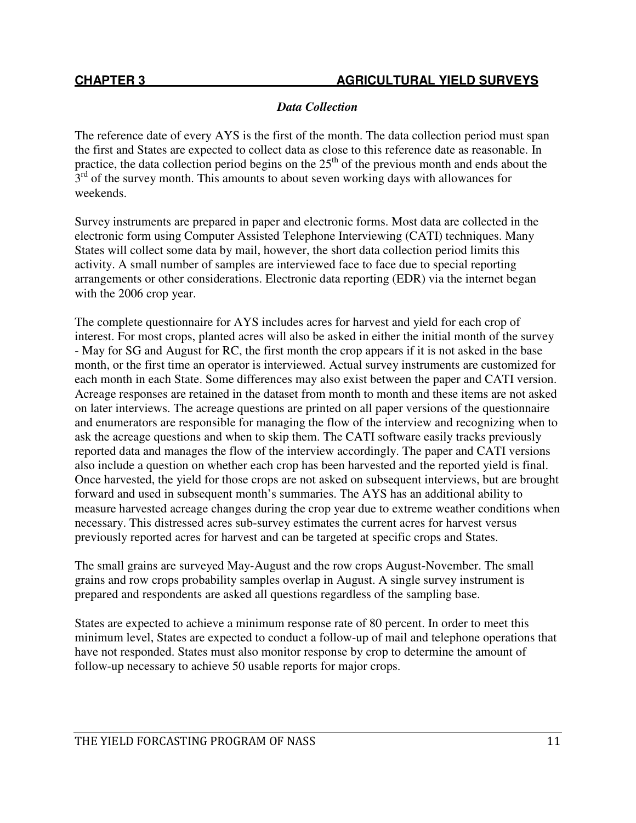# *Data Collection*

The reference date of every AYS is the first of the month. The data collection period must span the first and States are expected to collect data as close to this reference date as reasonable. In practice, the data collection period begins on the  $25<sup>th</sup>$  of the previous month and ends about the  $3<sup>rd</sup>$  of the survey month. This amounts to about seven working days with allowances for weekends.

Survey instruments are prepared in paper and electronic forms. Most data are collected in the electronic form using Computer Assisted Telephone Interviewing (CATI) techniques. Many States will collect some data by mail, however, the short data collection period limits this activity. A small number of samples are interviewed face to face due to special reporting arrangements or other considerations. Electronic data reporting (EDR) via the internet began with the 2006 crop year.

The complete questionnaire for AYS includes acres for harvest and yield for each crop of interest. For most crops, planted acres will also be asked in either the initial month of the survey - May for SG and August for RC, the first month the crop appears if it is not asked in the base month, or the first time an operator is interviewed. Actual survey instruments are customized for each month in each State. Some differences may also exist between the paper and CATI version. Acreage responses are retained in the dataset from month to month and these items are not asked on later interviews. The acreage questions are printed on all paper versions of the questionnaire and enumerators are responsible for managing the flow of the interview and recognizing when to ask the acreage questions and when to skip them. The CATI software easily tracks previously reported data and manages the flow of the interview accordingly. The paper and CATI versions also include a question on whether each crop has been harvested and the reported yield is final. Once harvested, the yield for those crops are not asked on subsequent interviews, but are brought forward and used in subsequent month's summaries. The AYS has an additional ability to measure harvested acreage changes during the crop year due to extreme weather conditions when necessary. This distressed acres sub-survey estimates the current acres for harvest versus previously reported acres for harvest and can be targeted at specific crops and States.

The small grains are surveyed May-August and the row crops August-November. The small grains and row crops probability samples overlap in August. A single survey instrument is prepared and respondents are asked all questions regardless of the sampling base.

States are expected to achieve a minimum response rate of 80 percent. In order to meet this minimum level, States are expected to conduct a follow-up of mail and telephone operations that have not responded. States must also monitor response by crop to determine the amount of follow-up necessary to achieve 50 usable reports for major crops.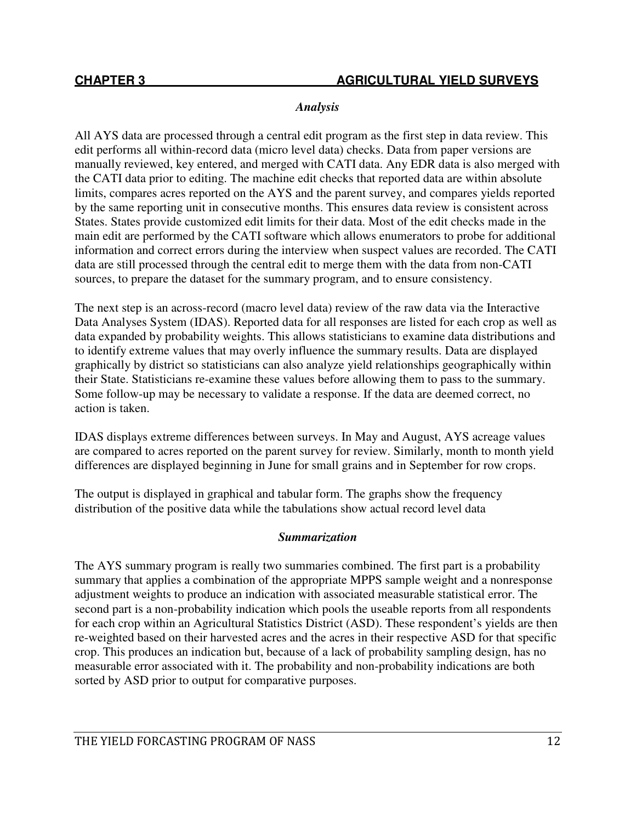# *Analysis*

All AYS data are processed through a central edit program as the first step in data review. This edit performs all within-record data (micro level data) checks. Data from paper versions are manually reviewed, key entered, and merged with CATI data. Any EDR data is also merged with the CATI data prior to editing. The machine edit checks that reported data are within absolute limits, compares acres reported on the AYS and the parent survey, and compares yields reported by the same reporting unit in consecutive months. This ensures data review is consistent across States. States provide customized edit limits for their data. Most of the edit checks made in the main edit are performed by the CATI software which allows enumerators to probe for additional information and correct errors during the interview when suspect values are recorded. The CATI data are still processed through the central edit to merge them with the data from non-CATI sources, to prepare the dataset for the summary program, and to ensure consistency.

The next step is an across-record (macro level data) review of the raw data via the Interactive Data Analyses System (IDAS). Reported data for all responses are listed for each crop as well as data expanded by probability weights. This allows statisticians to examine data distributions and to identify extreme values that may overly influence the summary results. Data are displayed graphically by district so statisticians can also analyze yield relationships geographically within their State. Statisticians re-examine these values before allowing them to pass to the summary. Some follow-up may be necessary to validate a response. If the data are deemed correct, no action is taken.

IDAS displays extreme differences between surveys. In May and August, AYS acreage values are compared to acres reported on the parent survey for review. Similarly, month to month yield differences are displayed beginning in June for small grains and in September for row crops.

The output is displayed in graphical and tabular form. The graphs show the frequency distribution of the positive data while the tabulations show actual record level data

## *Summarization*

The AYS summary program is really two summaries combined. The first part is a probability summary that applies a combination of the appropriate MPPS sample weight and a nonresponse adjustment weights to produce an indication with associated measurable statistical error. The second part is a non-probability indication which pools the useable reports from all respondents for each crop within an Agricultural Statistics District (ASD). These respondent's yields are then re-weighted based on their harvested acres and the acres in their respective ASD for that specific crop. This produces an indication but, because of a lack of probability sampling design, has no measurable error associated with it. The probability and non-probability indications are both sorted by ASD prior to output for comparative purposes.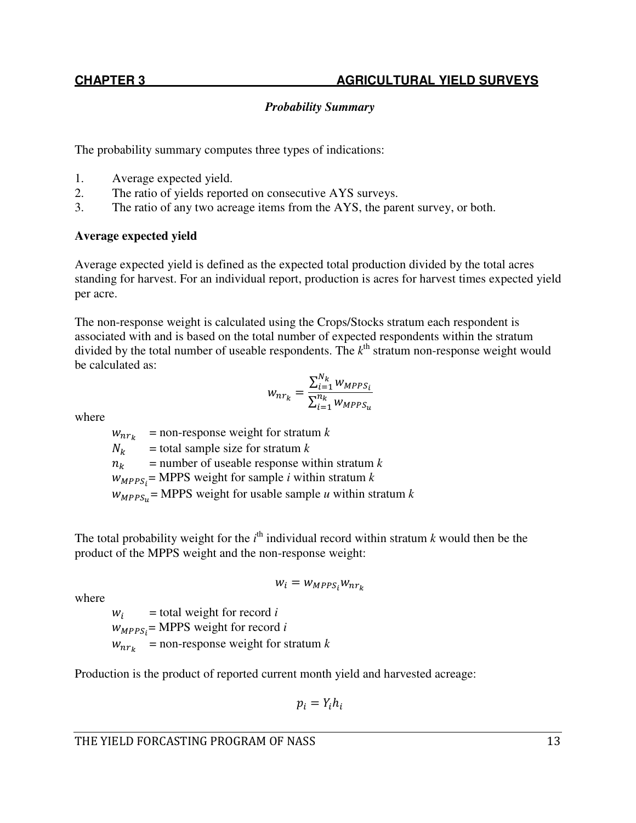# *Probability Summary*

The probability summary computes three types of indications:

- 1. Average expected yield.
- 2. The ratio of yields reported on consecutive AYS surveys.
- 3. The ratio of any two acreage items from the AYS, the parent survey, or both.

## **Average expected yield**

Average expected yield is defined as the expected total production divided by the total acres standing for harvest. For an individual report, production is acres for harvest times expected yield per acre.

The non-response weight is calculated using the Crops/Stocks stratum each respondent is associated with and is based on the total number of expected respondents within the stratum divided by the total number of useable respondents. The  $k<sup>th</sup>$  stratum non-response weight would be calculated as:

$$
w_{nr_k} = \frac{\sum_{i=1}^{N_k} w_{MPPS_i}}{\sum_{i=1}^{n_k} w_{MPPS_u}}
$$

where

 $w_{nr_k}$  = non-response weight for stratum *k*  $N_k$  = total sample size for stratum *k*<br> $n_k$  = number of useable response wi  $=$  number of useable response within stratum  $k$  = MPPS weight for sample *i* within stratum *k*  $w_{MPPS_u}$  = MPPS weight for usable sample *u* within stratum *k* 

The total probability weight for the  $i<sup>th</sup>$  individual record within stratum  $k$  would then be the product of the MPPS weight and the non-response weight:

$$
w_i = w_{MPPS_i} w_{nr_k}
$$

where

 $W_i$  = total weight for record *i*  $w_{MPPS_i}$ = MPPS weight for record *i*  $w_{nr_k}$  = non-response weight for stratum *k* 

Production is the product of reported current month yield and harvested acreage:

$$
p_i = Y_i h_i
$$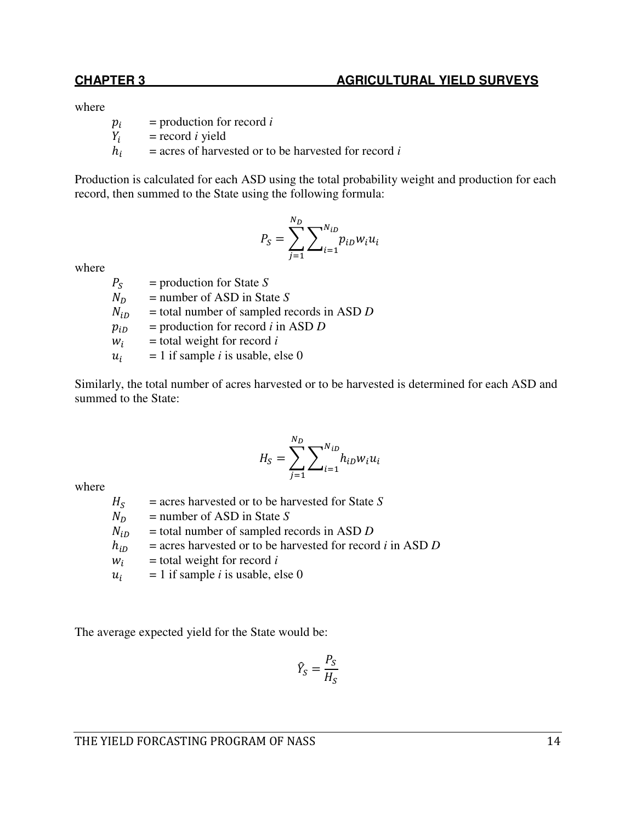#### **CHAPTER 3** AGRICULTURAL YIELD SURVEYS

where

 $p_i$ = production for record *i*

 $Y_i$ = record *i* yield

 $h_i$ = acres of harvested or to be harvested for record *i* 

Production is calculated for each ASD using the total probability weight and production for each record, then summed to the State using the following formula:

$$
P_{S} = \sum_{j=1}^{N_{D}} \sum_{i=1}^{N_{iD}} p_{iD} w_{i} u_{i}
$$

where

 $P_S$ <br> $N_D$  = production for State *S*   $N_D$  = number of ASD in State *S*<br> $N_{iD}$  = total number of sampled re  $N_{iD}$  = total number of sampled records in ASD *D*<br> $p_{iD}$  = production for record *i* in ASD *D*  = production for record *i* in ASD *D*   $W_i$  = total weight for record *i*  $u_i$  $= 1$  if sample *i* is usable, else 0

Similarly, the total number of acres harvested or to be harvested is determined for each ASD and summed to the State:

$$
H_S = \sum_{j=1}^{N_D} \sum_{i=1}^{N_{iD}} h_{iD} w_i u_i
$$

where

 $\frac{H_S}{N_D}$  = acres harvested or to be harvested for State *S*   $N_D$  = number of ASD in State *S*<br> $N_{iD}$  = total number of sampled re  $N_{iD}$  = total number of sampled records in ASD *D*<br> $h_{iD}$  = acres harvested or to be harvested for record  = acres harvested or to be harvested for record *i* in ASD *D*  $W_i$  = total weight for record *i*  $u_i$  $= 1$  if sample *i* is usable, else 0

The average expected yield for the State would be:

$$
\widehat{Y}_S = \frac{P_S}{H_S}
$$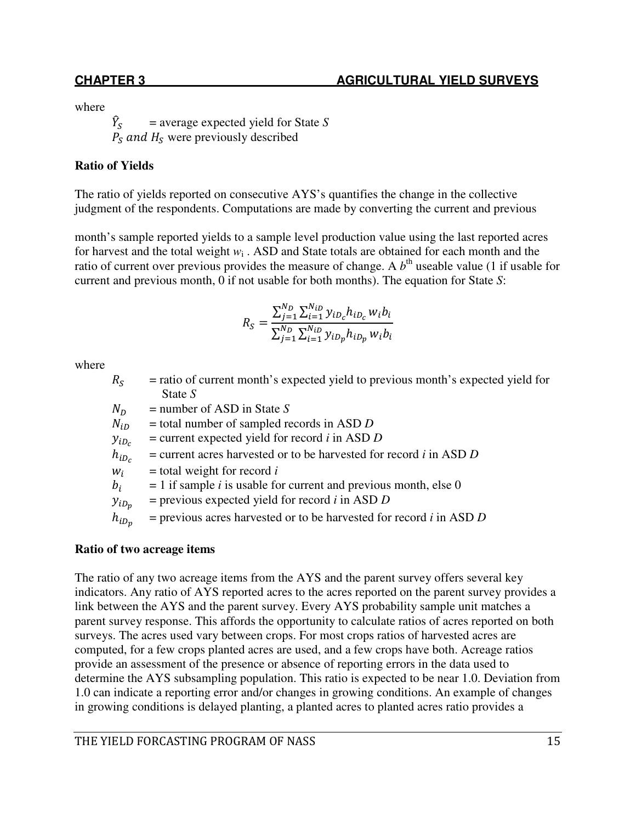where

 $\hat{Y}_{c}$  $\boldsymbol{S}$  = average expected yield for State *S*  $P_S$  and  $H_S$  were previously described

# **Ratio of Yields**

The ratio of yields reported on consecutive AYS's quantifies the change in the collective judgment of the respondents. Computations are made by converting the current and previous

month's sample reported yields to a sample level production value using the last reported acres for harvest and the total weight *w*<sup>i</sup> . ASD and State totals are obtained for each month and the ratio of current over previous provides the measure of change. A  $b<sup>th</sup>$  useable value (1 if usable for current and previous month, 0 if not usable for both months). The equation for State *S*:

$$
R_S = \frac{\sum_{j=1}^{N_D} \sum_{i=1}^{N_{iD}} y_{i D_c} h_{i D_c} w_i b_i}{\sum_{j=1}^{N_D} \sum_{i=1}^{N_{iD}} y_{i D_p} h_{i D_p} w_i b_i}
$$

where

| $R_{\rm S}$ | = ratio of current month's expected yield to previous month's expected yield for    |
|-------------|-------------------------------------------------------------------------------------|
|             | State $S$                                                                           |
| $N_D$       | $=$ number of ASD in State S                                                        |
| $N_{iD}$    | $=$ total number of sampled records in ASD D                                        |
| $y_{iD_c}$  | $=$ current expected yield for record <i>i</i> in ASD <i>D</i>                      |
| $h_{iD_c}$  | $=$ current acres harvested or to be harvested for record <i>i</i> in ASD D         |
| $W_i$       | $=$ total weight for record i                                                       |
| $b_i$       | $= 1$ if sample <i>i</i> is usable for current and previous month, else 0           |
| $y_{iD_p}$  | $=$ previous expected yield for record <i>i</i> in ASD <i>D</i>                     |
| $h_{iD_p}$  | $=$ previous acres harvested or to be harvested for record <i>i</i> in ASD <i>D</i> |
|             |                                                                                     |

## **Ratio of two acreage items**

The ratio of any two acreage items from the AYS and the parent survey offers several key indicators. Any ratio of AYS reported acres to the acres reported on the parent survey provides a link between the AYS and the parent survey. Every AYS probability sample unit matches a parent survey response. This affords the opportunity to calculate ratios of acres reported on both surveys. The acres used vary between crops. For most crops ratios of harvested acres are computed, for a few crops planted acres are used, and a few crops have both. Acreage ratios provide an assessment of the presence or absence of reporting errors in the data used to determine the AYS subsampling population. This ratio is expected to be near 1.0. Deviation from 1.0 can indicate a reporting error and/or changes in growing conditions. An example of changes in growing conditions is delayed planting, a planted acres to planted acres ratio provides a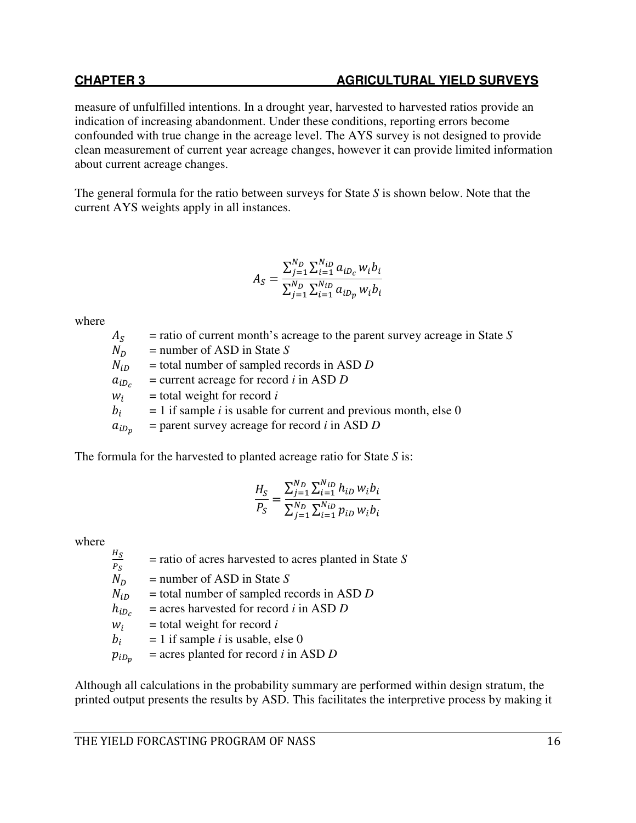# **CHAPTER 3** AGRICULTURAL YIELD SURVEYS

measure of unfulfilled intentions. In a drought year, harvested to harvested ratios provide an indication of increasing abandonment. Under these conditions, reporting errors become confounded with true change in the acreage level. The AYS survey is not designed to provide clean measurement of current year acreage changes, however it can provide limited information about current acreage changes.

The general formula for the ratio between surveys for State *S* is shown below. Note that the current AYS weights apply in all instances.

$$
A_S = \frac{\sum_{j=1}^{N_D} \sum_{i=1}^{N_{iD}} a_{i D_c} w_i b_i}{\sum_{j=1}^{N_D} \sum_{i=1}^{N_{iD}} a_{i D_p} w_i b_i}
$$

where

= ratio of current month's acreage to the parent survey acreage in State *S*

 $\frac{A_S}{N_D}$ 

 $N_D$  = number of ASD in State *S*<br> $N_{iD}$  = total number of sampled re  = total number of sampled records in ASD *D* 

 $a_{iD_c}$ = current acreage for record *i* in ASD *D*

 $W_i$ = total weight for record *i*

 $b_i$ = 1 if sample *i* is usable for current and previous month, else 0

 $a_{iD_n}$ = parent survey acreage for record *i* in ASD *D*

The formula for the harvested to planted acreage ratio for State *S* is:

$$
\frac{H_S}{P_S} = \frac{\sum_{j=1}^{N_D} \sum_{i=1}^{N_{iD}} h_{iD} w_i b_i}{\sum_{j=1}^{N_D} \sum_{i=1}^{N_{iD}} p_{iD} w_i b_i}
$$

where

 $rac{H_S}{\sqrt{2}}$ = ratio of acres harvested to acres planted in State *S*

 $\frac{P_S}{N_D}$ 

 $N_D$  = number of ASD in State *S*<br> $N_{iD}$  = total number of sampled re  = total number of sampled records in ASD *D* 

 $h_{iD_c}$ = acres harvested for record *i* in ASD *D*

 $W_i$ = total weight for record *i*

 $b_i$  $= 1$  if sample *i* is usable, else 0

 $p_{i_{D_n}}$ = acres planted for record *i* in ASD *D*

Although all calculations in the probability summary are performed within design stratum, the printed output presents the results by ASD. This facilitates the interpretive process by making it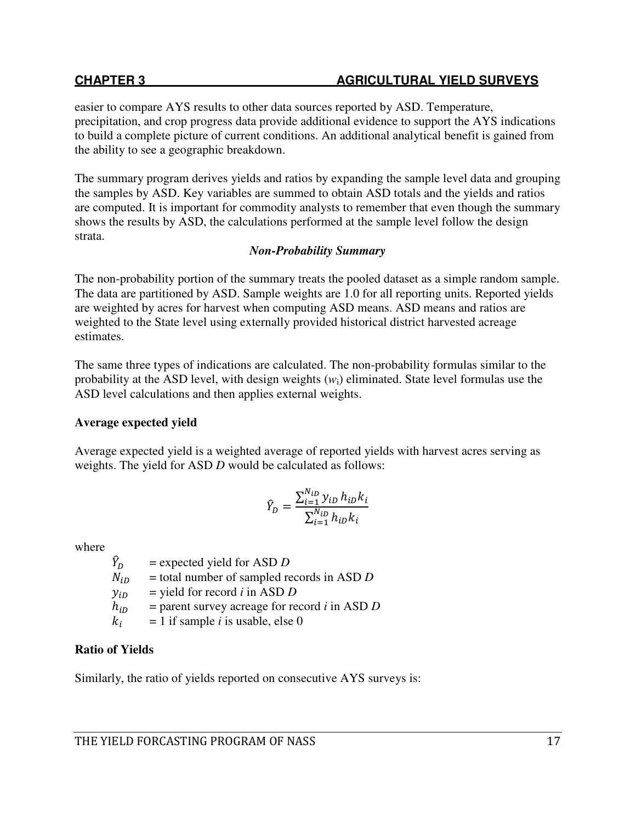easier to compare AYS results to other data sources reported by ASD. Temperature, precipitation, and crop progress data provide additional evidence to support the AYS indications to build a complete picture of current conditions. An additional analytical benefit is gained from the ability to see a geographic breakdown.

The summary program derives yields and ratios by expanding the sample level data and grouping the samples by ASD. Key variables are summed to obtain ASD totals and the yields and ratios are computed. It is important for commodity analysts to remember that even though the summary shows the results by ASD, the calculations performed at the sample level follow the design strata.

# *Non-Probability Summary*

The non-probability portion of the summary treats the pooled dataset as a simple random sample. The data are partitioned by ASD. Sample weights are 1.0 for all reporting units. Reported yields are weighted by acres for harvest when computing ASD means. ASD means and ratios are weighted to the State level using externally provided historical district harvested acreage estimates.

The same three types of indications are calculated. The non-probability formulas similar to the probability at the ASD level, with design weights (*w*i) eliminated. State level formulas use the ASD level calculations and then applies external weights.

# **Average expected yield**

Average expected yield is a weighted average of reported yields with harvest acres serving as weights. The yield for ASD *D* would be calculated as follows:

$$
\hat{Y}_D = \frac{\sum_{i=1}^{N_{iD}} y_{iD} h_{iD} k_i}{\sum_{i=1}^{N_{iD}} h_{iD} k_i}
$$

where

 $\frac{\widehat{Y}_D}{N_{iD}}$  = expected yield for ASD *D*   = total number of sampled records in ASD *D*   $y_{iD}$  = yield for record *i* in ASD *D*<br> $h_{iD}$  = parent survey acreage for re  = parent survey acreage for record *i* in ASD *D*  $k_i$  $= 1$  if sample *i* is usable, else 0

# **Ratio of Yields**

Similarly, the ratio of yields reported on consecutive AYS surveys is: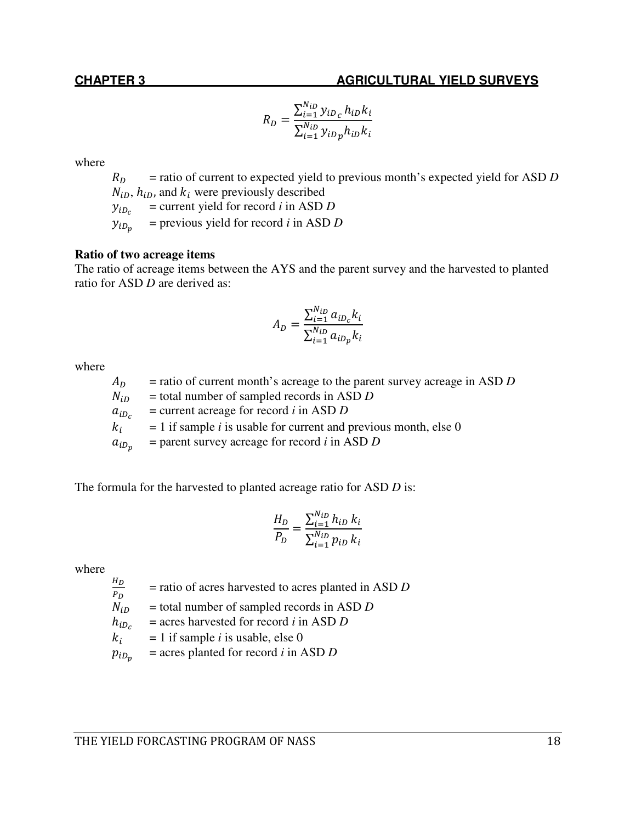## **CHAPTER 3** AGRICULTURAL YIELD SURVEYS

$$
R_D = \frac{\sum_{i=1}^{N_{iD}} y_{iD_c} h_{iD} k_i}{\sum_{i=1}^{N_{iD}} y_{iD_p} h_{iD} k_i}
$$

where

 $R_D$  = ratio of current to expected yield to previous month's expected yield for ASD *D*  $N_{iD}$ ,  $h_{iD}$ , and  $k_i$  were previously described

 $y_{iD_c}$ = current yield for record *i* in ASD *D*

 $y_{i_{i}}$ = previous yield for record *i* in ASD *D*

#### **Ratio of two acreage items**

The ratio of acreage items between the AYS and the parent survey and the harvested to planted ratio for ASD *D* are derived as:

$$
A_D = \frac{\sum_{i=1}^{N_{iD}} a_{iD_c} k_i}{\sum_{i=1}^{N_{iD}} a_{iD_p} k_i}
$$

where

| $A_D$      | $=$ ratio of current month's acreage to the parent survey acreage in ASD D |
|------------|----------------------------------------------------------------------------|
| $N_{iD}$   | $=$ total number of sampled records in ASD D                               |
| $a_{iD_c}$ | $=$ current acreage for record <i>i</i> in ASD <i>D</i>                    |
| $k_i$      | $= 1$ if sample <i>i</i> is usable for current and previous month, else 0  |
| $a_{iD_n}$ | $=$ parent survey acreage for record <i>i</i> in ASD <i>D</i>              |
|            |                                                                            |

The formula for the harvested to planted acreage ratio for ASD *D* is:

$$
\frac{H_D}{P_D} = \frac{\sum_{i=1}^{N_{iD}} h_{iD} k_i}{\sum_{i=1}^{N_{iD}} p_{iD} k_i}
$$

where

 $\frac{H_D}{H}$ = ratio of acres harvested to acres planted in ASD *D*

- $\frac{P_D}{N_{iD}}$  = total number of sampled records in ASD *D*
- $h_{iD_c}$ = acres harvested for record *i* in ASD *D*
- $k_i$  $= 1$  if sample *i* is usable, else 0
- $p_{iD_n}$ = acres planted for record *i* in ASD *D*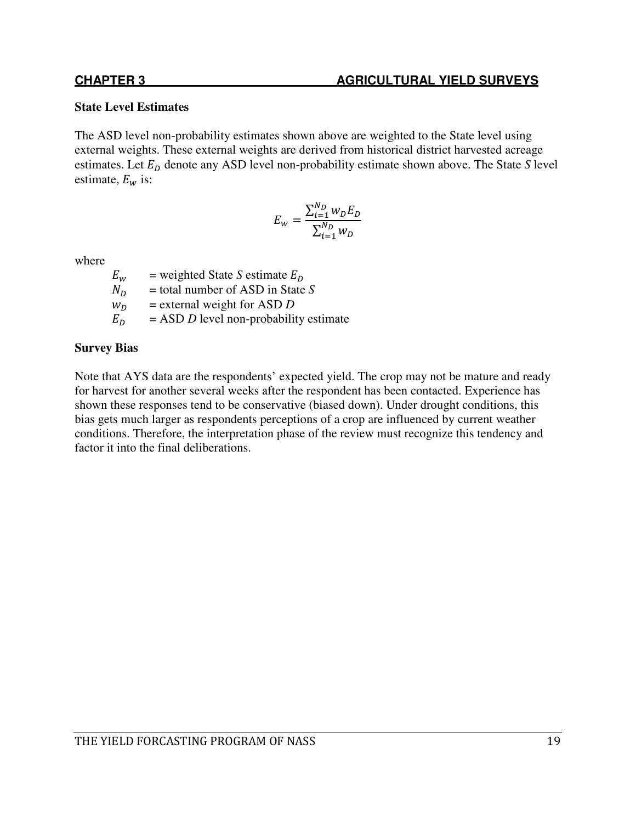#### **State Level Estimates**

The ASD level non-probability estimates shown above are weighted to the State level using external weights. These external weights are derived from historical district harvested acreage estimates. Let  $E_D$  denote any ASD level non-probability estimate shown above. The State *S* level estimate,  $E_w$  is:

$$
E_{w} = \frac{\sum_{i=1}^{N_{D}} w_{D} E_{D}}{\sum_{i=1}^{N_{D}} w_{D}}
$$

where

 $E_w$  = weighted State *S* estimate  $E_D$ <br> $N_D$  = total number of ASD in State  $N_D$  = total number of ASD in State *S*<br> $W_D$  = external weight for ASD *D*  $w_D$  = external weight for ASD *D*<br> $E_D$  = ASD *D* level non-probabili - = ASD *D* level non-probability estimate

## **Survey Bias**

Note that AYS data are the respondents' expected yield. The crop may not be mature and ready for harvest for another several weeks after the respondent has been contacted. Experience has shown these responses tend to be conservative (biased down). Under drought conditions, this bias gets much larger as respondents perceptions of a crop are influenced by current weather conditions. Therefore, the interpretation phase of the review must recognize this tendency and factor it into the final deliberations.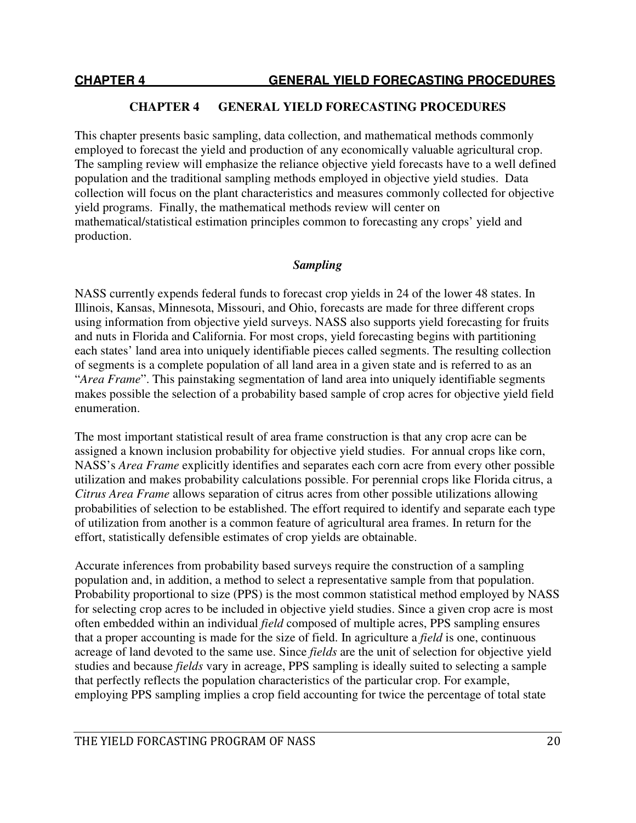#### **CHAPTER 4 GENERAL YIELD FORECASTING PROCEDURES**

This chapter presents basic sampling, data collection, and mathematical methods commonly employed to forecast the yield and production of any economically valuable agricultural crop. The sampling review will emphasize the reliance objective yield forecasts have to a well defined population and the traditional sampling methods employed in objective yield studies. Data collection will focus on the plant characteristics and measures commonly collected for objective yield programs. Finally, the mathematical methods review will center on mathematical/statistical estimation principles common to forecasting any crops' yield and production.

#### *Sampling*

NASS currently expends federal funds to forecast crop yields in 24 of the lower 48 states. In Illinois, Kansas, Minnesota, Missouri, and Ohio, forecasts are made for three different crops using information from objective yield surveys. NASS also supports yield forecasting for fruits and nuts in Florida and California. For most crops, yield forecasting begins with partitioning each states' land area into uniquely identifiable pieces called segments. The resulting collection of segments is a complete population of all land area in a given state and is referred to as an "*Area Frame*". This painstaking segmentation of land area into uniquely identifiable segments makes possible the selection of a probability based sample of crop acres for objective yield field enumeration.

The most important statistical result of area frame construction is that any crop acre can be assigned a known inclusion probability for objective yield studies. For annual crops like corn, NASS's *Area Frame* explicitly identifies and separates each corn acre from every other possible utilization and makes probability calculations possible. For perennial crops like Florida citrus, a *Citrus Area Frame* allows separation of citrus acres from other possible utilizations allowing probabilities of selection to be established. The effort required to identify and separate each type of utilization from another is a common feature of agricultural area frames. In return for the effort, statistically defensible estimates of crop yields are obtainable.

Accurate inferences from probability based surveys require the construction of a sampling population and, in addition, a method to select a representative sample from that population. Probability proportional to size (PPS) is the most common statistical method employed by NASS for selecting crop acres to be included in objective yield studies. Since a given crop acre is most often embedded within an individual *field* composed of multiple acres, PPS sampling ensures that a proper accounting is made for the size of field. In agriculture a *field* is one, continuous acreage of land devoted to the same use. Since *fields* are the unit of selection for objective yield studies and because *fields* vary in acreage, PPS sampling is ideally suited to selecting a sample that perfectly reflects the population characteristics of the particular crop. For example, employing PPS sampling implies a crop field accounting for twice the percentage of total state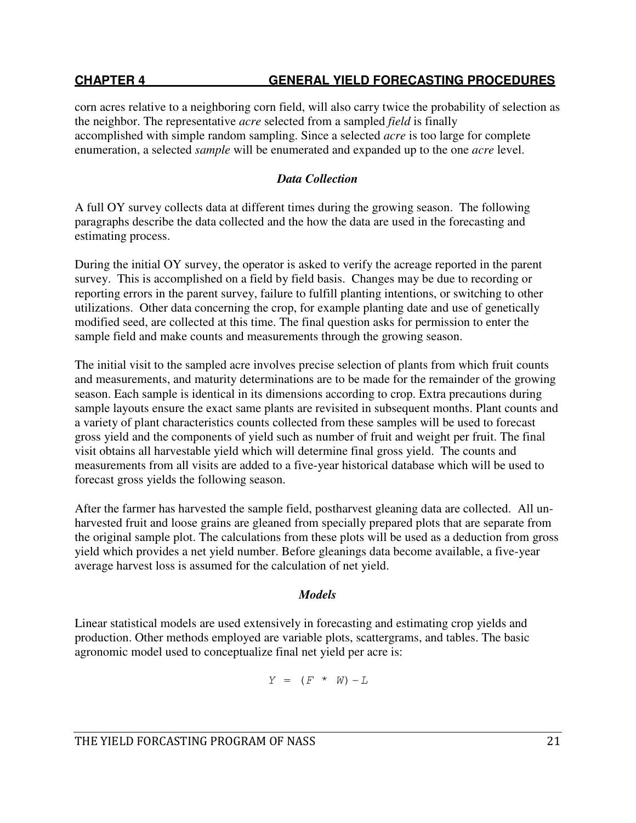# **CHAPTER 4 GENERAL YIELD FORECASTING PROCEDURES**

corn acres relative to a neighboring corn field, will also carry twice the probability of selection as the neighbor. The representative *acre* selected from a sampled *field* is finally accomplished with simple random sampling. Since a selected *acre* is too large for complete enumeration, a selected *sample* will be enumerated and expanded up to the one *acre* level.

## *Data Collection*

A full OY survey collects data at different times during the growing season. The following paragraphs describe the data collected and the how the data are used in the forecasting and estimating process.

During the initial OY survey, the operator is asked to verify the acreage reported in the parent survey. This is accomplished on a field by field basis. Changes may be due to recording or reporting errors in the parent survey, failure to fulfill planting intentions, or switching to other utilizations. Other data concerning the crop, for example planting date and use of genetically modified seed, are collected at this time. The final question asks for permission to enter the sample field and make counts and measurements through the growing season.

The initial visit to the sampled acre involves precise selection of plants from which fruit counts and measurements, and maturity determinations are to be made for the remainder of the growing season. Each sample is identical in its dimensions according to crop. Extra precautions during sample layouts ensure the exact same plants are revisited in subsequent months. Plant counts and a variety of plant characteristics counts collected from these samples will be used to forecast gross yield and the components of yield such as number of fruit and weight per fruit. The final visit obtains all harvestable yield which will determine final gross yield. The counts and measurements from all visits are added to a five-year historical database which will be used to forecast gross yields the following season.

After the farmer has harvested the sample field, postharvest gleaning data are collected. All unharvested fruit and loose grains are gleaned from specially prepared plots that are separate from the original sample plot. The calculations from these plots will be used as a deduction from gross yield which provides a net yield number. Before gleanings data become available, a five-year average harvest loss is assumed for the calculation of net yield.

## *Models*

Linear statistical models are used extensively in forecasting and estimating crop yields and production. Other methods employed are variable plots, scattergrams, and tables. The basic agronomic model used to conceptualize final net yield per acre is:

$$
Y = (F * W) - L
$$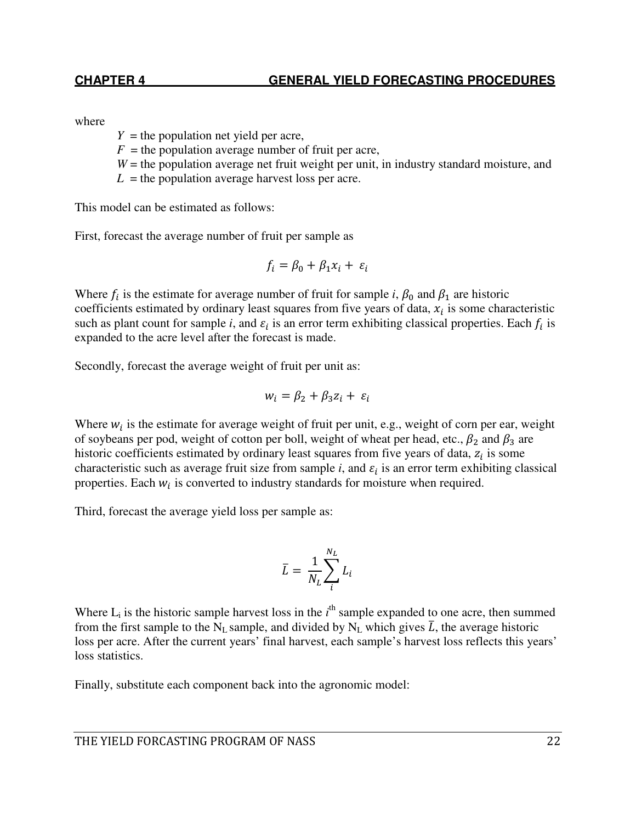where

 $Y =$  the population net yield per acre,

- $F =$  the population average number of fruit per acre,
- *W* = the population average net fruit weight per unit, in industry standard moisture, and
- $L =$  the population average harvest loss per acre.

This model can be estimated as follows:

First, forecast the average number of fruit per sample as

$$
f_i = \beta_0 + \beta_1 x_i + \varepsilon_i
$$

Where  $f_i$  is the estimate for average number of fruit for sample *i*,  $\beta_0$  and  $\beta_1$  are historic coefficients estimated by ordinary least squares from five years of data,  $x_i$  is some characteristic such as plant count for sample *i*, and  $\varepsilon_i$  is an error term exhibiting classical properties. Each  $f_i$  is expanded to the acre level after the forecast is made.

Secondly, forecast the average weight of fruit per unit as:

$$
w_i = \beta_2 + \beta_3 z_i + \varepsilon_i
$$

Where  $w_i$  is the estimate for average weight of fruit per unit, e.g., weight of corn per ear, weight of soybeans per pod, weight of cotton per boll, weight of wheat per head, etc.,  $\beta_2$  and  $\beta_3$  are historic coefficients estimated by ordinary least squares from five years of data,  $z_i$  is some characteristic such as average fruit size from sample  $i$ , and  $\varepsilon_i$  is an error term exhibiting classical properties. Each  $w_i$  is converted to industry standards for moisture when required.

Third, forecast the average yield loss per sample as:

$$
\bar{L} = \frac{1}{N_L} \sum_{i}^{N_L} L_i
$$

Where  $L_i$  is the historic sample harvest loss in the  $i<sup>th</sup>$  sample expanded to one acre, then summed from the first sample to the N<sub>L</sub> sample, and divided by N<sub>L</sub> which gives  $\bar{L}$ , the average historic loss per acre. After the current years' final harvest, each sample's harvest loss reflects this years' loss statistics.

Finally, substitute each component back into the agronomic model: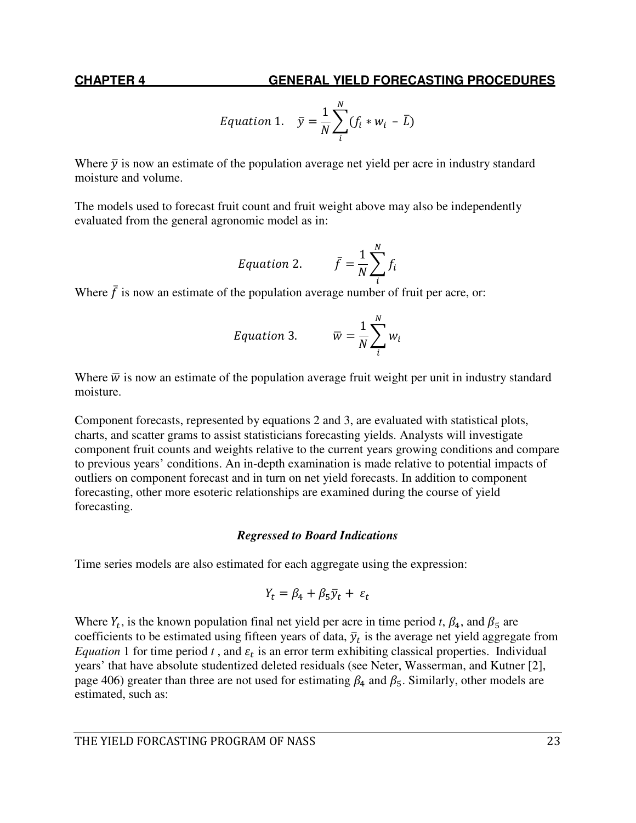## **CHAPTER 4 GENERAL YIELD FORECASTING PROCEDURES**

$$
Equation 1. \quad \bar{y} = \frac{1}{N} \sum_{i}^{N} (f_i * w_i - \bar{L})
$$

Where  $\bar{y}$  is now an estimate of the population average net yield per acre in industry standard moisture and volume.

The models used to forecast fruit count and fruit weight above may also be independently evaluated from the general agronomic model as in:

$$
Equation 2. \qquad \bar{f} = \frac{1}{N} \sum_{i}^{N} f_i
$$

Where  $\bar{f}$  is now an estimate of the population average number of fruit per acre, or:

Equation 3. 
$$
\overline{w} = \frac{1}{N} \sum_{i}^{N} w_i
$$

Where  $\overline{w}$  is now an estimate of the population average fruit weight per unit in industry standard moisture.

Component forecasts, represented by equations 2 and 3, are evaluated with statistical plots, charts, and scatter grams to assist statisticians forecasting yields. Analysts will investigate component fruit counts and weights relative to the current years growing conditions and compare to previous years' conditions. An in-depth examination is made relative to potential impacts of outliers on component forecast and in turn on net yield forecasts. In addition to component forecasting, other more esoteric relationships are examined during the course of yield forecasting.

#### *Regressed to Board Indications*

Time series models are also estimated for each aggregate using the expression:

$$
Y_t = \beta_4 + \beta_5 \bar{y}_t + \varepsilon_t
$$

Where  $Y_t$ , is the known population final net yield per acre in time period *t*,  $\beta_4$ , and  $\beta_5$  are coefficients to be estimated using fifteen years of data,  $\bar{y}_t$  is the average net yield aggregate from *Equation* 1 for time period *t*, and  $\varepsilon_t$  is an error term exhibiting classical properties. Individual years' that have absolute studentized deleted residuals (see Neter, Wasserman, and Kutner [2], page 406) greater than three are not used for estimating  $\beta_4$  and  $\beta_5$ . Similarly, other models are estimated, such as: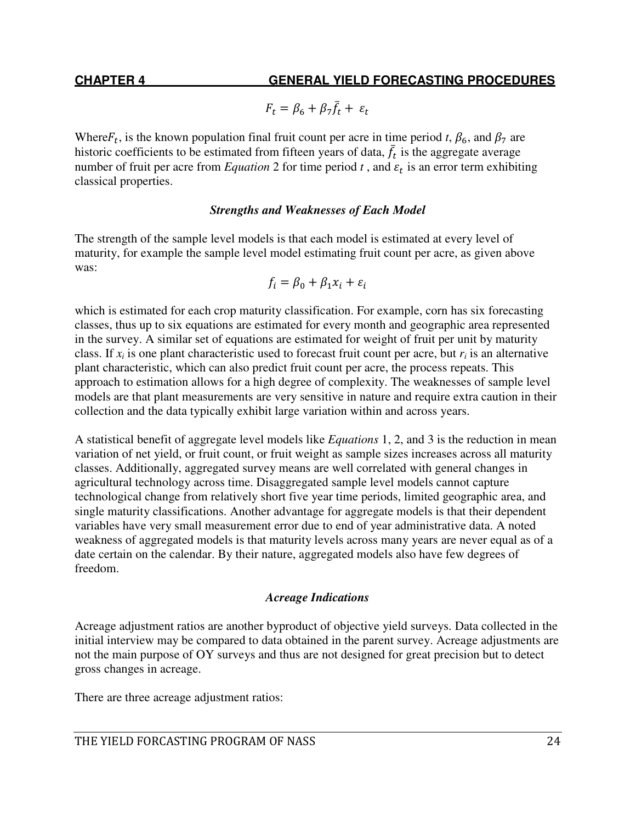$$
F_t = \beta_6 + \beta_7 \bar{f}_t + \varepsilon_t
$$

Where  $F_t$ , is the known population final fruit count per acre in time period *t*,  $\beta_6$ , and  $\beta_7$  are historic coefficients to be estimated from fifteen years of data,  $\bar{f}_t$  is the aggregate average number of fruit per acre from *Equation* 2 for time period  $t$ , and  $\varepsilon_t$  is an error term exhibiting classical properties.

#### *Strengths and Weaknesses of Each Model*

The strength of the sample level models is that each model is estimated at every level of maturity, for example the sample level model estimating fruit count per acre, as given above was:

$$
f_i = \beta_0 + \beta_1 x_i + \varepsilon_i
$$

which is estimated for each crop maturity classification. For example, corn has six forecasting classes, thus up to six equations are estimated for every month and geographic area represented in the survey. A similar set of equations are estimated for weight of fruit per unit by maturity class. If  $x_i$  is one plant characteristic used to forecast fruit count per acre, but  $r_i$  is an alternative plant characteristic, which can also predict fruit count per acre, the process repeats. This approach to estimation allows for a high degree of complexity. The weaknesses of sample level models are that plant measurements are very sensitive in nature and require extra caution in their collection and the data typically exhibit large variation within and across years.

A statistical benefit of aggregate level models like *Equations* 1, 2, and 3 is the reduction in mean variation of net yield, or fruit count, or fruit weight as sample sizes increases across all maturity classes. Additionally, aggregated survey means are well correlated with general changes in agricultural technology across time. Disaggregated sample level models cannot capture technological change from relatively short five year time periods, limited geographic area, and single maturity classifications. Another advantage for aggregate models is that their dependent variables have very small measurement error due to end of year administrative data. A noted weakness of aggregated models is that maturity levels across many years are never equal as of a date certain on the calendar. By their nature, aggregated models also have few degrees of freedom.

#### *Acreage Indications*

Acreage adjustment ratios are another byproduct of objective yield surveys. Data collected in the initial interview may be compared to data obtained in the parent survey. Acreage adjustments are not the main purpose of OY surveys and thus are not designed for great precision but to detect gross changes in acreage.

There are three acreage adjustment ratios: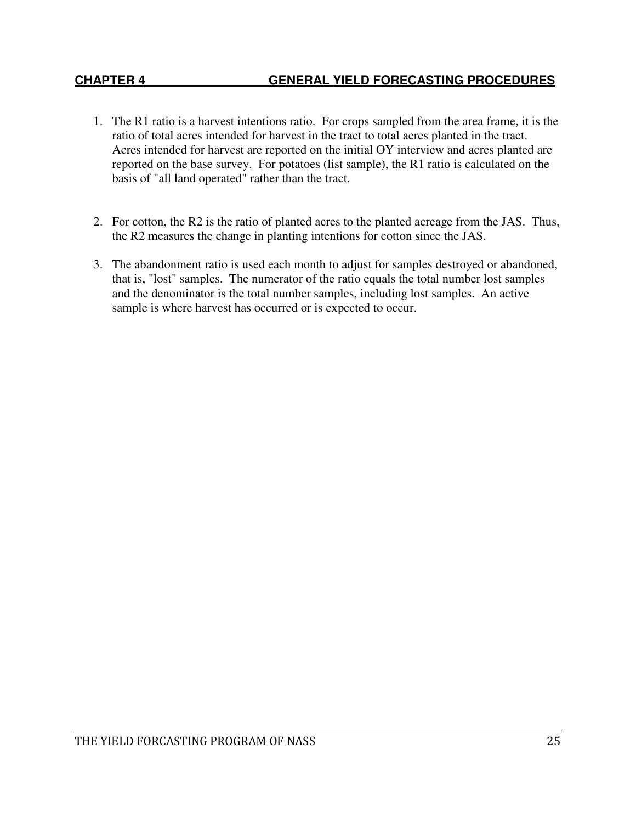- 1. The R1 ratio is a harvest intentions ratio. For crops sampled from the area frame, it is the ratio of total acres intended for harvest in the tract to total acres planted in the tract. Acres intended for harvest are reported on the initial OY interview and acres planted are reported on the base survey. For potatoes (list sample), the R1 ratio is calculated on the basis of "all land operated" rather than the tract.
- 2. For cotton, the R2 is the ratio of planted acres to the planted acreage from the JAS. Thus, the R2 measures the change in planting intentions for cotton since the JAS.
- 3. The abandonment ratio is used each month to adjust for samples destroyed or abandoned, that is, "lost" samples. The numerator of the ratio equals the total number lost samples and the denominator is the total number samples, including lost samples. An active sample is where harvest has occurred or is expected to occur.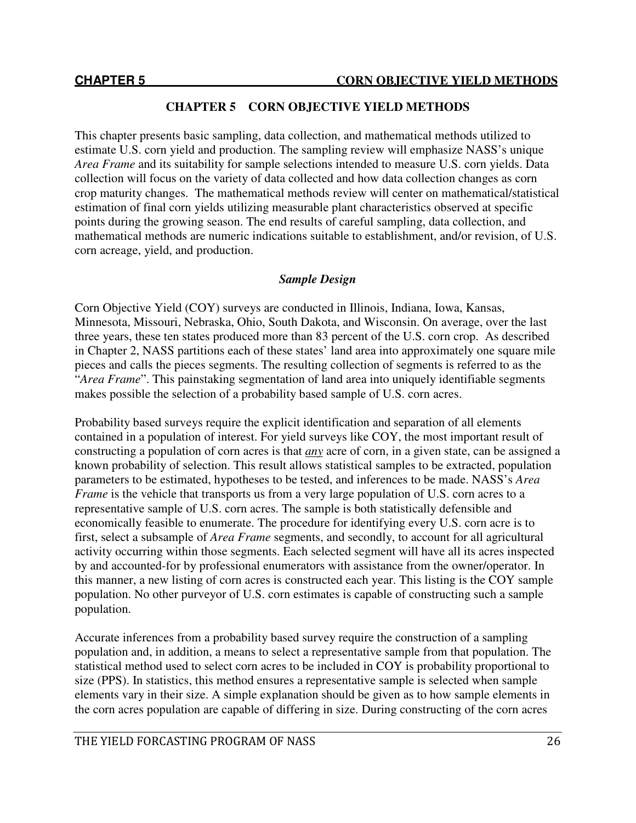#### **CHAPTER 5 CORN OBJECTIVE YIELD METHODS**

This chapter presents basic sampling, data collection, and mathematical methods utilized to estimate U.S. corn yield and production. The sampling review will emphasize NASS's unique *Area Frame* and its suitability for sample selections intended to measure U.S. corn yields. Data collection will focus on the variety of data collected and how data collection changes as corn crop maturity changes. The mathematical methods review will center on mathematical/statistical estimation of final corn yields utilizing measurable plant characteristics observed at specific points during the growing season. The end results of careful sampling, data collection, and mathematical methods are numeric indications suitable to establishment, and/or revision, of U.S. corn acreage, yield, and production.

## *Sample Design*

Corn Objective Yield (COY) surveys are conducted in Illinois, Indiana, Iowa, Kansas, Minnesota, Missouri, Nebraska, Ohio, South Dakota, and Wisconsin. On average, over the last three years, these ten states produced more than 83 percent of the U.S. corn crop. As described in Chapter 2, NASS partitions each of these states' land area into approximately one square mile pieces and calls the pieces segments. The resulting collection of segments is referred to as the "*Area Frame*". This painstaking segmentation of land area into uniquely identifiable segments makes possible the selection of a probability based sample of U.S. corn acres.

Probability based surveys require the explicit identification and separation of all elements contained in a population of interest. For yield surveys like COY, the most important result of constructing a population of corn acres is that *any* acre of corn, in a given state, can be assigned a known probability of selection. This result allows statistical samples to be extracted, population parameters to be estimated, hypotheses to be tested, and inferences to be made. NASS's *Area Frame* is the vehicle that transports us from a very large population of U.S. corn acres to a representative sample of U.S. corn acres. The sample is both statistically defensible and economically feasible to enumerate. The procedure for identifying every U.S. corn acre is to first, select a subsample of *Area Frame* segments, and secondly, to account for all agricultural activity occurring within those segments. Each selected segment will have all its acres inspected by and accounted-for by professional enumerators with assistance from the owner/operator. In this manner, a new listing of corn acres is constructed each year. This listing is the COY sample population. No other purveyor of U.S. corn estimates is capable of constructing such a sample population.

Accurate inferences from a probability based survey require the construction of a sampling population and, in addition, a means to select a representative sample from that population. The statistical method used to select corn acres to be included in COY is probability proportional to size (PPS). In statistics, this method ensures a representative sample is selected when sample elements vary in their size. A simple explanation should be given as to how sample elements in the corn acres population are capable of differing in size. During constructing of the corn acres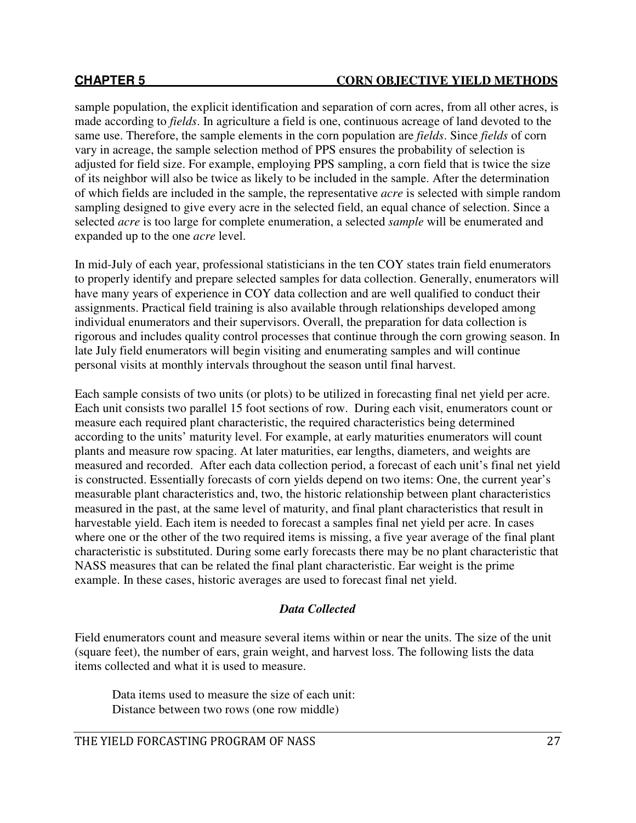#### **CHAPTER 5 CORN OBJECTIVE YIELD METHODS**

sample population, the explicit identification and separation of corn acres, from all other acres, is made according to *fields*. In agriculture a field is one, continuous acreage of land devoted to the same use. Therefore, the sample elements in the corn population are *fields*. Since *fields* of corn vary in acreage, the sample selection method of PPS ensures the probability of selection is adjusted for field size. For example, employing PPS sampling, a corn field that is twice the size of its neighbor will also be twice as likely to be included in the sample. After the determination of which fields are included in the sample, the representative *acre* is selected with simple random sampling designed to give every acre in the selected field, an equal chance of selection. Since a selected *acre* is too large for complete enumeration, a selected *sample* will be enumerated and expanded up to the one *acre* level.

In mid-July of each year, professional statisticians in the ten COY states train field enumerators to properly identify and prepare selected samples for data collection. Generally, enumerators will have many years of experience in COY data collection and are well qualified to conduct their assignments. Practical field training is also available through relationships developed among individual enumerators and their supervisors. Overall, the preparation for data collection is rigorous and includes quality control processes that continue through the corn growing season. In late July field enumerators will begin visiting and enumerating samples and will continue personal visits at monthly intervals throughout the season until final harvest.

Each sample consists of two units (or plots) to be utilized in forecasting final net yield per acre. Each unit consists two parallel 15 foot sections of row. During each visit, enumerators count or measure each required plant characteristic, the required characteristics being determined according to the units' maturity level. For example, at early maturities enumerators will count plants and measure row spacing. At later maturities, ear lengths, diameters, and weights are measured and recorded. After each data collection period, a forecast of each unit's final net yield is constructed. Essentially forecasts of corn yields depend on two items: One, the current year's measurable plant characteristics and, two, the historic relationship between plant characteristics measured in the past, at the same level of maturity, and final plant characteristics that result in harvestable yield. Each item is needed to forecast a samples final net yield per acre. In cases where one or the other of the two required items is missing, a five year average of the final plant characteristic is substituted. During some early forecasts there may be no plant characteristic that NASS measures that can be related the final plant characteristic. Ear weight is the prime example. In these cases, historic averages are used to forecast final net yield.

## *Data Collected*

Field enumerators count and measure several items within or near the units. The size of the unit (square feet), the number of ears, grain weight, and harvest loss. The following lists the data items collected and what it is used to measure.

 Data items used to measure the size of each unit: Distance between two rows (one row middle)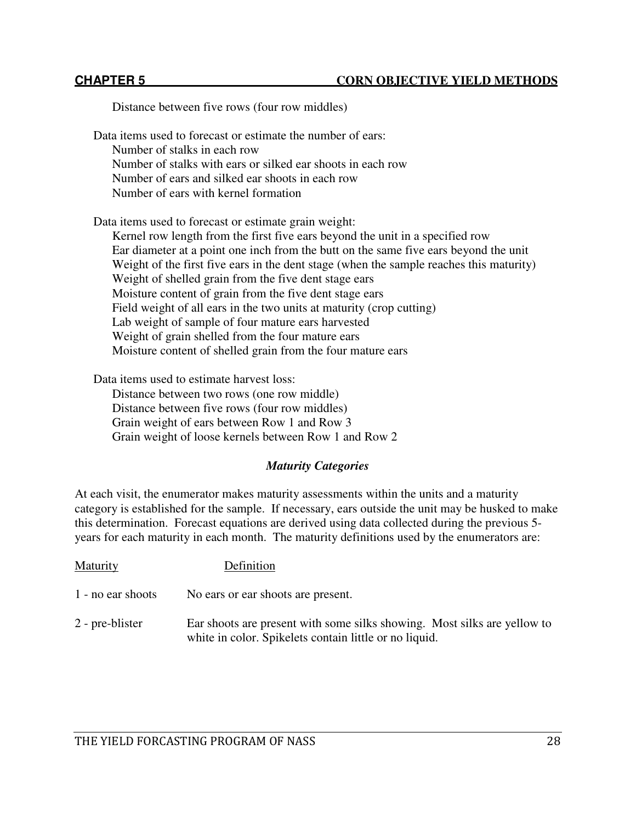#### **CHAPTER 5 CORN OBJECTIVE YIELD METHODS**

Distance between five rows (four row middles) Data items used to forecast or estimate the number of ears: Number of stalks in each row Number of stalks with ears or silked ear shoots in each row Number of ears and silked ear shoots in each row Number of ears with kernel formation Data items used to forecast or estimate grain weight: Kernel row length from the first five ears beyond the unit in a specified row Ear diameter at a point one inch from the butt on the same five ears beyond the unit Weight of the first five ears in the dent stage (when the sample reaches this maturity) Weight of shelled grain from the five dent stage ears Moisture content of grain from the five dent stage ears Field weight of all ears in the two units at maturity (crop cutting) Lab weight of sample of four mature ears harvested Weight of grain shelled from the four mature ears Moisture content of shelled grain from the four mature ears

Data items used to estimate harvest loss:

Distance between two rows (one row middle) Distance between five rows (four row middles) Grain weight of ears between Row 1 and Row 3 Grain weight of loose kernels between Row 1 and Row 2

#### *Maturity Categories*

At each visit, the enumerator makes maturity assessments within the units and a maturity category is established for the sample. If necessary, ears outside the unit may be husked to make this determination. Forecast equations are derived using data collected during the previous 5 years for each maturity in each month. The maturity definitions used by the enumerators are:

| Maturity          | Definition                                                                                                                         |
|-------------------|------------------------------------------------------------------------------------------------------------------------------------|
| 1 - no ear shoots | No ears or ear shoots are present.                                                                                                 |
| 2 - pre-blister   | Ear shoots are present with some silks showing. Most silks are yellow to<br>white in color. Spikelets contain little or no liquid. |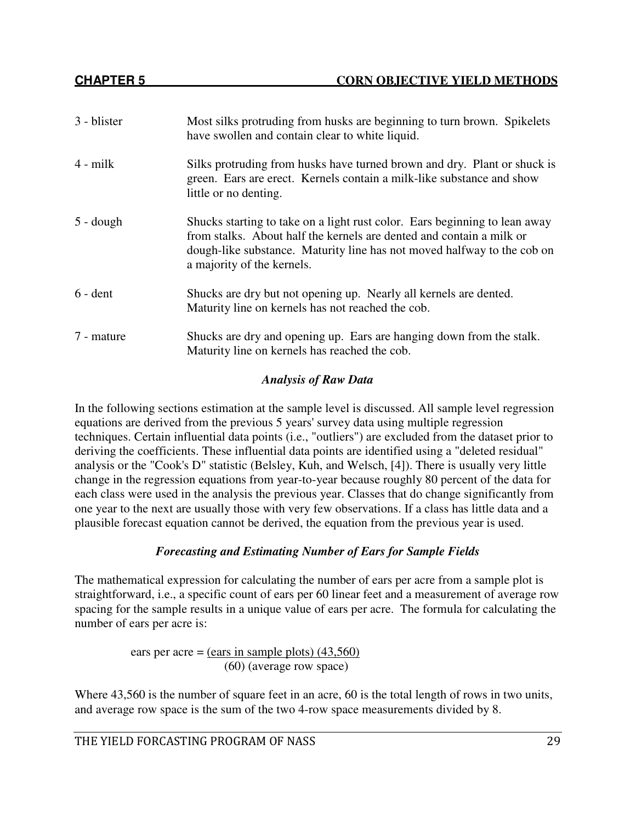| 3 - blister       | Most silks protruding from husks are beginning to turn brown. Spikelets<br>have swollen and contain clear to white liquid.                                                                                                                                  |
|-------------------|-------------------------------------------------------------------------------------------------------------------------------------------------------------------------------------------------------------------------------------------------------------|
| $4 - milk$        | Silks protruding from husks have turned brown and dry. Plant or shuck is<br>green. Ears are erect. Kernels contain a milk-like substance and show<br>little or no denting.                                                                                  |
| $5 -$ dough       | Shucks starting to take on a light rust color. Ears beginning to lean away<br>from stalks. About half the kernels are dented and contain a milk or<br>dough-like substance. Maturity line has not moved halfway to the cob on<br>a majority of the kernels. |
| $6 - \text{dent}$ | Shucks are dry but not opening up. Nearly all kernels are dented.<br>Maturity line on kernels has not reached the cob.                                                                                                                                      |
| 7 - mature        | Shucks are dry and opening up. Ears are hanging down from the stalk.<br>Maturity line on kernels has reached the cob.                                                                                                                                       |

## *Analysis of Raw Data*

In the following sections estimation at the sample level is discussed. All sample level regression equations are derived from the previous 5 years' survey data using multiple regression techniques. Certain influential data points (i.e., "outliers") are excluded from the dataset prior to deriving the coefficients. These influential data points are identified using a "deleted residual" analysis or the "Cook's D" statistic (Belsley, Kuh, and Welsch, [4]). There is usually very little change in the regression equations from year-to-year because roughly 80 percent of the data for each class were used in the analysis the previous year. Classes that do change significantly from one year to the next are usually those with very few observations. If a class has little data and a plausible forecast equation cannot be derived, the equation from the previous year is used.

## *Forecasting and Estimating Number of Ears for Sample Fields*

The mathematical expression for calculating the number of ears per acre from a sample plot is straightforward, i.e., a specific count of ears per 60 linear feet and a measurement of average row spacing for the sample results in a unique value of ears per acre. The formula for calculating the number of ears per acre is:

> ears per acre = (ears in sample plots)  $(43,560)$ (60) (average row space)

Where 43,560 is the number of square feet in an acre, 60 is the total length of rows in two units, and average row space is the sum of the two 4-row space measurements divided by 8.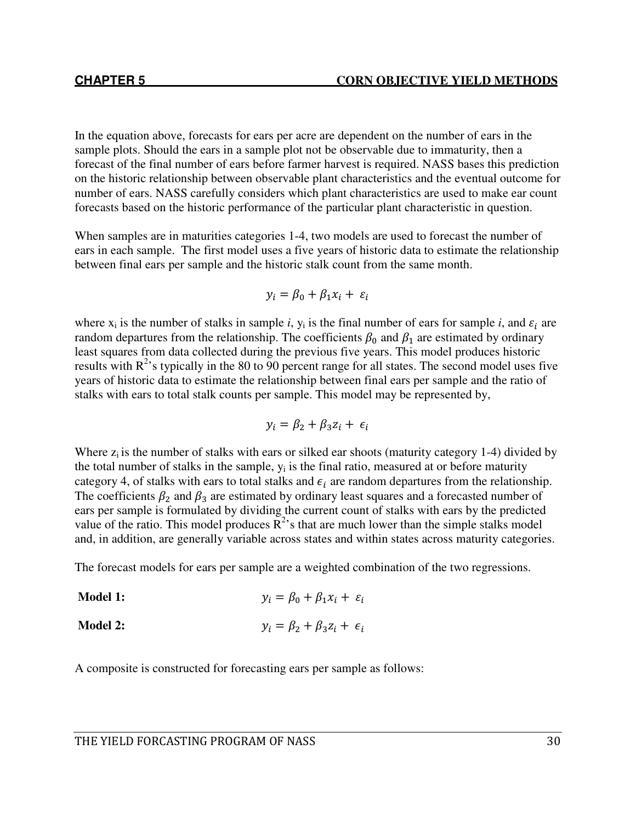In the equation above, forecasts for ears per acre are dependent on the number of ears in the sample plots. Should the ears in a sample plot not be observable due to immaturity, then a forecast of the final number of ears before farmer harvest is required. NASS bases this prediction on the historic relationship between observable plant characteristics and the eventual outcome for number of ears. NASS carefully considers which plant characteristics are used to make ear count forecasts based on the historic performance of the particular plant characteristic in question.

When samples are in maturities categories 1-4, two models are used to forecast the number of ears in each sample. The first model uses a five years of historic data to estimate the relationship between final ears per sample and the historic stalk count from the same month.

$$
y_i = \beta_0 + \beta_1 x_i + \varepsilon_i
$$

where  $x_i$  is the number of stalks in sample *i*,  $y_i$  is the final number of ears for sample *i*, and  $\varepsilon_i$  are random departures from the relationship. The coefficients  $\beta_0$  and  $\beta_1$  are estimated by ordinary least squares from data collected during the previous five years. This model produces historic results with  $R^2$ 's typically in the 80 to 90 percent range for all states. The second model uses five years of historic data to estimate the relationship between final ears per sample and the ratio of stalks with ears to total stalk counts per sample. This model may be represented by,

$$
y_i = \beta_2 + \beta_3 z_i + \epsilon_i
$$

Where  $z_i$  is the number of stalks with ears or silked ear shoots (maturity category 1-4) divided by the total number of stalks in the sample,  $y_i$  is the final ratio, measured at or before maturity category 4, of stalks with ears to total stalks and  $\epsilon_i$  are random departures from the relationship. The coefficients  $\beta_2$  and  $\beta_3$  are estimated by ordinary least squares and a forecasted number of ears per sample is formulated by dividing the current count of stalks with ears by the predicted value of the ratio. This model produces  $\mathbb{R}^2$ 's that are much lower than the simple stalks model and, in addition, are generally variable across states and within states across maturity categories.

The forecast models for ears per sample are a weighted combination of the two regressions.

**Model 1:**  $y_i = \beta_0 + \beta_1 x_i + \varepsilon_i$ 

**Model 2:**  $y_i = \beta_2 + \beta_3 z_i + \epsilon_i$ 

A composite is constructed for forecasting ears per sample as follows: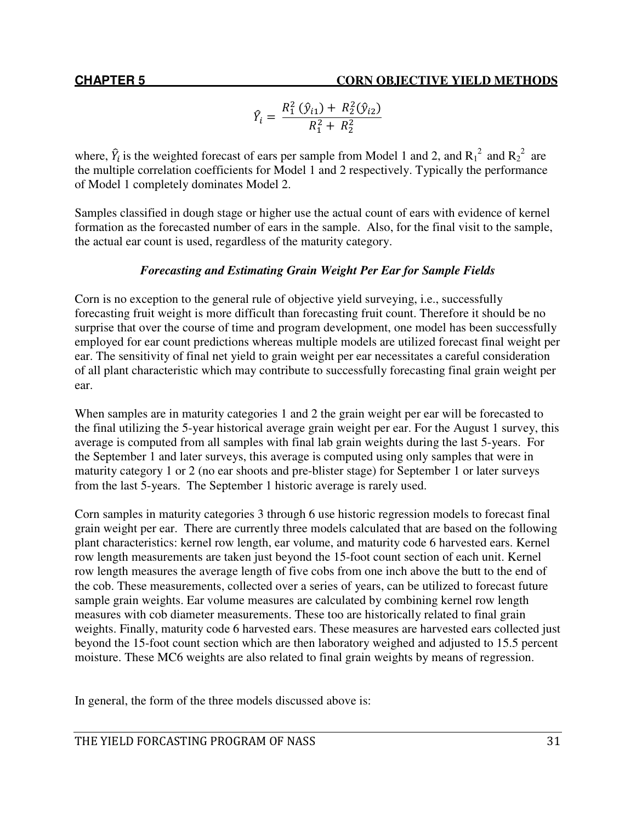$$
\hat{Y}_i = \frac{R_1^2 (\hat{y}_{i1}) + R_2^2 (\hat{y}_{i2})}{R_1^2 + R_2^2}
$$

where,  $\hat{Y}_i$  is the weighted forecast of ears per sample from Model 1 and 2, and  $R_1^2$  and  $R_2^2$  are the multiple correlation coefficients for Model 1 and 2 respectively. Typically the performance of Model 1 completely dominates Model 2.

Samples classified in dough stage or higher use the actual count of ears with evidence of kernel formation as the forecasted number of ears in the sample. Also, for the final visit to the sample, the actual ear count is used, regardless of the maturity category.

# *Forecasting and Estimating Grain Weight Per Ear for Sample Fields*

Corn is no exception to the general rule of objective yield surveying, i.e., successfully forecasting fruit weight is more difficult than forecasting fruit count. Therefore it should be no surprise that over the course of time and program development, one model has been successfully employed for ear count predictions whereas multiple models are utilized forecast final weight per ear. The sensitivity of final net yield to grain weight per ear necessitates a careful consideration of all plant characteristic which may contribute to successfully forecasting final grain weight per ear.

When samples are in maturity categories 1 and 2 the grain weight per ear will be forecasted to the final utilizing the 5-year historical average grain weight per ear. For the August 1 survey, this average is computed from all samples with final lab grain weights during the last 5-years. For the September 1 and later surveys, this average is computed using only samples that were in maturity category 1 or 2 (no ear shoots and pre-blister stage) for September 1 or later surveys from the last 5-years. The September 1 historic average is rarely used.

Corn samples in maturity categories 3 through 6 use historic regression models to forecast final grain weight per ear. There are currently three models calculated that are based on the following plant characteristics: kernel row length, ear volume, and maturity code 6 harvested ears. Kernel row length measurements are taken just beyond the 15-foot count section of each unit. Kernel row length measures the average length of five cobs from one inch above the butt to the end of the cob. These measurements, collected over a series of years, can be utilized to forecast future sample grain weights. Ear volume measures are calculated by combining kernel row length measures with cob diameter measurements. These too are historically related to final grain weights. Finally, maturity code 6 harvested ears. These measures are harvested ears collected just beyond the 15-foot count section which are then laboratory weighed and adjusted to 15.5 percent moisture. These MC6 weights are also related to final grain weights by means of regression.

In general, the form of the three models discussed above is: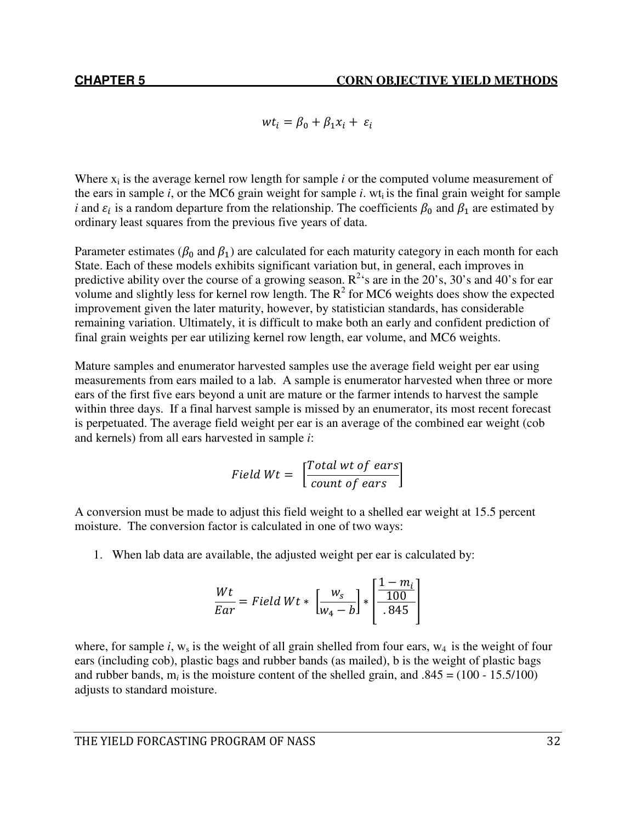$wt_i = \beta_0 + \beta_1 x_i + \varepsilon_i$ 

Where  $x_i$  is the average kernel row length for sample  $i$  or the computed volume measurement of the ears in sample *i*, or the MC6 grain weight for sample *i*. wt<sub>i</sub> is the final grain weight for sample *i* and  $\varepsilon_i$  is a random departure from the relationship. The coefficients  $\beta_0$  and  $\beta_1$  are estimated by ordinary least squares from the previous five years of data.

Parameter estimates ( $\beta_0$  and  $\beta_1$ ) are calculated for each maturity category in each month for each State. Each of these models exhibits significant variation but, in general, each improves in predictive ability over the course of a growing season.  $R^2$ 's are in the 20's, 30's and 40's for ear volume and slightly less for kernel row length. The  $R^2$  for MC6 weights does show the expected improvement given the later maturity, however, by statistician standards, has considerable remaining variation. Ultimately, it is difficult to make both an early and confident prediction of final grain weights per ear utilizing kernel row length, ear volume, and MC6 weights.

Mature samples and enumerator harvested samples use the average field weight per ear using measurements from ears mailed to a lab. A sample is enumerator harvested when three or more ears of the first five ears beyond a unit are mature or the farmer intends to harvest the sample within three days. If a final harvest sample is missed by an enumerator, its most recent forecast is perpetuated. The average field weight per ear is an average of the combined ear weight (cob and kernels) from all ears harvested in sample *i*:

> Field  $Wt = \begin{bmatrix} Total \ wt \ of \ cars \\ count \ of \ cars \end{bmatrix}$  $\overline{count\ of\ ears}$

A conversion must be made to adjust this field weight to a shelled ear weight at 15.5 percent moisture. The conversion factor is calculated in one of two ways:

1. When lab data are available, the adjusted weight per ear is calculated by:

$$
\frac{Wt}{Ear} = Field Wt * \left[\frac{w_s}{w_4 - b}\right] * \left[\frac{1 - m_i}{.845}\right]
$$

where, for sample *i*, w<sub>s</sub> is the weight of all grain shelled from four ears,  $w_4$  is the weight of four ears (including cob), plastic bags and rubber bands (as mailed), b is the weight of plastic bags and rubber bands,  $m_i$  is the moisture content of the shelled grain, and  $.845 = (100 - 15.5/100)$ adjusts to standard moisture.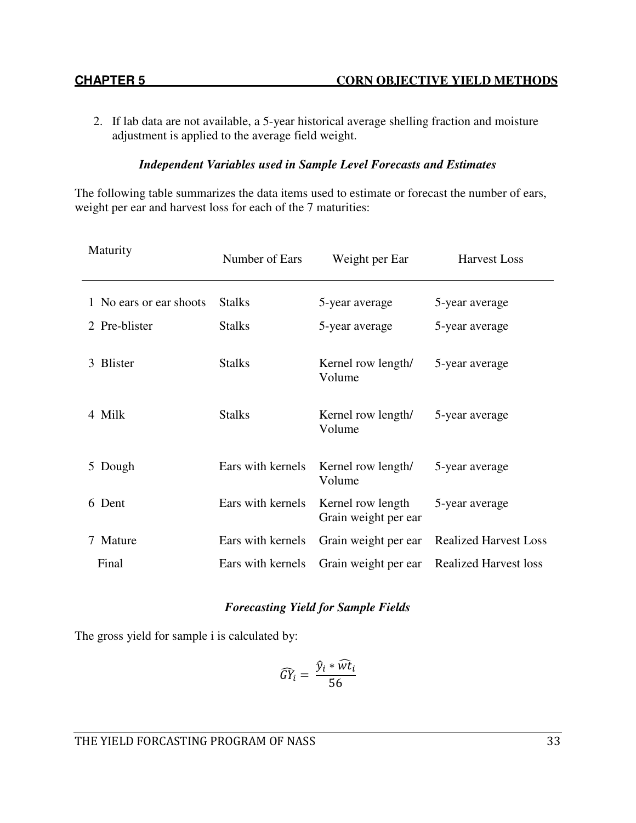2. If lab data are not available, a 5-year historical average shelling fraction and moisture adjustment is applied to the average field weight.

## *Independent Variables used in Sample Level Forecasts and Estimates*

The following table summarizes the data items used to estimate or forecast the number of ears, weight per ear and harvest loss for each of the 7 maturities:

| Maturity                | Number of Ears    | Weight per Ear                            | <b>Harvest Loss</b>          |
|-------------------------|-------------------|-------------------------------------------|------------------------------|
| 1 No ears or ear shoots | <b>Stalks</b>     | 5-year average                            | 5-year average               |
| 2 Pre-blister           | <b>Stalks</b>     | 5-year average                            | 5-year average               |
| 3 Blister               | <b>Stalks</b>     | Kernel row length/<br>Volume              | 5-year average               |
| 4 Milk                  | <b>Stalks</b>     | Kernel row length/<br>Volume              | 5-year average               |
| 5 Dough                 | Ears with kernels | Kernel row length/<br>Volume              | 5-year average               |
| 6 Dent                  | Ears with kernels | Kernel row length<br>Grain weight per ear | 5-year average               |
| Mature                  | Ears with kernels | Grain weight per ear                      | <b>Realized Harvest Loss</b> |
| Final                   | Ears with kernels | Grain weight per ear                      | <b>Realized Harvest loss</b> |

#### *Forecasting Yield for Sample Fields*

The gross yield for sample i is calculated by:

$$
\widehat{GY}_i = \frac{\widehat{y}_i * \widehat{wt}_i}{56}
$$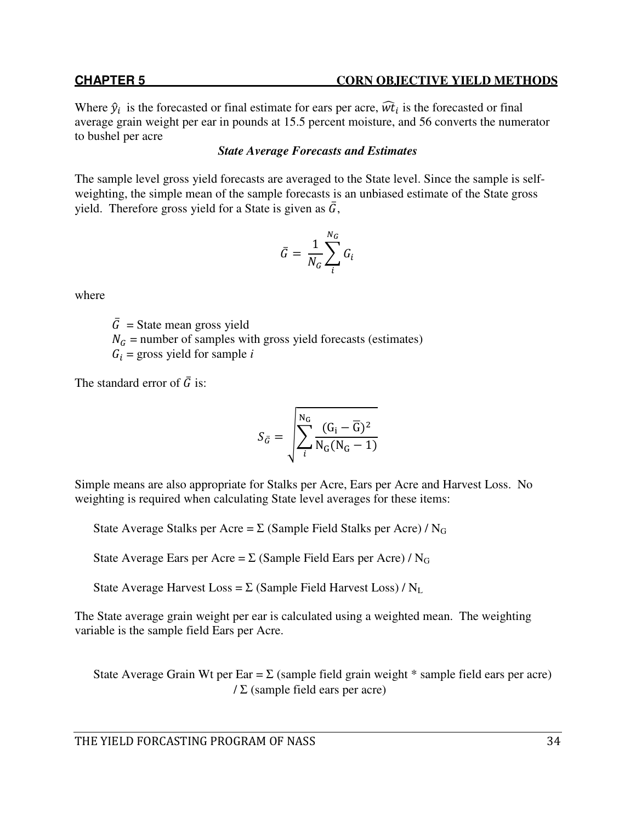Where  $\hat{y}_i$  is the forecasted or final estimate for ears per acre,  $\hat{w}t_i$  is the forecasted or final average grain weight per ear in pounds at 15.5 percent moisture, and 56 converts the numerator to bushel per acre

# *State Average Forecasts and Estimates*

The sample level gross yield forecasts are averaged to the State level. Since the sample is selfweighting, the simple mean of the sample forecasts is an unbiased estimate of the State gross yield. Therefore gross yield for a State is given as  $\bar{G}$ ,

$$
\bar{G} = \frac{1}{N_G} \sum_{i}^{N_G} G_i
$$

where

 $\overline{G}$  = State mean gross yield  $N_G$  = number of samples with gross yield forecasts (estimates)  $G_i$  = gross yield for sample *i* 

The standard error of  $\bar{G}$  is:

$$
S_{\bar{G}} = \sqrt{\sum_{i}^{N_G} \frac{(G_i - \overline{G})^2}{N_G(N_G - 1)}}
$$

Simple means are also appropriate for Stalks per Acre, Ears per Acre and Harvest Loss. No weighting is required when calculating State level averages for these items:

State Average Stalks per Acre =  $\Sigma$  (Sample Field Stalks per Acre) / N<sub>G</sub>

State Average Ears per Acre =  $\Sigma$  (Sample Field Ears per Acre) / N<sub>G</sub>

State Average Harvest Loss =  $\Sigma$  (Sample Field Harvest Loss) / N<sub>L</sub>

The State average grain weight per ear is calculated using a weighted mean. The weighting variable is the sample field Ears per Acre.

State Average Grain Wt per Ear =  $\Sigma$  (sample field grain weight  $*$  sample field ears per acre)  $\angle$  (sample field ears per acre)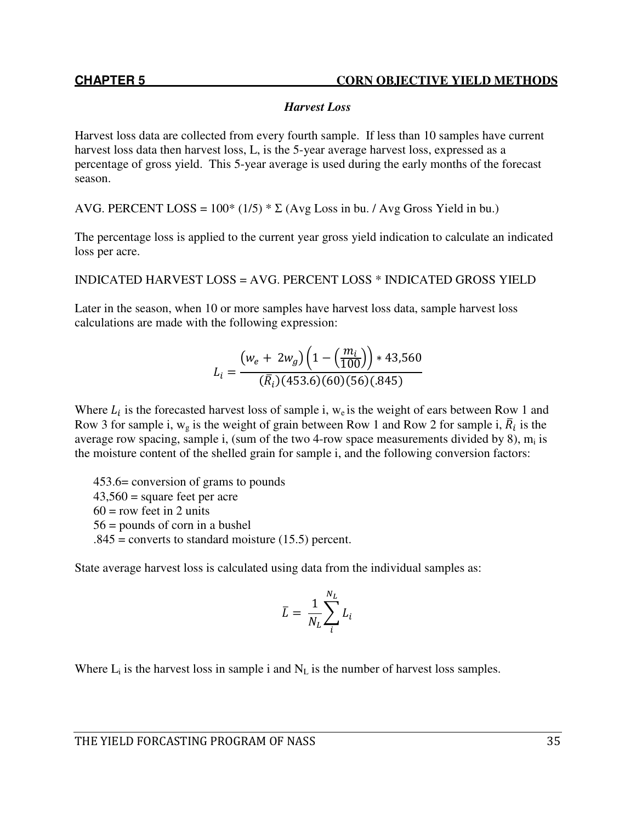# *Harvest Loss*

Harvest loss data are collected from every fourth sample. If less than 10 samples have current harvest loss data then harvest loss, L, is the 5-year average harvest loss, expressed as a percentage of gross yield. This 5-year average is used during the early months of the forecast season.

AVG. PERCENT LOSS =  $100^*$  (1/5)  $^*$   $\Sigma$  (Avg Loss in bu. / Avg Gross Yield in bu.)

The percentage loss is applied to the current year gross yield indication to calculate an indicated loss per acre.

INDICATED HARVEST LOSS = AVG. PERCENT LOSS \* INDICATED GROSS YIELD

Later in the season, when 10 or more samples have harvest loss data, sample harvest loss calculations are made with the following expression:

$$
L_i = \frac{(w_e + 2w_g)\left(1 - \left(\frac{m_i}{100}\right)\right) * 43,560}{(\bar{R}_i)(453.6)(60)(56)(.845)}
$$

Where  $L_i$  is the forecasted harvest loss of sample i, w<sub>e</sub> is the weight of ears between Row 1 and Row 3 for sample i,  $w_g$  is the weight of grain between Row 1 and Row 2 for sample i,  $\overline{R}_i$  is the average row spacing, sample i, (sum of the two 4-row space measurements divided by 8), m<sub>i</sub> is the moisture content of the shelled grain for sample i, and the following conversion factors:

453.6= conversion of grams to pounds  $43,560$  = square feet per acre  $60 = row$  feet in 2 units 56 = pounds of corn in a bushel  $.845$  = converts to standard moisture (15.5) percent.

State average harvest loss is calculated using data from the individual samples as:

$$
\bar{L} = \frac{1}{N_L} \sum_{i}^{N_L} L_i
$$

Where  $L_i$  is the harvest loss in sample i and  $N_L$  is the number of harvest loss samples.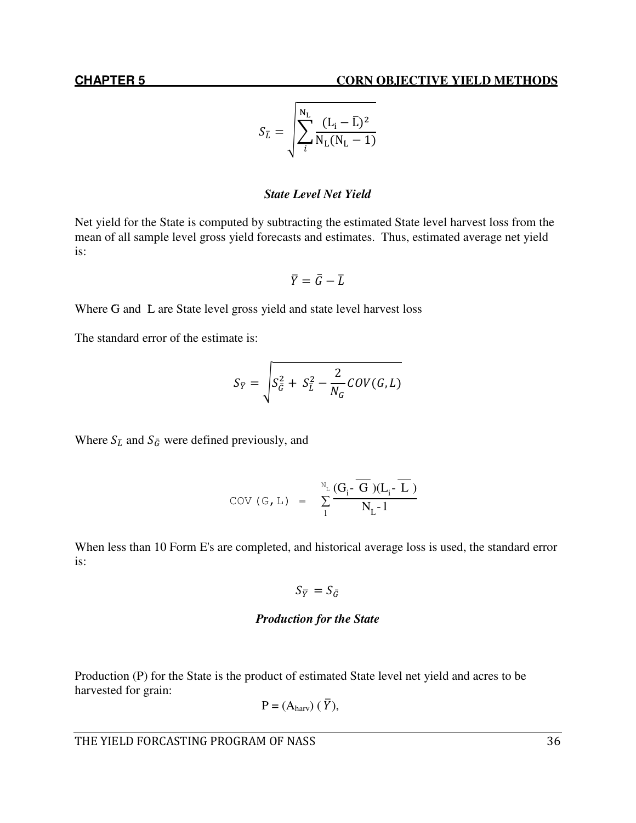$$
S_{\bar{L}} = \sqrt{\sum_{i}^{N_{\rm L}} \frac{(L_{i} - \bar{L})^2}{N_{\rm L}(N_{\rm L} - 1)}}
$$

### *State Level Net Yield*

Net yield for the State is computed by subtracting the estimated State level harvest loss from the mean of all sample level gross yield forecasts and estimates. Thus, estimated average net yield is:

$$
\bar{Y} = \bar{G} - \bar{L}
$$

Where G and L are State level gross yield and state level harvest loss

The standard error of the estimate is:

$$
S_{\overline{Y}} = \sqrt{S_{\overline{G}}^2 + S_{\overline{L}}^2 - \frac{2}{N_G} \text{COV}(G, L)}
$$

Where  $S_{\bar{L}}$  and  $S_{\bar{G}}$  were defined previously, and

$$
COV(G, L) = \sum_{1}^{N_{L}} \frac{(G_{i} \cdot \overline{G})(L_{i} \cdot \overline{L})}{N_{L} \cdot 1}
$$

When less than 10 Form E's are completed, and historical average loss is used, the standard error is:

$$
S_{\overline{Y}}=S_{\overline{G}}
$$

### *Production for the State*

Production (P) for the State is the product of estimated State level net yield and acres to be harvested for grain:

$$
P = (Aharv) (\bar{Y}),
$$

THE YIELD FORCASTING PROGRAM OF NASS 36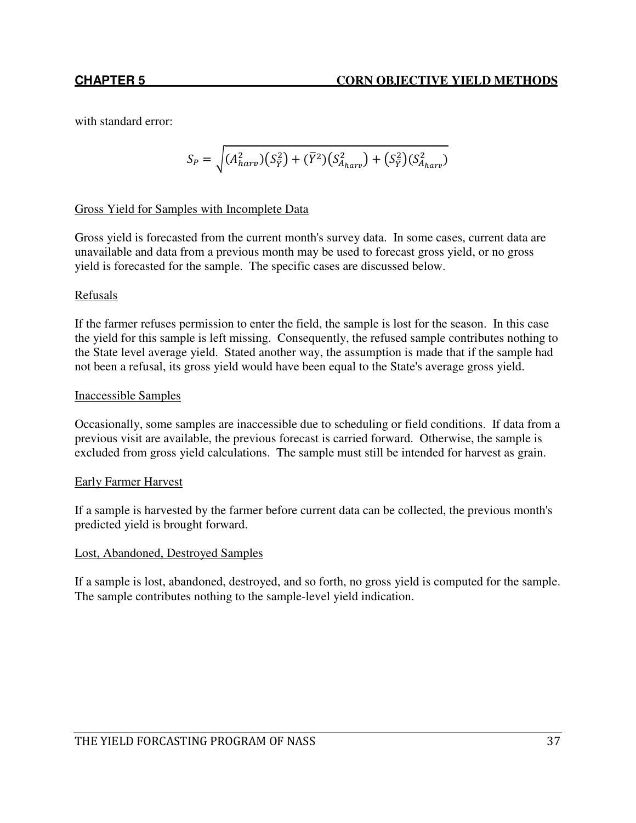with standard error:

$$
S_P = \sqrt{(A_{harv}^2)(S_{\bar{Y}}^2) + (\bar{Y}^2)(S_{A_{harv}}^2) + (S_{\bar{Y}}^2)(S_{A_{harv}}^2)}
$$

# Gross Yield for Samples with Incomplete Data

Gross yield is forecasted from the current month's survey data. In some cases, current data are unavailable and data from a previous month may be used to forecast gross yield, or no gross yield is forecasted for the sample. The specific cases are discussed below.

# Refusals

If the farmer refuses permission to enter the field, the sample is lost for the season. In this case the yield for this sample is left missing. Consequently, the refused sample contributes nothing to the State level average yield. Stated another way, the assumption is made that if the sample had not been a refusal, its gross yield would have been equal to the State's average gross yield.

### Inaccessible Samples

Occasionally, some samples are inaccessible due to scheduling or field conditions. If data from a previous visit are available, the previous forecast is carried forward. Otherwise, the sample is excluded from gross yield calculations. The sample must still be intended for harvest as grain.

### Early Farmer Harvest

If a sample is harvested by the farmer before current data can be collected, the previous month's predicted yield is brought forward.

### Lost, Abandoned, Destroyed Samples

If a sample is lost, abandoned, destroyed, and so forth, no gross yield is computed for the sample. The sample contributes nothing to the sample-level yield indication.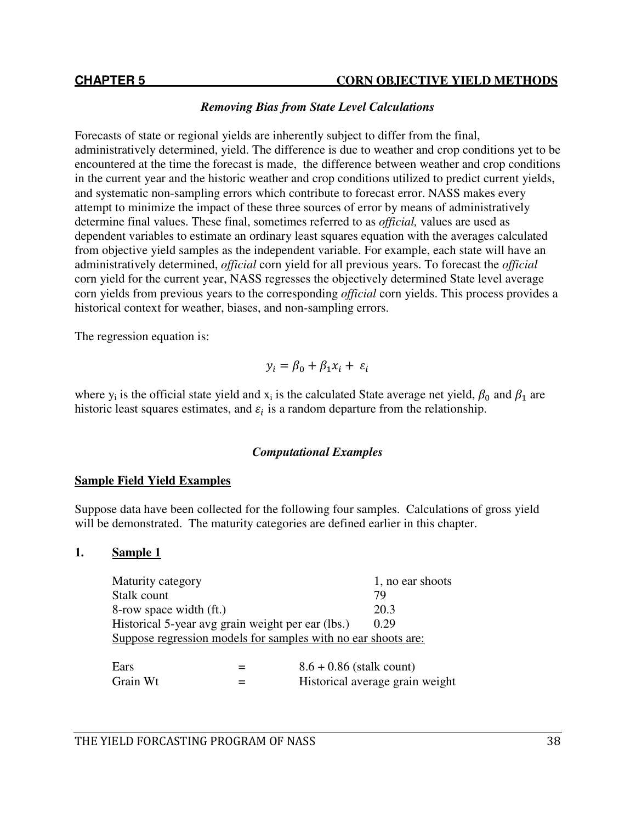### *Removing Bias from State Level Calculations*

Forecasts of state or regional yields are inherently subject to differ from the final, administratively determined, yield. The difference is due to weather and crop conditions yet to be encountered at the time the forecast is made, the difference between weather and crop conditions in the current year and the historic weather and crop conditions utilized to predict current yields, and systematic non-sampling errors which contribute to forecast error. NASS makes every attempt to minimize the impact of these three sources of error by means of administratively determine final values. These final, sometimes referred to as *official,* values are used as dependent variables to estimate an ordinary least squares equation with the averages calculated from objective yield samples as the independent variable. For example, each state will have an administratively determined, *official* corn yield for all previous years. To forecast the *official*  corn yield for the current year, NASS regresses the objectively determined State level average corn yields from previous years to the corresponding *official* corn yields. This process provides a historical context for weather, biases, and non-sampling errors.

The regression equation is:

$$
y_i = \beta_0 + \beta_1 x_i + \varepsilon_i
$$

where  $y_i$  is the official state yield and  $x_i$  is the calculated State average net yield,  $\beta_0$  and  $\beta_1$  are historic least squares estimates, and  $\varepsilon_i$  is a random departure from the relationship.

### *Computational Examples*

### **Sample Field Yield Examples**

Suppose data have been collected for the following four samples. Calculations of gross yield will be demonstrated. The maturity categories are defined earlier in this chapter.

### **1. Sample 1**

| Maturity category                                             |                            | 1, no ear shoots                |
|---------------------------------------------------------------|----------------------------|---------------------------------|
| Stalk count                                                   |                            | 79                              |
| 8-row space width (ft.)                                       |                            | 20.3                            |
| Historical 5-year avg grain weight per ear (lbs.)             |                            | 0.29                            |
| Suppose regression models for samples with no ear shoots are: |                            |                                 |
|                                                               |                            |                                 |
| Ears                                                          | $8.6 + 0.86$ (stalk count) |                                 |
| Grain Wt                                                      |                            | Historical average grain weight |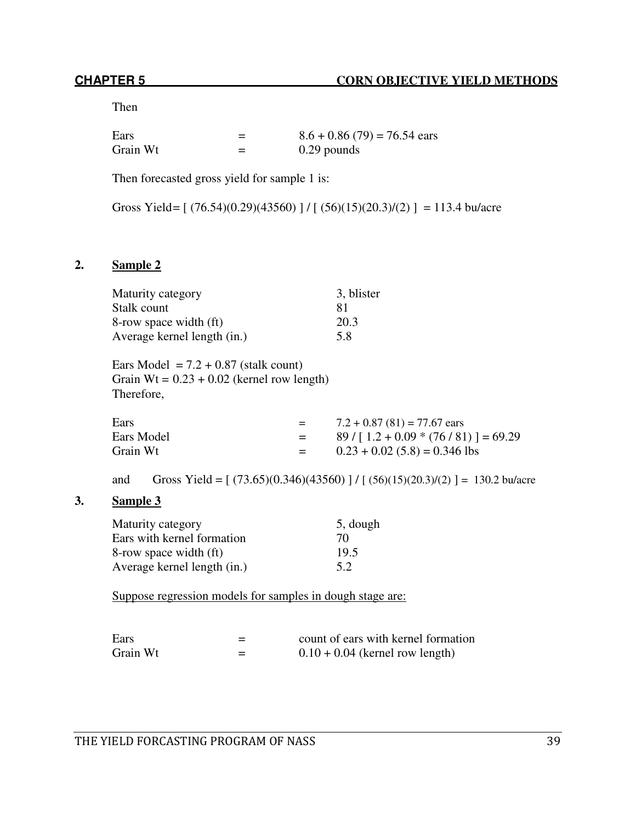Then

| Ears     |   | $8.6 + 0.86$ (79) = 76.54 ears |
|----------|---|--------------------------------|
| Grain Wt | = | $0.29$ pounds                  |

Then forecasted gross yield for sample 1 is:

Gross Yield =  $[(76.54)(0.29)(43560)] / [(56)(15)(20.3)/(2)] = 113.4$  bu/acre

# **2. Sample 2**

| Maturity category           | 3, blister |
|-----------------------------|------------|
| Stalk count                 | 81         |
| 8-row space width (ft)      | 20.3       |
| Average kernel length (in.) | 5.8        |

Ears Model =  $7.2 + 0.87$  (stalk count) Grain  $Wt = 0.23 + 0.02$  (kernel row length) Therefore,

| Ears       | $=$     | $7.2 + 0.87(81) = 77.67$ ears           |
|------------|---------|-----------------------------------------|
| Ears Model | $=$     | $89 / [1.2 + 0.09 * (76 / 81)] = 69.29$ |
| Grain Wt   | $=$ $-$ | $0.23 + 0.02$ (5.8) = 0.346 lbs         |

and Gross Yield =  $[(73.65)(0.346)(43560)] / [(56)(15)(20.3)/(2)] = 130.2$  bu/acre

## **3. Sample 3**

| Maturity category           | 5, dough |
|-----------------------------|----------|
| Ears with kernel formation  | 70       |
| 8-row space width (ft)      | 19.5     |
| Average kernel length (in.) | 5.2      |

Suppose regression models for samples in dough stage are:

| Ears     | = | count of ears with kernel formation |
|----------|---|-------------------------------------|
| Grain Wt |   | $0.10 + 0.04$ (kernel row length)   |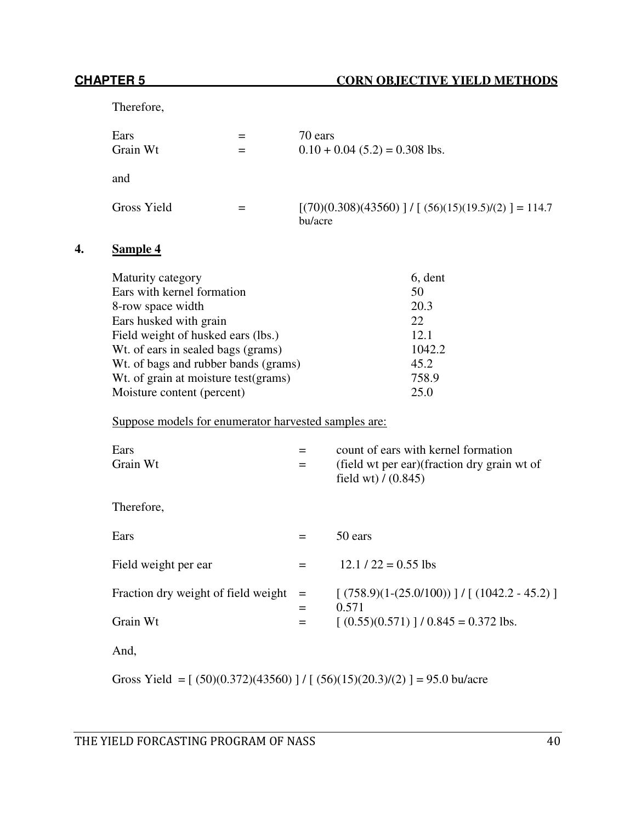Therefore,

| Ears<br>Grain Wt | 70 ears<br>$0.10 + 0.04$ (5.2) = 0.308 lbs.                      |
|------------------|------------------------------------------------------------------|
| and              |                                                                  |
| Gross Yield      | $[(70)(0.308)(43560)] / [(56)(15)(19.5)/(2)] = 114.7$<br>bu/acre |

# **4. Sample 4**

| Maturity category                     | 6, dent |
|---------------------------------------|---------|
| Ears with kernel formation            | 50      |
| 8-row space width                     | 20.3    |
| Ears husked with grain                | 22      |
| Field weight of husked ears (lbs.)    | 12.1    |
| Wt. of ears in sealed bags (grams)    | 1042.2  |
| Wt. of bags and rubber bands (grams)  | 45.2    |
| Wt. of grain at moisture test (grams) | 758.9   |
| Moisture content (percent)            | 25.0    |

Suppose models for enumerator harvested samples are:

| Ears<br>Grain Wt                    | $=$               | count of ears with kernel formation<br>(field wt per ear) (fraction dry grain wt of<br>field wt $)/(0.845)$ |
|-------------------------------------|-------------------|-------------------------------------------------------------------------------------------------------------|
| Therefore,                          |                   |                                                                                                             |
| Ears                                |                   | 50 ears                                                                                                     |
| Field weight per ear                | $=$               | $12.1 / 22 = 0.55$ lbs                                                                                      |
| Fraction dry weight of field weight | $\qquad \qquad =$ | $(758.9)(1-(25.0/100))$ ]/[(1042.2 - 45.2)]<br>0.571                                                        |
| Grain Wt                            | $=$<br>$=$        | $(0.55)(0.571)$   / 0.845 = 0.372 lbs.                                                                      |
| And,                                |                   |                                                                                                             |

Gross Yield =  $[(50)(0.372)(43560)]/[(56)(15)(20.3)/(2)] = 95.0$  bu/acre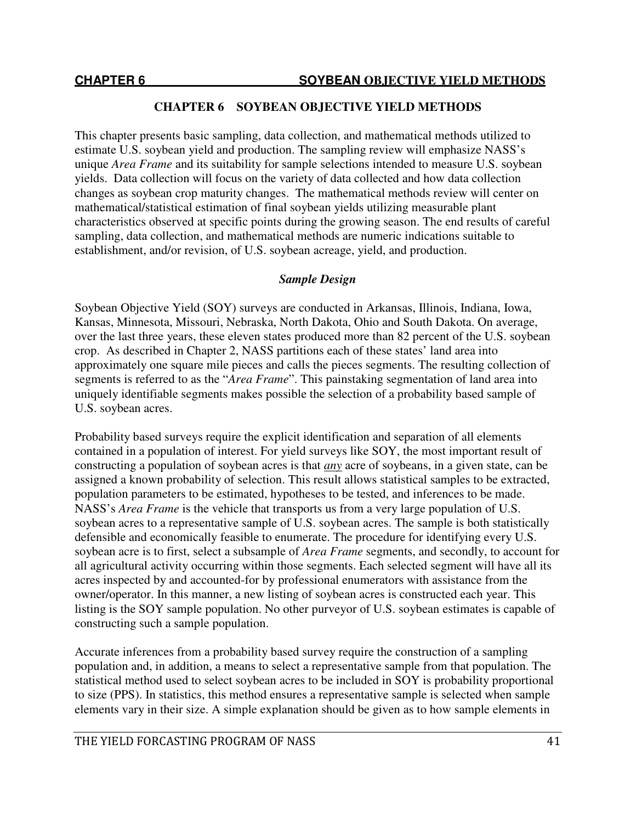This chapter presents basic sampling, data collection, and mathematical methods utilized to estimate U.S. soybean yield and production. The sampling review will emphasize NASS's unique *Area Frame* and its suitability for sample selections intended to measure U.S. soybean yields. Data collection will focus on the variety of data collected and how data collection changes as soybean crop maturity changes. The mathematical methods review will center on mathematical/statistical estimation of final soybean yields utilizing measurable plant characteristics observed at specific points during the growing season. The end results of careful sampling, data collection, and mathematical methods are numeric indications suitable to establishment, and/or revision, of U.S. soybean acreage, yield, and production.

### *Sample Design*

Soybean Objective Yield (SOY) surveys are conducted in Arkansas, Illinois, Indiana, Iowa, Kansas, Minnesota, Missouri, Nebraska, North Dakota, Ohio and South Dakota. On average, over the last three years, these eleven states produced more than 82 percent of the U.S. soybean crop. As described in Chapter 2, NASS partitions each of these states' land area into approximately one square mile pieces and calls the pieces segments. The resulting collection of segments is referred to as the "*Area Frame*". This painstaking segmentation of land area into uniquely identifiable segments makes possible the selection of a probability based sample of U.S. soybean acres.

Probability based surveys require the explicit identification and separation of all elements contained in a population of interest. For yield surveys like SOY, the most important result of constructing a population of soybean acres is that *any* acre of soybeans, in a given state, can be assigned a known probability of selection. This result allows statistical samples to be extracted, population parameters to be estimated, hypotheses to be tested, and inferences to be made. NASS's *Area Frame* is the vehicle that transports us from a very large population of U.S. soybean acres to a representative sample of U.S. soybean acres. The sample is both statistically defensible and economically feasible to enumerate. The procedure for identifying every U.S. soybean acre is to first, select a subsample of *Area Frame* segments, and secondly, to account for all agricultural activity occurring within those segments. Each selected segment will have all its acres inspected by and accounted-for by professional enumerators with assistance from the owner/operator. In this manner, a new listing of soybean acres is constructed each year. This listing is the SOY sample population. No other purveyor of U.S. soybean estimates is capable of constructing such a sample population.

Accurate inferences from a probability based survey require the construction of a sampling population and, in addition, a means to select a representative sample from that population. The statistical method used to select soybean acres to be included in SOY is probability proportional to size (PPS). In statistics, this method ensures a representative sample is selected when sample elements vary in their size. A simple explanation should be given as to how sample elements in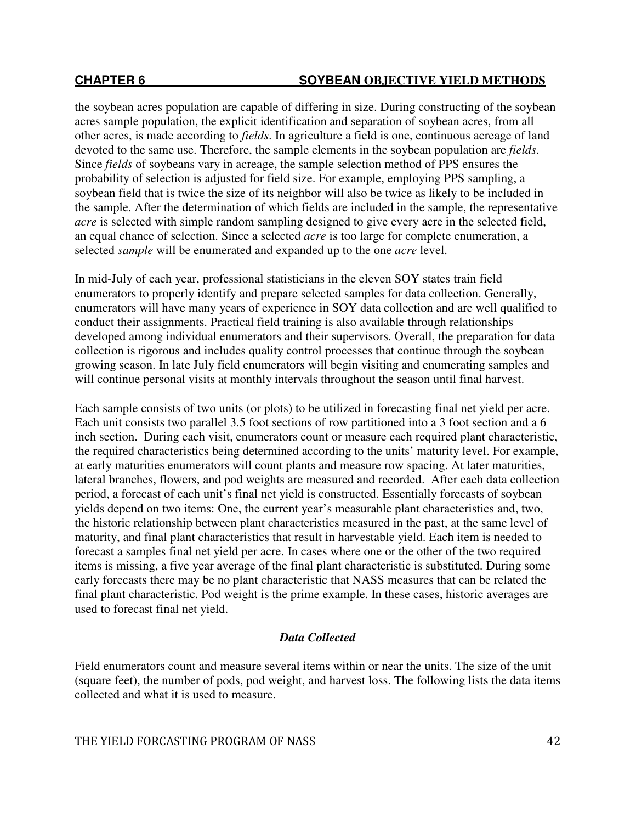the soybean acres population are capable of differing in size. During constructing of the soybean acres sample population, the explicit identification and separation of soybean acres, from all other acres, is made according to *fields*. In agriculture a field is one, continuous acreage of land devoted to the same use. Therefore, the sample elements in the soybean population are *fields*. Since *fields* of soybeans vary in acreage, the sample selection method of PPS ensures the probability of selection is adjusted for field size. For example, employing PPS sampling, a soybean field that is twice the size of its neighbor will also be twice as likely to be included in the sample. After the determination of which fields are included in the sample, the representative *acre* is selected with simple random sampling designed to give every acre in the selected field, an equal chance of selection. Since a selected *acre* is too large for complete enumeration, a selected *sample* will be enumerated and expanded up to the one *acre* level.

In mid-July of each year, professional statisticians in the eleven SOY states train field enumerators to properly identify and prepare selected samples for data collection. Generally, enumerators will have many years of experience in SOY data collection and are well qualified to conduct their assignments. Practical field training is also available through relationships developed among individual enumerators and their supervisors. Overall, the preparation for data collection is rigorous and includes quality control processes that continue through the soybean growing season. In late July field enumerators will begin visiting and enumerating samples and will continue personal visits at monthly intervals throughout the season until final harvest.

Each sample consists of two units (or plots) to be utilized in forecasting final net yield per acre. Each unit consists two parallel 3.5 foot sections of row partitioned into a 3 foot section and a 6 inch section. During each visit, enumerators count or measure each required plant characteristic, the required characteristics being determined according to the units' maturity level. For example, at early maturities enumerators will count plants and measure row spacing. At later maturities, lateral branches, flowers, and pod weights are measured and recorded. After each data collection period, a forecast of each unit's final net yield is constructed. Essentially forecasts of soybean yields depend on two items: One, the current year's measurable plant characteristics and, two, the historic relationship between plant characteristics measured in the past, at the same level of maturity, and final plant characteristics that result in harvestable yield. Each item is needed to forecast a samples final net yield per acre. In cases where one or the other of the two required items is missing, a five year average of the final plant characteristic is substituted. During some early forecasts there may be no plant characteristic that NASS measures that can be related the final plant characteristic. Pod weight is the prime example. In these cases, historic averages are used to forecast final net yield.

# *Data Collected*

Field enumerators count and measure several items within or near the units. The size of the unit (square feet), the number of pods, pod weight, and harvest loss. The following lists the data items collected and what it is used to measure.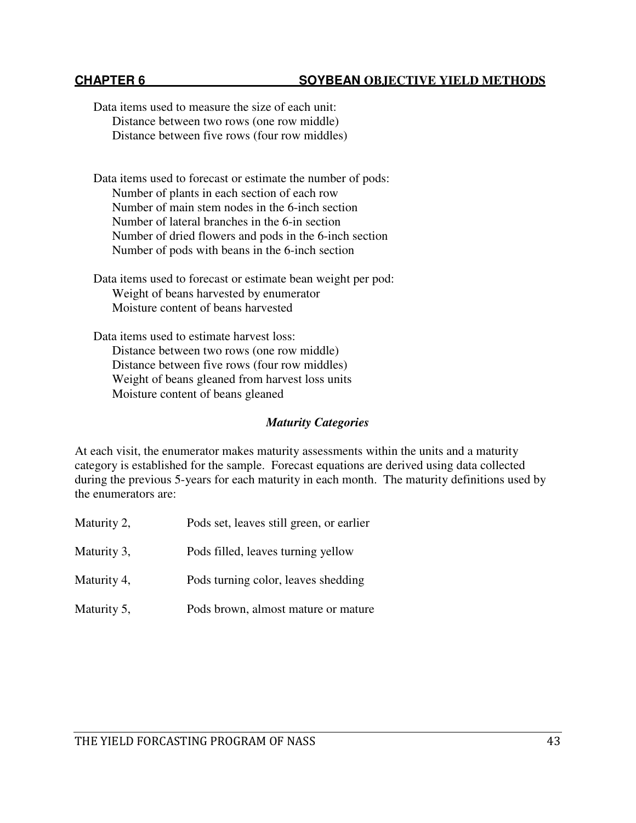Data items used to measure the size of each unit: Distance between two rows (one row middle) Distance between five rows (four row middles) Data items used to forecast or estimate the number of pods: Number of plants in each section of each row Number of main stem nodes in the 6-inch section

Number of lateral branches in the 6-in section Number of dried flowers and pods in the 6-inch section Number of pods with beans in the 6-inch section

Data items used to forecast or estimate bean weight per pod: Weight of beans harvested by enumerator Moisture content of beans harvested

Data items used to estimate harvest loss: Distance between two rows (one row middle) Distance between five rows (four row middles) Weight of beans gleaned from harvest loss units Moisture content of beans gleaned

# *Maturity Categories*

At each visit, the enumerator makes maturity assessments within the units and a maturity category is established for the sample. Forecast equations are derived using data collected during the previous 5-years for each maturity in each month. The maturity definitions used by the enumerators are:

Maturity 2, Pods set, leaves still green, or earlier Maturity 3, Pods filled, leaves turning yellow Maturity 4, Pods turning color, leaves shedding Maturity 5, Pods brown, almost mature or mature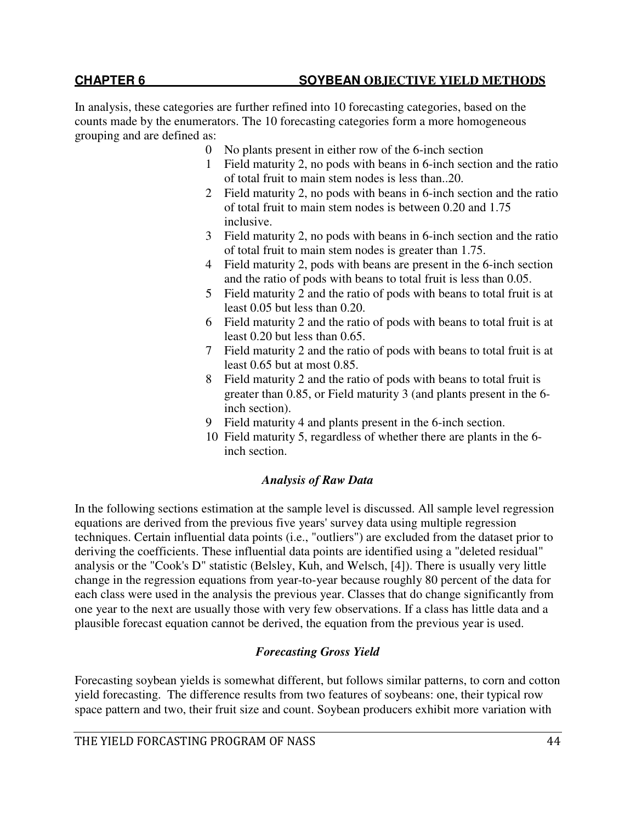In analysis, these categories are further refined into 10 forecasting categories, based on the counts made by the enumerators. The 10 forecasting categories form a more homogeneous grouping and are defined as:

- 0 No plants present in either row of the 6-inch section
- 1 Field maturity 2, no pods with beans in 6-inch section and the ratio of total fruit to main stem nodes is less than..20.
- 2 Field maturity 2, no pods with beans in 6-inch section and the ratio of total fruit to main stem nodes is between 0.20 and 1.75 inclusive.
- 3 Field maturity 2, no pods with beans in 6-inch section and the ratio of total fruit to main stem nodes is greater than 1.75.
- 4 Field maturity 2, pods with beans are present in the 6-inch section and the ratio of pods with beans to total fruit is less than 0.05.
- 5 Field maturity 2 and the ratio of pods with beans to total fruit is at least 0.05 but less than 0.20.
- 6 Field maturity 2 and the ratio of pods with beans to total fruit is at least 0.20 but less than 0.65.
- 7 Field maturity 2 and the ratio of pods with beans to total fruit is at least 0.65 but at most 0.85.
- 8 Field maturity 2 and the ratio of pods with beans to total fruit is greater than 0.85, or Field maturity 3 (and plants present in the 6 inch section).
- 9 Field maturity 4 and plants present in the 6-inch section.
- 10 Field maturity 5, regardless of whether there are plants in the 6 inch section.

# *Analysis of Raw Data*

In the following sections estimation at the sample level is discussed. All sample level regression equations are derived from the previous five years' survey data using multiple regression techniques. Certain influential data points (i.e., "outliers") are excluded from the dataset prior to deriving the coefficients. These influential data points are identified using a "deleted residual" analysis or the "Cook's D" statistic (Belsley, Kuh, and Welsch, [4]). There is usually very little change in the regression equations from year-to-year because roughly 80 percent of the data for each class were used in the analysis the previous year. Classes that do change significantly from one year to the next are usually those with very few observations. If a class has little data and a plausible forecast equation cannot be derived, the equation from the previous year is used.

# *Forecasting Gross Yield*

Forecasting soybean yields is somewhat different, but follows similar patterns, to corn and cotton yield forecasting. The difference results from two features of soybeans: one, their typical row space pattern and two, their fruit size and count. Soybean producers exhibit more variation with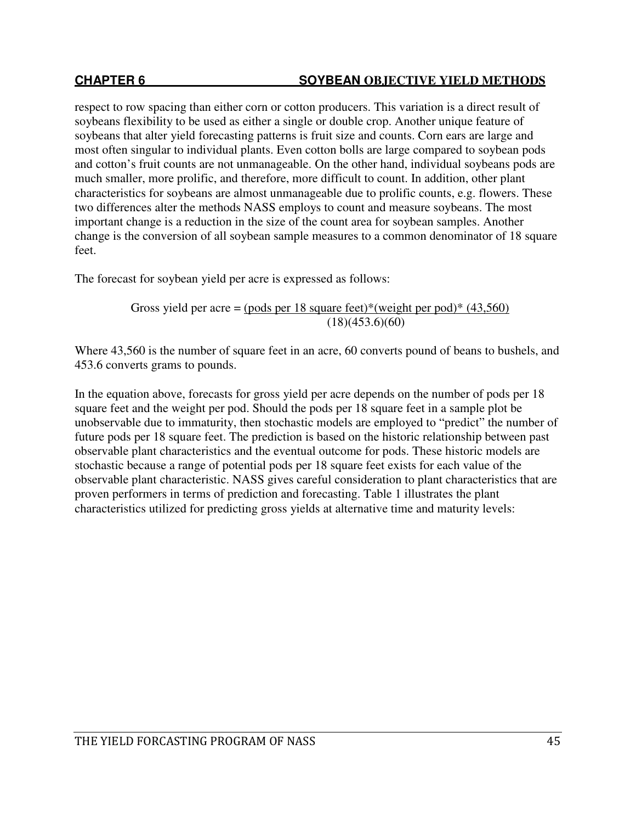respect to row spacing than either corn or cotton producers. This variation is a direct result of soybeans flexibility to be used as either a single or double crop. Another unique feature of soybeans that alter yield forecasting patterns is fruit size and counts. Corn ears are large and most often singular to individual plants. Even cotton bolls are large compared to soybean pods and cotton's fruit counts are not unmanageable. On the other hand, individual soybeans pods are much smaller, more prolific, and therefore, more difficult to count. In addition, other plant characteristics for soybeans are almost unmanageable due to prolific counts, e.g. flowers. These two differences alter the methods NASS employs to count and measure soybeans. The most important change is a reduction in the size of the count area for soybean samples. Another change is the conversion of all soybean sample measures to a common denominator of 18 square feet.

The forecast for soybean yield per acre is expressed as follows:

Gross yield per acre =  $(pods per 18 square feet)*(weight per pod)*(43,560)$  $(18)(453.6)(60)$ 

Where 43,560 is the number of square feet in an acre, 60 converts pound of beans to bushels, and 453.6 converts grams to pounds.

In the equation above, forecasts for gross yield per acre depends on the number of pods per 18 square feet and the weight per pod. Should the pods per 18 square feet in a sample plot be unobservable due to immaturity, then stochastic models are employed to "predict" the number of future pods per 18 square feet. The prediction is based on the historic relationship between past observable plant characteristics and the eventual outcome for pods. These historic models are stochastic because a range of potential pods per 18 square feet exists for each value of the observable plant characteristic. NASS gives careful consideration to plant characteristics that are proven performers in terms of prediction and forecasting. Table 1 illustrates the plant characteristics utilized for predicting gross yields at alternative time and maturity levels: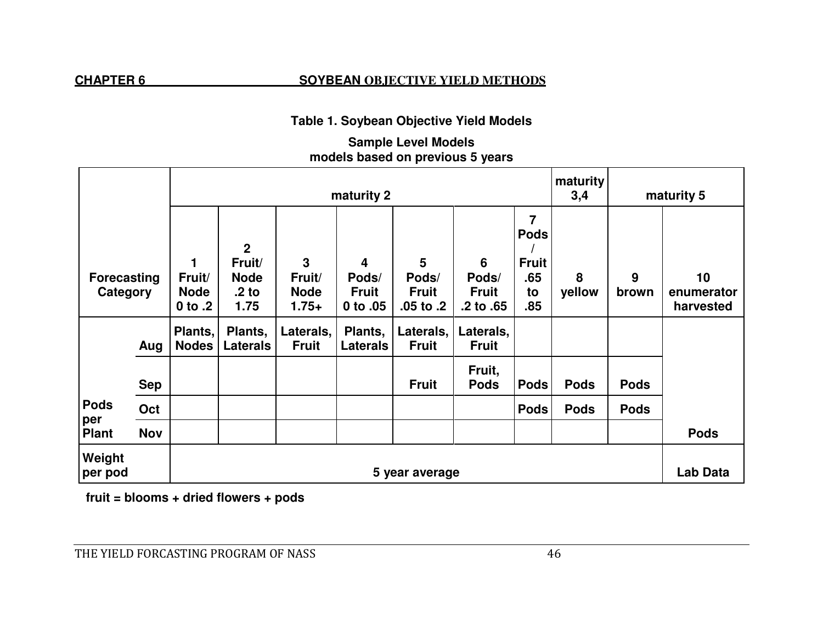# **Table 1. Soybean Objective Yield Models**

# **Sample Level Models models based on previous 5 years**

|                                |            |                                      | maturity<br>maturity 2<br>3,4           |                                  |                                   |                                        |                                      |                                  |             | maturity 5  |                               |
|--------------------------------|------------|--------------------------------------|-----------------------------------------|----------------------------------|-----------------------------------|----------------------------------------|--------------------------------------|----------------------------------|-------------|-------------|-------------------------------|
|                                |            | 1                                    | $\mathbf{2}$<br>Fruit/                  | 3                                | 4                                 | $5\phantom{.0}$                        | $6\phantom{1}6$                      | 7<br><b>Pods</b><br><b>Fruit</b> |             |             |                               |
| <b>Forecasting</b><br>Category |            | Fruit/<br><b>Node</b><br>$0$ to $.2$ | <b>Node</b><br>.2 <sub>to</sub><br>1.75 | Fruit/<br><b>Node</b><br>$1.75+$ | Pods/<br><b>Fruit</b><br>0 to .05 | Pods/<br><b>Fruit</b><br>$.05$ to $.2$ | Pods/<br><b>Fruit</b><br>.2 to $.65$ | .65<br>to<br>.85                 | 8<br>yellow | 9<br>brown  | 10<br>enumerator<br>harvested |
|                                | Aug        | Plants,<br><b>Nodes</b>              | Plants,<br><b>Laterals</b>              | Laterals,<br><b>Fruit</b>        | Plants,<br><b>Laterals</b>        | Laterals,<br><b>Fruit</b>              | Laterals,<br><b>Fruit</b>            |                                  |             |             |                               |
|                                | <b>Sep</b> |                                      |                                         |                                  |                                   | <b>Fruit</b>                           | Fruit,<br><b>Pods</b>                | <b>Pods</b>                      | <b>Pods</b> | <b>Pods</b> |                               |
| <b>Pods</b>                    | Oct        |                                      |                                         |                                  |                                   |                                        |                                      | <b>Pods</b>                      | <b>Pods</b> | <b>Pods</b> |                               |
| per<br><b>Plant</b>            | <b>Nov</b> |                                      |                                         |                                  |                                   |                                        |                                      |                                  |             |             | <b>Pods</b>                   |
| Weight<br>per pod              |            |                                      |                                         |                                  |                                   | 5 year average                         |                                      |                                  |             |             | Lab Data                      |

 **fruit = blooms + dried flowers + pods**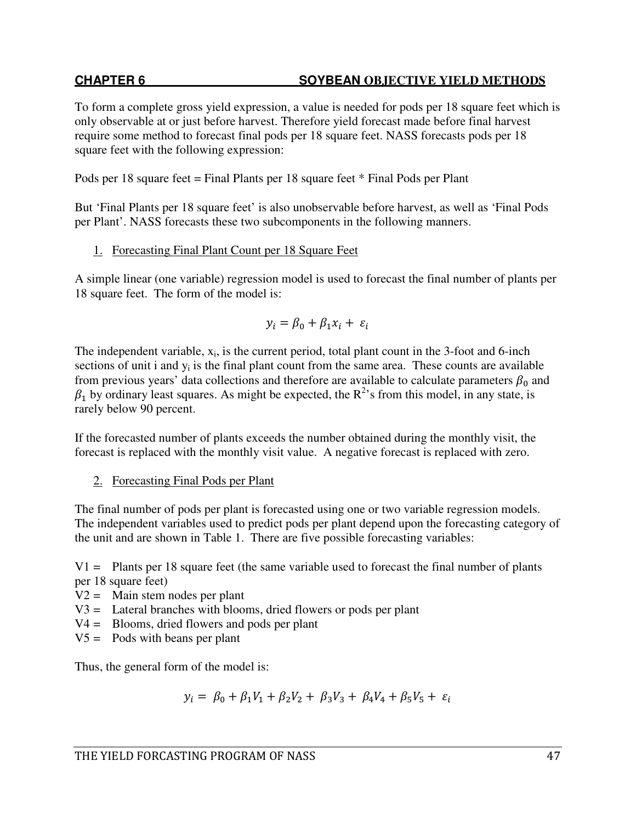To form a complete gross yield expression, a value is needed for pods per 18 square feet which is only observable at or just before harvest. Therefore yield forecast made before final harvest require some method to forecast final pods per 18 square feet. NASS forecasts pods per 18 square feet with the following expression:

Pods per 18 square feet = Final Plants per 18 square feet \* Final Pods per Plant

But 'Final Plants per 18 square feet' is also unobservable before harvest, as well as 'Final Pods per Plant'. NASS forecasts these two subcomponents in the following manners.

# 1. Forecasting Final Plant Count per 18 Square Feet

A simple linear (one variable) regression model is used to forecast the final number of plants per 18 square feet. The form of the model is:

$$
y_i = \beta_0 + \beta_1 x_i + \varepsilon_i
$$

The independent variable,  $x_i$ , is the current period, total plant count in the 3-foot and 6-inch sections of unit i and  $y_i$  is the final plant count from the same area. These counts are available from previous years' data collections and therefore are available to calculate parameters  $\beta_0$  and  $\beta_1$  by ordinary least squares. As might be expected, the R<sup>2</sup>'s from this model, in any state, is rarely below 90 percent.

If the forecasted number of plants exceeds the number obtained during the monthly visit, the forecast is replaced with the monthly visit value. A negative forecast is replaced with zero.

# 2. Forecasting Final Pods per Plant

The final number of pods per plant is forecasted using one or two variable regression models. The independent variables used to predict pods per plant depend upon the forecasting category of the unit and are shown in Table 1. There are five possible forecasting variables:

 $V1 =$  Plants per 18 square feet (the same variable used to forecast the final number of plants per 18 square feet)

- $V2 =$  Main stem nodes per plant
- V3 = Lateral branches with blooms, dried flowers or pods per plant
- V4 = Blooms, dried flowers and pods per plant
- $V5 =$  Pods with beans per plant

Thus, the general form of the model is:

$$
y_i = \beta_0 + \beta_1 V_1 + \beta_2 V_2 + \beta_3 V_3 + \beta_4 V_4 + \beta_5 V_5 + \varepsilon_i
$$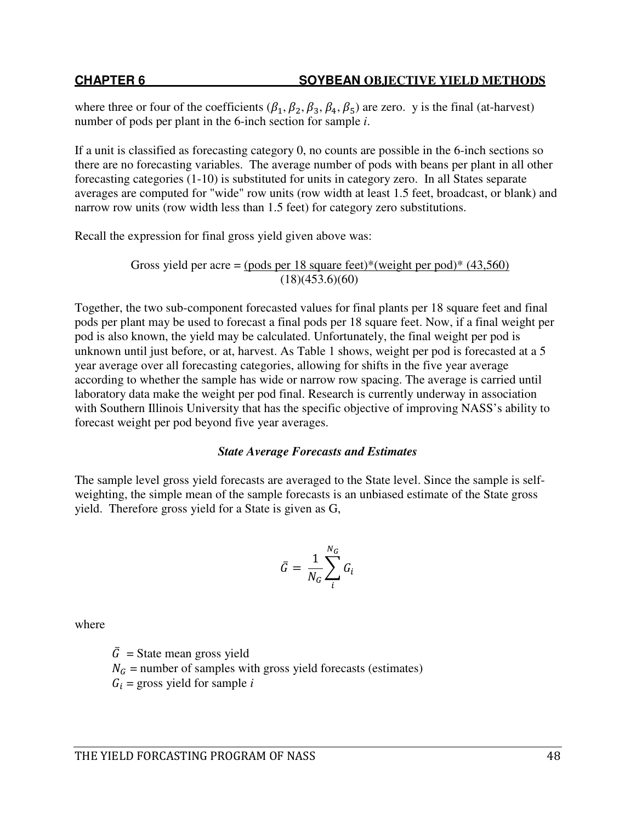where three or four of the coefficients ( $\beta_1$ ,  $\beta_2$ ,  $\beta_3$ ,  $\beta_4$ ,  $\beta_5$ ) are zero. y is the final (at-harvest) number of pods per plant in the 6-inch section for sample *i*.

If a unit is classified as forecasting category 0, no counts are possible in the 6-inch sections so there are no forecasting variables. The average number of pods with beans per plant in all other forecasting categories (1-10) is substituted for units in category zero. In all States separate averages are computed for "wide" row units (row width at least 1.5 feet, broadcast, or blank) and narrow row units (row width less than 1.5 feet) for category zero substitutions.

Recall the expression for final gross yield given above was:

Gross yield per acre = (pods per 18 square feet)\*(weight per pod)\*  $(43,560)$  $(18)(453.6)(60)$ 

Together, the two sub-component forecasted values for final plants per 18 square feet and final pods per plant may be used to forecast a final pods per 18 square feet. Now, if a final weight per pod is also known, the yield may be calculated. Unfortunately, the final weight per pod is unknown until just before, or at, harvest. As Table 1 shows, weight per pod is forecasted at a 5 year average over all forecasting categories, allowing for shifts in the five year average according to whether the sample has wide or narrow row spacing. The average is carried until laboratory data make the weight per pod final. Research is currently underway in association with Southern Illinois University that has the specific objective of improving NASS's ability to forecast weight per pod beyond five year averages.

# *State Average Forecasts and Estimates*

The sample level gross yield forecasts are averaged to the State level. Since the sample is selfweighting, the simple mean of the sample forecasts is an unbiased estimate of the State gross yield. Therefore gross yield for a State is given as G,

$$
\bar{G} = \frac{1}{N_G} \sum_{i}^{N_G} G_i
$$

where

 $\overline{G}$  = State mean gross yield  $N<sub>G</sub>$  = number of samples with gross yield forecasts (estimates)  $G_i$  = gross yield for sample *i*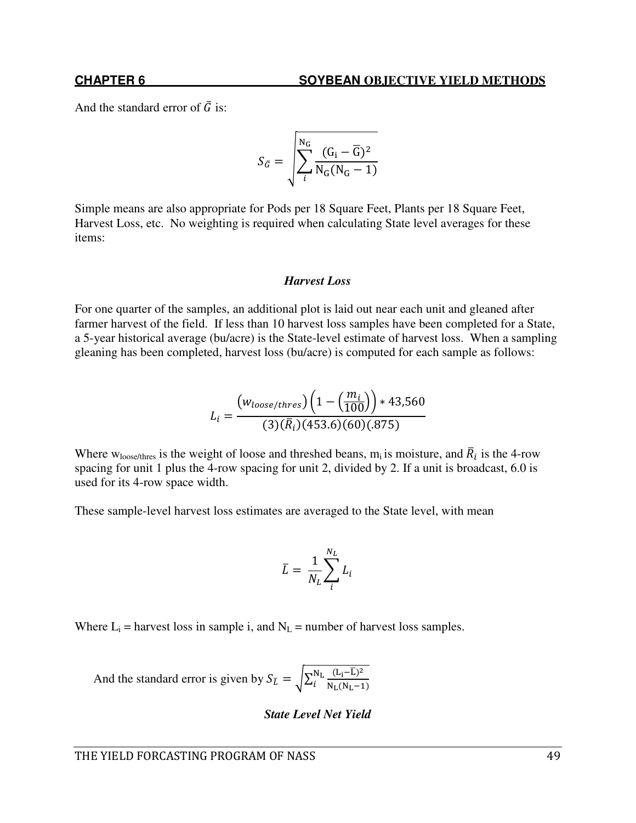And the standard error of  $\overline{G}$  is:

$$
S_{\bar{G}} = \sqrt{\sum_{i}^{N_G} \frac{(G_i - \overline{G})^2}{N_G(N_G - 1)}}
$$

Simple means are also appropriate for Pods per 18 Square Feet, Plants per 18 Square Feet, Harvest Loss, etc. No weighting is required when calculating State level averages for these items:

### *Harvest Loss*

For one quarter of the samples, an additional plot is laid out near each unit and gleaned after farmer harvest of the field. If less than 10 harvest loss samples have been completed for a State, a 5-year historical average (bu/acre) is the State-level estimate of harvest loss. When a sampling gleaning has been completed, harvest loss (bu/acre) is computed for each sample as follows:

$$
L_i = \frac{(w_{loose/thres})\left(1 - \left(\frac{m_i}{100}\right)\right) * 43,560}{(3)(\bar{R}_i)(453.6)(60)(.875)}
$$

Where w<sub>loose/thres</sub> is the weight of loose and threshed beans, m<sub>i</sub> is moisture, and  $\overline{R}_i$  is the 4-row spacing for unit 1 plus the 4-row spacing for unit 2, divided by 2. If a unit is broadcast, 6.0 is used for its 4-row space width.

These sample-level harvest loss estimates are averaged to the State level, with mean

$$
\bar{L} = \frac{1}{N_L} \sum_{i}^{N_L} L_i
$$

Where  $L_i$  = harvest loss in sample i, and  $N_L$  = number of harvest loss samples.

And the standard error is given by  $S_{\bar{L}} = \sqrt{\sum_{i=1}^{N_{\rm L}} \frac{(L_{\rm i}-\bar{L})^2}{N_{\rm L}(N_{\rm L}-1)}}$  $N_L(N_L-1)$  $_{\rm L}^{\rm N}$ l

### *State Level Net Yield*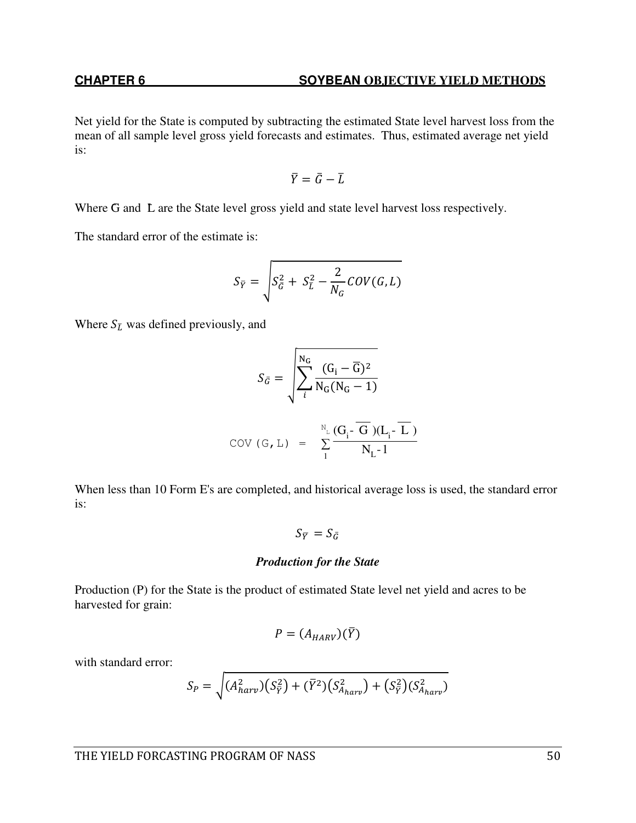Net yield for the State is computed by subtracting the estimated State level harvest loss from the mean of all sample level gross yield forecasts and estimates. Thus, estimated average net yield is:

$$
\bar{Y} = \bar{G} - \bar{L}
$$

Where G and L are the State level gross yield and state level harvest loss respectively.

The standard error of the estimate is:

$$
S_{\overline{Y}} = \sqrt{S_{\overline{G}}^2 + S_{\overline{L}}^2 - \frac{2}{N_G} \text{COV}(G, L)}
$$

Where  $S_{\bar{L}}$  was defined previously, and

$$
S_{\bar{G}} = \sqrt{\sum_{i}^{N_G} \frac{(G_i - \overline{G})^2}{N_G(N_G - 1)}}
$$
  
COV (G, L) = 
$$
\sum_{1}^{N_L} \frac{(G_i - \overline{G})(L_i - \overline{L})}{N_L - 1}
$$

When less than 10 Form E's are completed, and historical average loss is used, the standard error is:

$$
S_{\overline{Y}}=S_{\bar{G}}
$$

### *Production for the State*

Production (P) for the State is the product of estimated State level net yield and acres to be harvested for grain:

$$
P=(A_{HARV})(\bar{Y})
$$

with standard error:

$$
S_P = \sqrt{(A_{harv}^2)(S_{\bar{Y}}^2) + (\bar{Y}^2)(S_{A_{harv}}^2) + (S_{\bar{Y}}^2)(S_{A_{harv}}^2)}
$$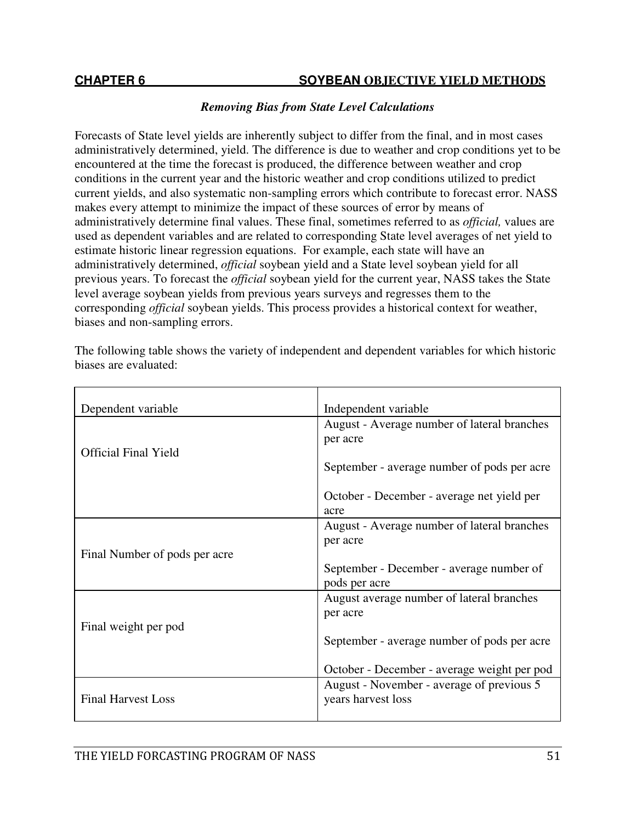# *Removing Bias from State Level Calculations*

Forecasts of State level yields are inherently subject to differ from the final, and in most cases administratively determined, yield. The difference is due to weather and crop conditions yet to be encountered at the time the forecast is produced, the difference between weather and crop conditions in the current year and the historic weather and crop conditions utilized to predict current yields, and also systematic non-sampling errors which contribute to forecast error. NASS makes every attempt to minimize the impact of these sources of error by means of administratively determine final values. These final, sometimes referred to as *official,* values are used as dependent variables and are related to corresponding State level averages of net yield to estimate historic linear regression equations. For example, each state will have an administratively determined, *official* soybean yield and a State level soybean yield for all previous years. To forecast the *official* soybean yield for the current year, NASS takes the State level average soybean yields from previous years surveys and regresses them to the corresponding *official* soybean yields. This process provides a historical context for weather, biases and non-sampling errors.

| Dependent variable            | Independent variable                        |
|-------------------------------|---------------------------------------------|
|                               | August - Average number of lateral branches |
|                               | per acre                                    |
| <b>Official Final Yield</b>   |                                             |
|                               | September - average number of pods per acre |
|                               | October - December - average net yield per  |
|                               | acre                                        |
|                               | August - Average number of lateral branches |
|                               | per acre                                    |
| Final Number of pods per acre |                                             |
|                               | September - December - average number of    |
|                               | pods per acre                               |
|                               | August average number of lateral branches   |
|                               | per acre                                    |
| Final weight per pod          | September - average number of pods per acre |
|                               |                                             |
|                               | October - December - average weight per pod |
|                               | August - November - average of previous 5   |
| <b>Final Harvest Loss</b>     | years harvest loss                          |
|                               |                                             |

The following table shows the variety of independent and dependent variables for which historic biases are evaluated: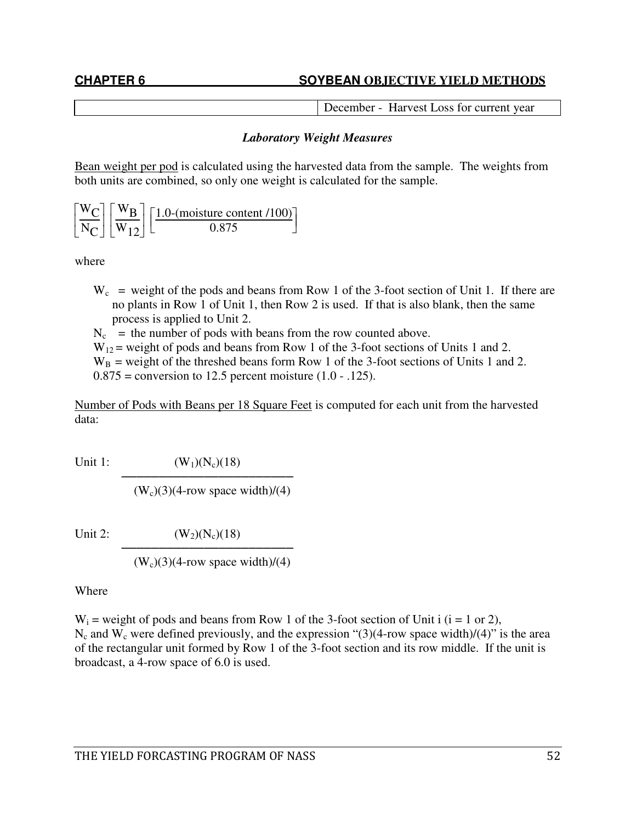December - Harvest Loss for current year

# *Laboratory Weight Measures*

Bean weight per pod is calculated using the harvested data from the sample. The weights from both units are combined, so only one weight is calculated for the sample.

L  $\mathbf{r}$ Γ  $\rfloor$  $\frac{W_C}{W}$  $\frac{C}{N_{\rm C}}$ Γ 」  $\frac{W_{B}}{W}$  $\frac{W_{\text{B}}}{W_{12}}$  $\left[\frac{1.0\text{-}\text{(moisture content /100)}}{0.875}\right]$ 0.875

where

- $W_c$  = weight of the pods and beans from Row 1 of the 3-foot section of Unit 1. If there are no plants in Row 1 of Unit 1, then Row 2 is used. If that is also blank, then the same process is applied to Unit 2.
- $N_c$  = the number of pods with beans from the row counted above.
- $W_{12}$  = weight of pods and beans from Row 1 of the 3-foot sections of Units 1 and 2.  $W_B$  = weight of the threshed beans form Row 1 of the 3-foot sections of Units 1 and 2.  $0.875$  = conversion to 12.5 percent moisture  $(1.0 - 0.125)$ .

Number of Pods with Beans per 18 Square Feet is computed for each unit from the harvested data:

Unit 1:  $(W_1)(N_c)(18)$ ───────────────────────

 $(W_c)(3)(4$ -row space width)/(4)

Unit 2:  $(W_2)(N_c)(18)$ ───────────────────────

 $(W_c)(3)(4$ -row space width $)/(4)$ 

Where

 $W_i$  = weight of pods and beans from Row 1 of the 3-foot section of Unit i (i = 1 or 2),  $N_c$  and  $W_c$  were defined previously, and the expression "(3)(4-row space width)/(4)" is the area of the rectangular unit formed by Row 1 of the 3-foot section and its row middle. If the unit is broadcast, a 4-row space of 6.0 is used.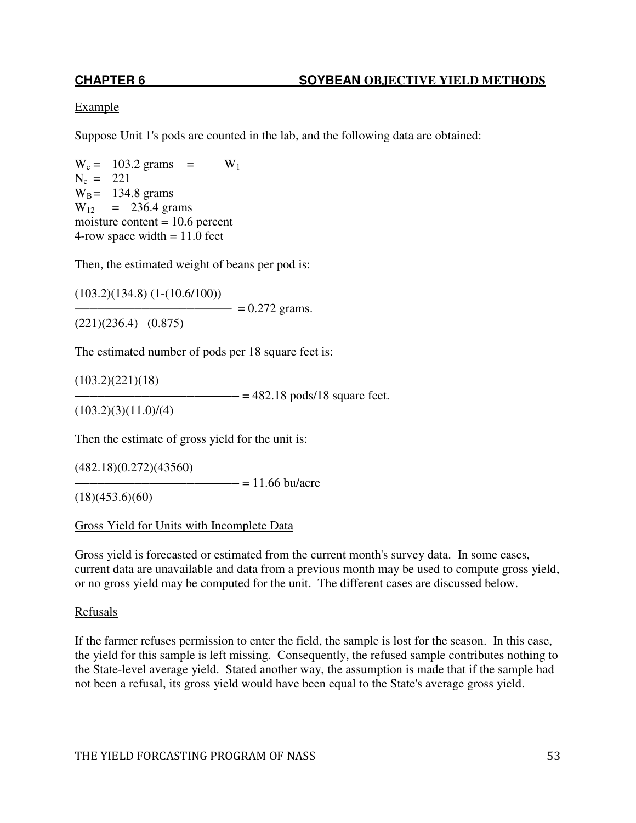# Example

Suppose Unit 1's pods are counted in the lab, and the following data are obtained:

 $W_c = 103.2 \text{ grams} = W_1$  $N_c = 221$  $W_B = 134.8$  grams  $W_{12}$  = 236.4 grams moisture content  $= 10.6$  percent 4-row space width  $= 11.0$  feet

Then, the estimated weight of beans per pod is:

(103.2)(134.8) (1-(10.6/100))  $-$  = 0.272 grams. (221)(236.4) (0.875)

The estimated number of pods per 18 square feet is:

 $(103.2)(221)(18)$ 

 $\epsilon$  = 482.18 pods/18 square feet.

 $(103.2)(3)(11.0)/(4)$ 

Then the estimate of gross yield for the unit is:

(482.18)(0.272)(43560)

 $\frac{1}{2}$  = 11.66 bu/acre

 $(18)(453.6)(60)$ 

Gross Yield for Units with Incomplete Data

Gross yield is forecasted or estimated from the current month's survey data. In some cases, current data are unavailable and data from a previous month may be used to compute gross yield, or no gross yield may be computed for the unit. The different cases are discussed below.

### Refusals

If the farmer refuses permission to enter the field, the sample is lost for the season. In this case, the yield for this sample is left missing. Consequently, the refused sample contributes nothing to the State-level average yield. Stated another way, the assumption is made that if the sample had not been a refusal, its gross yield would have been equal to the State's average gross yield.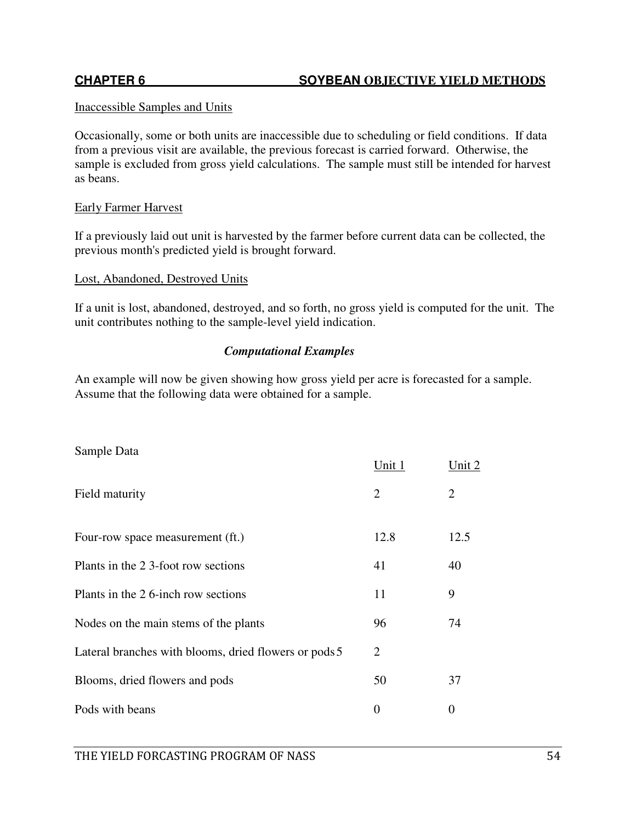# Inaccessible Samples and Units

Occasionally, some or both units are inaccessible due to scheduling or field conditions. If data from a previous visit are available, the previous forecast is carried forward. Otherwise, the sample is excluded from gross yield calculations. The sample must still be intended for harvest as beans.

## Early Farmer Harvest

If a previously laid out unit is harvested by the farmer before current data can be collected, the previous month's predicted yield is brought forward.

### Lost, Abandoned, Destroyed Units

If a unit is lost, abandoned, destroyed, and so forth, no gross yield is computed for the unit. The unit contributes nothing to the sample-level yield indication.

# *Computational Examples*

An example will now be given showing how gross yield per acre is forecasted for a sample. Assume that the following data were obtained for a sample.

| Sample Data                                           |                |                |
|-------------------------------------------------------|----------------|----------------|
|                                                       | Unit 1         | Unit 2         |
| Field maturity                                        | $\overline{2}$ | 2              |
| Four-row space measurement (ft.)                      | 12.8           | 12.5           |
| Plants in the 23-foot row sections                    | 41             | 40             |
| Plants in the 26-inch row sections                    | 11             | 9              |
| Nodes on the main stems of the plants                 | 96             | 74             |
| Lateral branches with blooms, dried flowers or pods 5 | 2              |                |
| Blooms, dried flowers and pods                        | 50             | 37             |
| Pods with beans                                       | $\overline{0}$ | $\overline{0}$ |
|                                                       |                |                |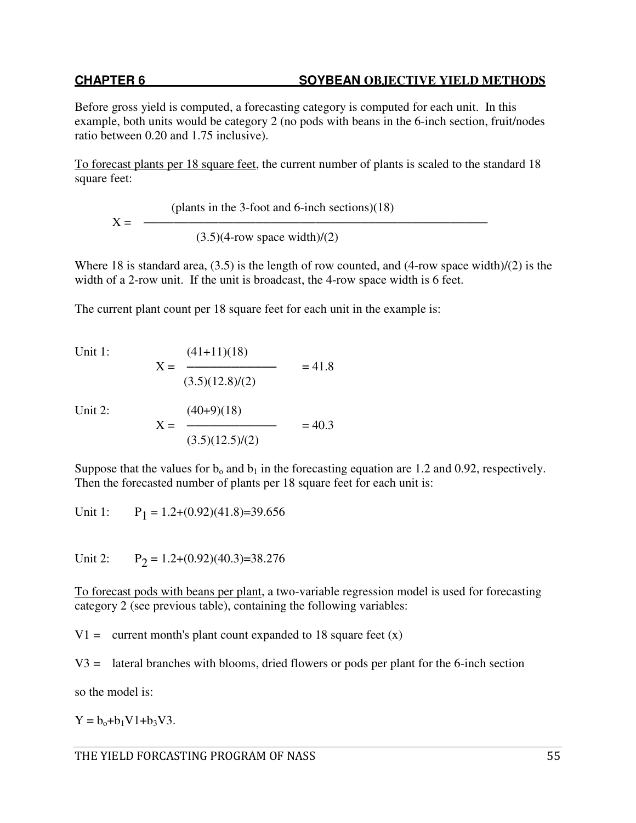Before gross yield is computed, a forecasting category is computed for each unit. In this example, both units would be category 2 (no pods with beans in the 6-inch section, fruit/nodes ratio between 0.20 and 1.75 inclusive).

To forecast plants per 18 square feet, the current number of plants is scaled to the standard 18 square feet:

 (plants in the 3-foot and 6-inch sections)(18)  $X =$   $-- (3.5)(4$ -row space width $)/(2)$ 

Where 18 is standard area, (3.5) is the length of row counted, and (4-row space width)/(2) is the width of a 2-row unit. If the unit is broadcast, the 4-row space width is 6 feet.

The current plant count per 18 square feet for each unit in the example is:

Unit 1: 
$$
X = \frac{(41+11)(18)}{(3.5)(12.8)/(2)} = 41.8
$$

Unit  $2$ :

Unit 2: 
$$
X = \frac{(40+9)(18)}{(3.5)(12.5)/(2)} = 40.3
$$

Suppose that the values for  $b_0$  and  $b_1$  in the forecasting equation are 1.2 and 0.92, respectively. Then the forecasted number of plants per 18 square feet for each unit is:

Unit  $1$ :  $P_1 = 1.2+(0.92)(41.8)=39.656$ 

Unit  $2$ :  $P_2 = 1.2+(0.92)(40.3)=38.276$ 

To forecast pods with beans per plant, a two-variable regression model is used for forecasting category 2 (see previous table), containing the following variables:

 $V1 =$  current month's plant count expanded to 18 square feet  $(x)$ 

V3 = lateral branches with blooms, dried flowers or pods per plant for the 6-inch section

so the model is:

 $Y = b_0 + b_1 V1 + b_3 V3$ .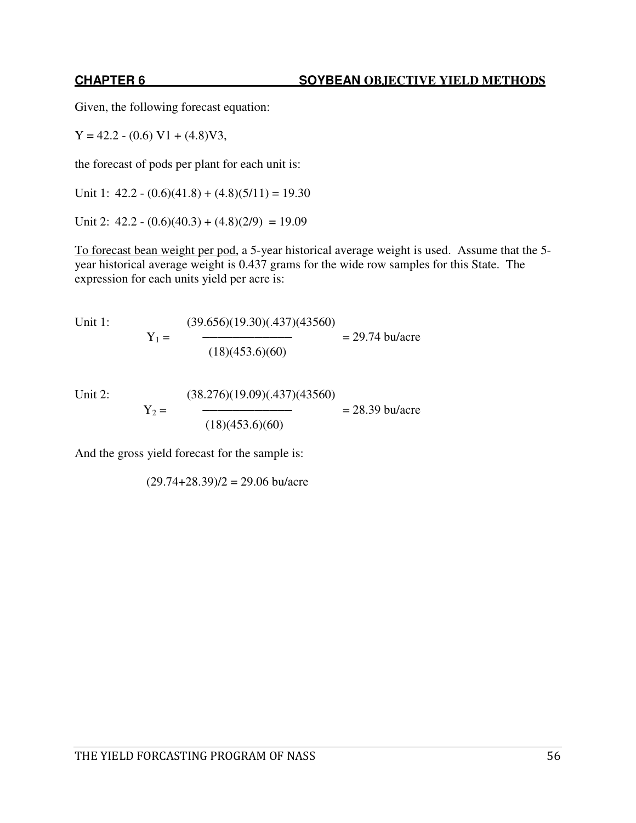Given, the following forecast equation:

 $Y = 42.2 - (0.6) V1 + (4.8) V3,$ 

the forecast of pods per plant for each unit is:

Unit 1:  $42.2 - (0.6)(41.8) + (4.8)(5/11) = 19.30$ 

Unit 2:  $42.2 - (0.6)(40.3) + (4.8)(2/9) = 19.09$ 

To forecast bean weight per pod, a 5-year historical average weight is used. Assume that the 5 year historical average weight is 0.437 grams for the wide row samples for this State. The expression for each units yield per acre is:

Unit 1: 
$$
Y_1 = \frac{(39.656)(19.30)(.437)(43560)}{(18)(453.6)(60)} = 29.74 \text{ bu/acre}
$$

Unit 2: 
$$
Y_2 = \frac{(38.276)(19.09)(.437)(43560)}{(18)(453.6)(60)} = 28.39 \text{ bu/acre}
$$

And the gross yield forecast for the sample is:

 $(29.74+28.39)/2 = 29.06 \text{ bu/acre}$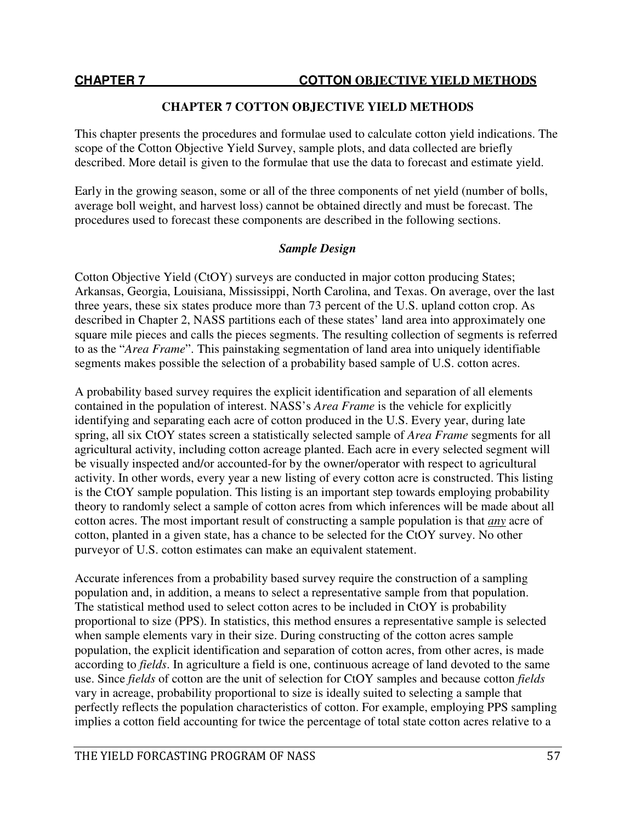This chapter presents the procedures and formulae used to calculate cotton yield indications. The scope of the Cotton Objective Yield Survey, sample plots, and data collected are briefly described. More detail is given to the formulae that use the data to forecast and estimate yield.

Early in the growing season, some or all of the three components of net yield (number of bolls, average boll weight, and harvest loss) cannot be obtained directly and must be forecast. The procedures used to forecast these components are described in the following sections.

# *Sample Design*

Cotton Objective Yield (CtOY) surveys are conducted in major cotton producing States; Arkansas, Georgia, Louisiana, Mississippi, North Carolina, and Texas. On average, over the last three years, these six states produce more than 73 percent of the U.S. upland cotton crop. As described in Chapter 2, NASS partitions each of these states' land area into approximately one square mile pieces and calls the pieces segments. The resulting collection of segments is referred to as the "*Area Frame*". This painstaking segmentation of land area into uniquely identifiable segments makes possible the selection of a probability based sample of U.S. cotton acres.

A probability based survey requires the explicit identification and separation of all elements contained in the population of interest. NASS's *Area Frame* is the vehicle for explicitly identifying and separating each acre of cotton produced in the U.S. Every year, during late spring, all six CtOY states screen a statistically selected sample of *Area Frame* segments for all agricultural activity, including cotton acreage planted. Each acre in every selected segment will be visually inspected and/or accounted-for by the owner/operator with respect to agricultural activity. In other words, every year a new listing of every cotton acre is constructed. This listing is the CtOY sample population. This listing is an important step towards employing probability theory to randomly select a sample of cotton acres from which inferences will be made about all cotton acres. The most important result of constructing a sample population is that *any* acre of cotton, planted in a given state, has a chance to be selected for the CtOY survey. No other purveyor of U.S. cotton estimates can make an equivalent statement.

Accurate inferences from a probability based survey require the construction of a sampling population and, in addition, a means to select a representative sample from that population. The statistical method used to select cotton acres to be included in CtOY is probability proportional to size (PPS). In statistics, this method ensures a representative sample is selected when sample elements vary in their size. During constructing of the cotton acres sample population, the explicit identification and separation of cotton acres, from other acres, is made according to *fields*. In agriculture a field is one, continuous acreage of land devoted to the same use. Since *fields* of cotton are the unit of selection for CtOY samples and because cotton *fields* vary in acreage, probability proportional to size is ideally suited to selecting a sample that perfectly reflects the population characteristics of cotton. For example, employing PPS sampling implies a cotton field accounting for twice the percentage of total state cotton acres relative to a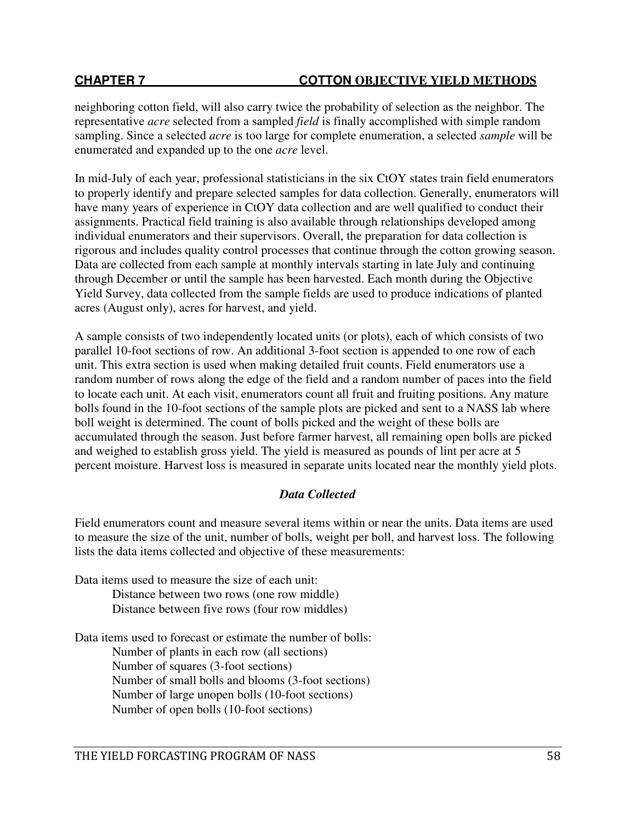neighboring cotton field, will also carry twice the probability of selection as the neighbor. The representative *acre* selected from a sampled *field* is finally accomplished with simple random sampling. Since a selected *acre* is too large for complete enumeration, a selected *sample* will be enumerated and expanded up to the one *acre* level.

In mid-July of each year, professional statisticians in the six CtOY states train field enumerators to properly identify and prepare selected samples for data collection. Generally, enumerators will have many years of experience in CtOY data collection and are well qualified to conduct their assignments. Practical field training is also available through relationships developed among individual enumerators and their supervisors. Overall, the preparation for data collection is rigorous and includes quality control processes that continue through the cotton growing season. Data are collected from each sample at monthly intervals starting in late July and continuing through December or until the sample has been harvested. Each month during the Objective Yield Survey, data collected from the sample fields are used to produce indications of planted acres (August only), acres for harvest, and yield.

A sample consists of two independently located units (or plots), each of which consists of two parallel 10-foot sections of row. An additional 3-foot section is appended to one row of each unit. This extra section is used when making detailed fruit counts. Field enumerators use a random number of rows along the edge of the field and a random number of paces into the field to locate each unit. At each visit, enumerators count all fruit and fruiting positions. Any mature bolls found in the 10-foot sections of the sample plots are picked and sent to a NASS lab where boll weight is determined. The count of bolls picked and the weight of these bolls are accumulated through the season. Just before farmer harvest, all remaining open bolls are picked and weighed to establish gross yield. The yield is measured as pounds of lint per acre at 5 percent moisture. Harvest loss is measured in separate units located near the monthly yield plots.

# *Data Collected*

Field enumerators count and measure several items within or near the units. Data items are used to measure the size of the unit, number of bolls, weight per boll, and harvest loss. The following lists the data items collected and objective of these measurements:

Data items used to measure the size of each unit: Distance between two rows (one row middle) Distance between five rows (four row middles)

Data items used to forecast or estimate the number of bolls:

Number of plants in each row (all sections) Number of squares (3-foot sections) Number of small bolls and blooms (3-foot sections) Number of large unopen bolls (10-foot sections) Number of open bolls (10-foot sections)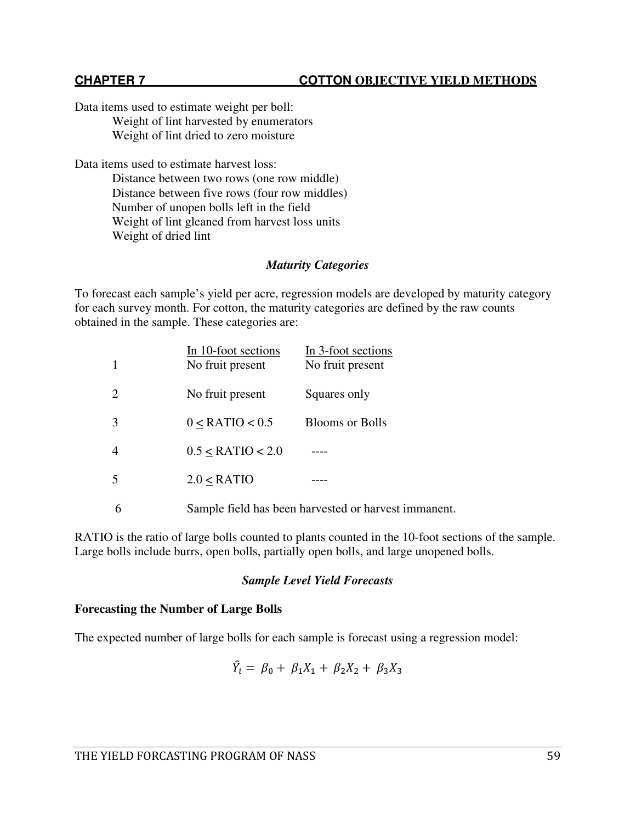Data items used to estimate weight per boll: Weight of lint harvested by enumerators Weight of lint dried to zero moisture

Data items used to estimate harvest loss:

Distance between two rows (one row middle) Distance between five rows (four row middles) Number of unopen bolls left in the field Weight of lint gleaned from harvest loss units Weight of dried lint

# *Maturity Categories*

To forecast each sample's yield per acre, regression models are developed by maturity category for each survey month. For cotton, the maturity categories are defined by the raw counts obtained in the sample. These categories are:

| 1          | In 10-foot sections<br>No fruit present | In 3-foot sections<br>No fruit present |
|------------|-----------------------------------------|----------------------------------------|
| 2          | No fruit present                        | Squares only                           |
| 3          | $0 <$ RATIO $< 0.5$                     | <b>Blooms or Bolls</b>                 |
| 4          | $0.5 <$ RATIO $< 2.0$                   |                                        |
| 5          | 2.0 < RATIO                             |                                        |
| $\sqrt{2}$ |                                         |                                        |

6 Sample field has been harvested or harvest immanent.

RATIO is the ratio of large bolls counted to plants counted in the 10-foot sections of the sample. Large bolls include burrs, open bolls, partially open bolls, and large unopened bolls.

# *Sample Level Yield Forecasts*

# **Forecasting the Number of Large Bolls**

The expected number of large bolls for each sample is forecast using a regression model:

$$
\hat{Y}_i = \beta_0 + \beta_1 X_1 + \beta_2 X_2 + \beta_3 X_3
$$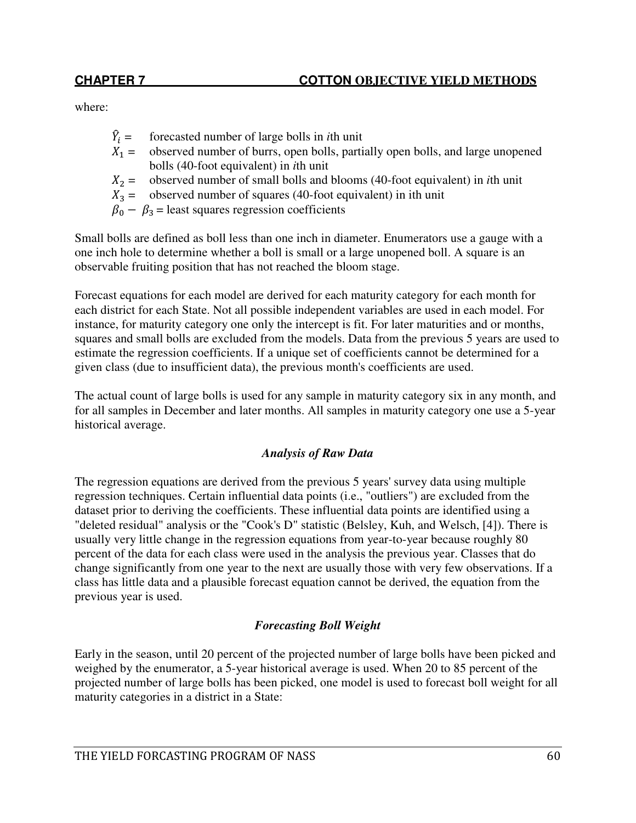where:

- $\hat{Y}_i$ forecasted number of large bolls in *i*th unit
- $X_1 =$  observed number of burrs, open bolls, partially open bolls, and large unopened bolls (40-foot equivalent) in *i*th unit
- $X_2$  = observed number of small bolls and blooms (40-foot equivalent) in *i*th unit  $X_3$  = observed number of squares (40-foot equivalent) in *i*th unit
- observed number of squares (40-foot equivalent) in ith unit
- $\beta_0 \beta_3$  = least squares regression coefficients

Small bolls are defined as boll less than one inch in diameter. Enumerators use a gauge with a one inch hole to determine whether a boll is small or a large unopened boll. A square is an observable fruiting position that has not reached the bloom stage.

Forecast equations for each model are derived for each maturity category for each month for each district for each State. Not all possible independent variables are used in each model. For instance, for maturity category one only the intercept is fit. For later maturities and or months, squares and small bolls are excluded from the models. Data from the previous 5 years are used to estimate the regression coefficients. If a unique set of coefficients cannot be determined for a given class (due to insufficient data), the previous month's coefficients are used.

The actual count of large bolls is used for any sample in maturity category six in any month, and for all samples in December and later months. All samples in maturity category one use a 5-year historical average.

# *Analysis of Raw Data*

The regression equations are derived from the previous 5 years' survey data using multiple regression techniques. Certain influential data points (i.e., "outliers") are excluded from the dataset prior to deriving the coefficients. These influential data points are identified using a "deleted residual" analysis or the "Cook's D" statistic (Belsley, Kuh, and Welsch, [4]). There is usually very little change in the regression equations from year-to-year because roughly 80 percent of the data for each class were used in the analysis the previous year. Classes that do change significantly from one year to the next are usually those with very few observations. If a class has little data and a plausible forecast equation cannot be derived, the equation from the previous year is used.

# *Forecasting Boll Weight*

Early in the season, until 20 percent of the projected number of large bolls have been picked and weighed by the enumerator, a 5-year historical average is used. When 20 to 85 percent of the projected number of large bolls has been picked, one model is used to forecast boll weight for all maturity categories in a district in a State: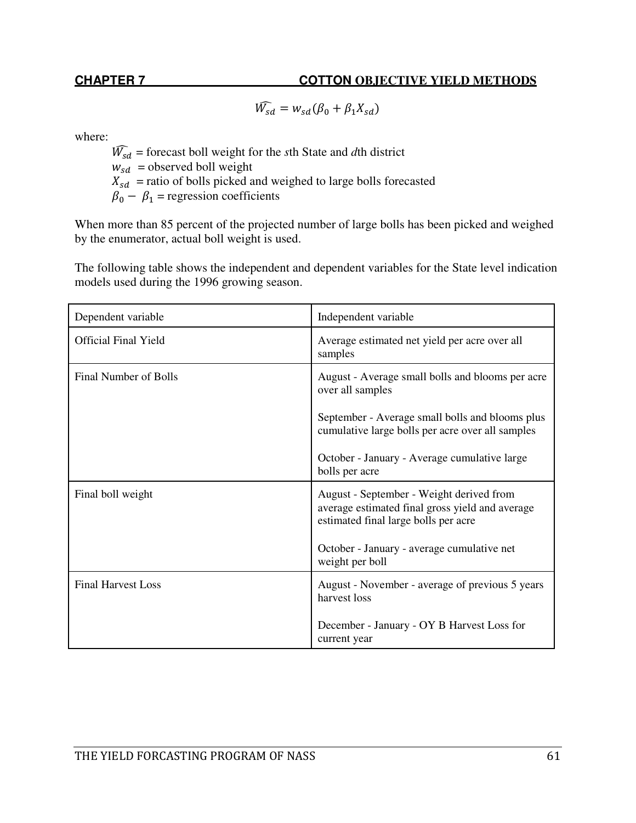$\widehat{W_{sd}} = w_{sd} (\beta_0 + \beta_1 X_{sd})$ 

where:

 $\widehat{W_{sd}}$  = forecast boll weight for the *s*th State and *d*th district  $w_{sd}$  = observed boll weight  $X_{sd}$  = ratio of bolls picked and weighed to large bolls forecasted  $\beta_0 - \beta_1$  = regression coefficients

When more than 85 percent of the projected number of large bolls has been picked and weighed by the enumerator, actual boll weight is used.

The following table shows the independent and dependent variables for the State level indication models used during the 1996 growing season.

| Dependent variable          | Independent variable                                                                                                                |
|-----------------------------|-------------------------------------------------------------------------------------------------------------------------------------|
| <b>Official Final Yield</b> | Average estimated net yield per acre over all<br>samples                                                                            |
| Final Number of Bolls       | August - Average small bolls and blooms per acre<br>over all samples<br>September - Average small bolls and blooms plus             |
|                             | cumulative large bolls per acre over all samples                                                                                    |
|                             | October - January - Average cumulative large<br>bolls per acre                                                                      |
| Final boll weight           | August - September - Weight derived from<br>average estimated final gross yield and average<br>estimated final large bolls per acre |
|                             | October - January - average cumulative net<br>weight per boll                                                                       |
| <b>Final Harvest Loss</b>   | August - November - average of previous 5 years<br>harvest loss                                                                     |
|                             | December - January - OY B Harvest Loss for<br>current year                                                                          |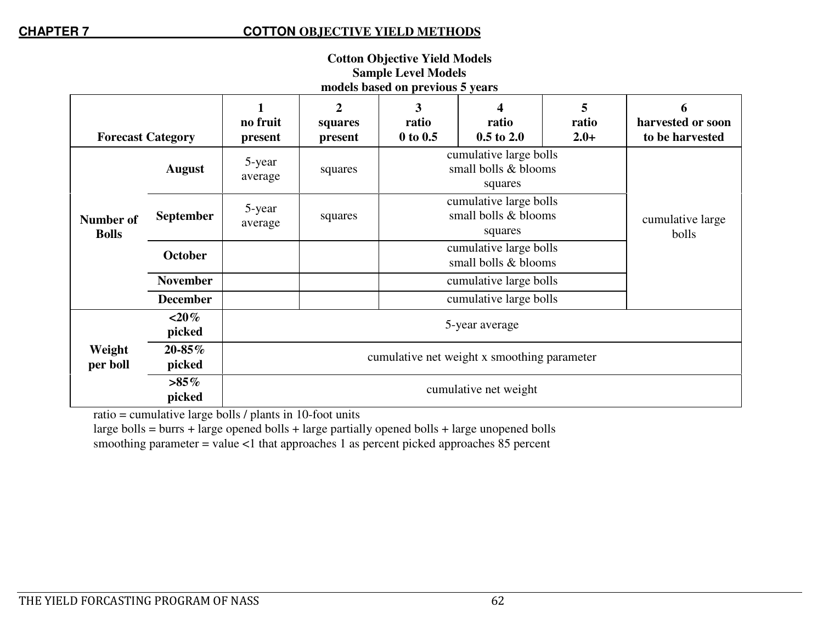| <b>Cotton Objective Yield Models</b> |  |  |  |  |
|--------------------------------------|--|--|--|--|
| <b>Sample Level Models</b>           |  |  |  |  |
| models based on previous 5 years     |  |  |  |  |
|                                      |  |  |  |  |

|                           |                   | no fruit                                    | $\mathbf{2}$<br>squares | 3<br>ratio                                                | 4<br>ratio             | 5<br>ratio                | 6<br>harvested or soon |
|---------------------------|-------------------|---------------------------------------------|-------------------------|-----------------------------------------------------------|------------------------|---------------------------|------------------------|
| <b>Forecast Category</b>  |                   | present                                     | present                 | $0$ to $0.5$                                              | $0.5$ to $2.0$         | $2.0+$                    | to be harvested        |
|                           | <b>August</b>     | 5-year<br>average                           | squares                 | cumulative large bolls<br>small bolls & blooms<br>squares |                        |                           |                        |
| Number of<br><b>Bolls</b> | <b>September</b>  | 5-year<br>average                           | squares                 | cumulative large bolls<br>small bolls & blooms<br>squares |                        | cumulative large<br>bolls |                        |
|                           | October           |                                             |                         | cumulative large bolls<br>small bolls & blooms            |                        |                           |                        |
|                           | <b>November</b>   |                                             |                         | cumulative large bolls                                    |                        |                           |                        |
|                           | <b>December</b>   |                                             |                         |                                                           | cumulative large bolls |                           |                        |
|                           | $<$ 20%<br>picked | 5-year average                              |                         |                                                           |                        |                           |                        |
| Weight<br>per boll        | 20-85%<br>picked  | cumulative net weight x smoothing parameter |                         |                                                           |                        |                           |                        |
|                           | $>85\%$<br>picked | cumulative net weight                       |                         |                                                           |                        |                           |                        |

ratio = cumulative large bolls / plants in 10-foot units

 large bolls = burrs + large opened bolls + large partially opened bolls + large unopened bolls smoothing parameter = value <1 that approaches 1 as percent picked approaches 85 percent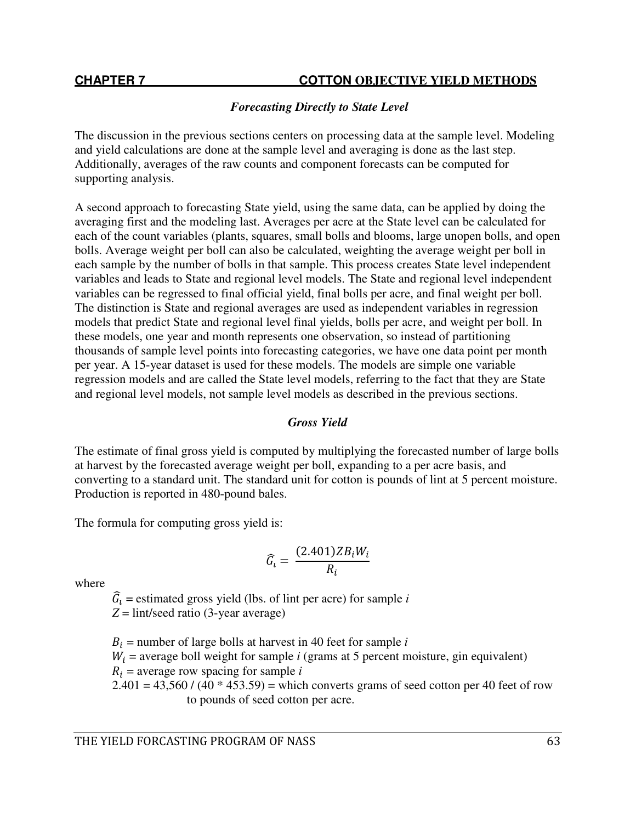# *Forecasting Directly to State Level*

The discussion in the previous sections centers on processing data at the sample level. Modeling and yield calculations are done at the sample level and averaging is done as the last step. Additionally, averages of the raw counts and component forecasts can be computed for supporting analysis.

A second approach to forecasting State yield, using the same data, can be applied by doing the averaging first and the modeling last. Averages per acre at the State level can be calculated for each of the count variables (plants, squares, small bolls and blooms, large unopen bolls, and open bolls. Average weight per boll can also be calculated, weighting the average weight per boll in each sample by the number of bolls in that sample. This process creates State level independent variables and leads to State and regional level models. The State and regional level independent variables can be regressed to final official yield, final bolls per acre, and final weight per boll. The distinction is State and regional averages are used as independent variables in regression models that predict State and regional level final yields, bolls per acre, and weight per boll. In these models, one year and month represents one observation, so instead of partitioning thousands of sample level points into forecasting categories, we have one data point per month per year. A 15-year dataset is used for these models. The models are simple one variable regression models and are called the State level models, referring to the fact that they are State and regional level models, not sample level models as described in the previous sections.

# *Gross Yield*

The estimate of final gross yield is computed by multiplying the forecasted number of large bolls at harvest by the forecasted average weight per boll, expanding to a per acre basis, and converting to a standard unit. The standard unit for cotton is pounds of lint at 5 percent moisture. Production is reported in 480-pound bales.

The formula for computing gross yield is:

$$
\widehat{G}_i = \frac{(2.401)ZB_iW_i}{R_i}
$$

where

 $\hat{G}_i$  = estimated gross yield (lbs. of lint per acre) for sample *i* 

 $Z = \text{lint/seed ratio}$  (3-year average)

 $B_i$  = number of large bolls at harvest in 40 feet for sample *i*  $W_i$  = average boll weight for sample *i* (grams at 5 percent moisture, gin equivalent)  $R_i$  = average row spacing for sample *i*  $2.401 = 43,560 / (40 * 453.59) =$  which converts grams of seed cotton per 40 feet of row to pounds of seed cotton per acre.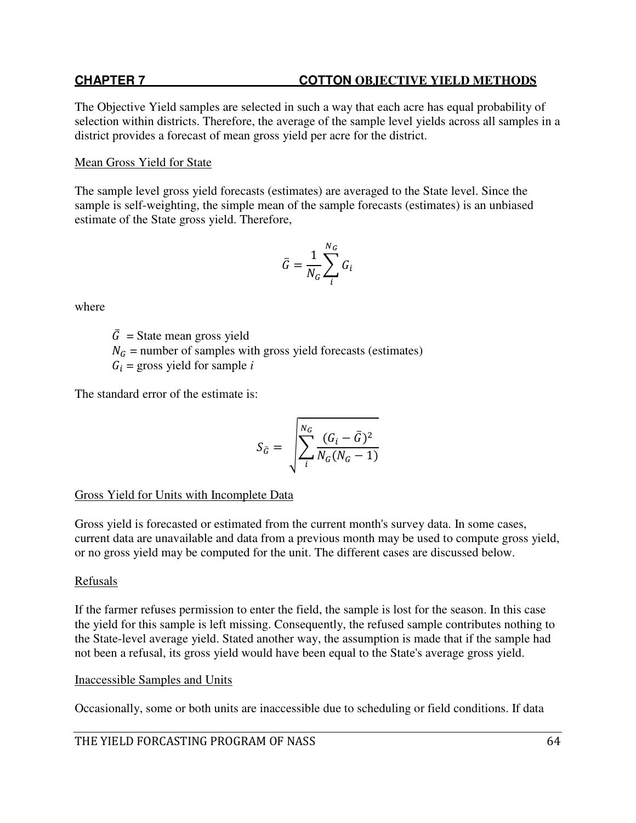The Objective Yield samples are selected in such a way that each acre has equal probability of selection within districts. Therefore, the average of the sample level yields across all samples in a district provides a forecast of mean gross yield per acre for the district.

## Mean Gross Yield for State

The sample level gross yield forecasts (estimates) are averaged to the State level. Since the sample is self-weighting, the simple mean of the sample forecasts (estimates) is an unbiased estimate of the State gross yield. Therefore,

$$
\bar{G} = \frac{1}{N_G} \sum_i^{N_G} G_i
$$

where

 $\overline{G}$  = State mean gross yield  $N<sub>G</sub>$  = number of samples with gross yield forecasts (estimates)  $G_i$  = gross yield for sample *i* 

The standard error of the estimate is:

$$
S_{\bar{G}} = \sqrt{\sum_i^{N_G} \frac{(G_i - \bar{G})^2}{N_G(N_G - 1)}}
$$

Gross Yield for Units with Incomplete Data

Gross yield is forecasted or estimated from the current month's survey data. In some cases, current data are unavailable and data from a previous month may be used to compute gross yield, or no gross yield may be computed for the unit. The different cases are discussed below.

# Refusals

If the farmer refuses permission to enter the field, the sample is lost for the season. In this case the yield for this sample is left missing. Consequently, the refused sample contributes nothing to the State-level average yield. Stated another way, the assumption is made that if the sample had not been a refusal, its gross yield would have been equal to the State's average gross yield.

### Inaccessible Samples and Units

Occasionally, some or both units are inaccessible due to scheduling or field conditions. If data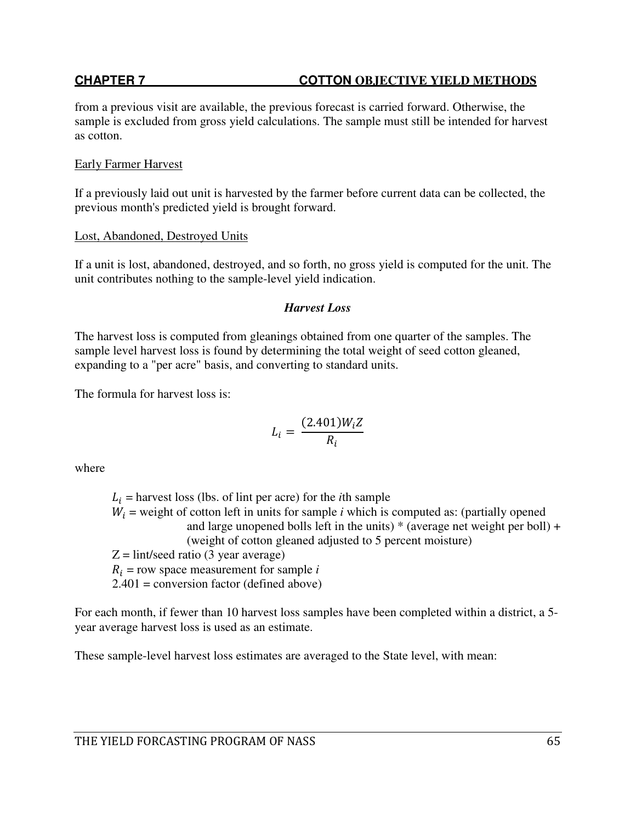from a previous visit are available, the previous forecast is carried forward. Otherwise, the sample is excluded from gross yield calculations. The sample must still be intended for harvest as cotton.

### Early Farmer Harvest

If a previously laid out unit is harvested by the farmer before current data can be collected, the previous month's predicted yield is brought forward.

# Lost, Abandoned, Destroyed Units

If a unit is lost, abandoned, destroyed, and so forth, no gross yield is computed for the unit. The unit contributes nothing to the sample-level yield indication.

# *Harvest Loss*

The harvest loss is computed from gleanings obtained from one quarter of the samples. The sample level harvest loss is found by determining the total weight of seed cotton gleaned, expanding to a "per acre" basis, and converting to standard units.

The formula for harvest loss is:

$$
L_i = \frac{(2.401)W_i Z}{R_i}
$$

where

 $L_i$  = harvest loss (lbs. of lint per acre) for the *i*th sample  $W_i$  = weight of cotton left in units for sample *i* which is computed as: (partially opened and large unopened bolls left in the units)  $*$  (average net weight per boll) + (weight of cotton gleaned adjusted to 5 percent moisture)  $Z = \text{lint/seed ratio}$  (3 year average)  $R_i$  = row space measurement for sample *i*  $2.401$  = conversion factor (defined above)

For each month, if fewer than 10 harvest loss samples have been completed within a district, a 5 year average harvest loss is used as an estimate.

These sample-level harvest loss estimates are averaged to the State level, with mean: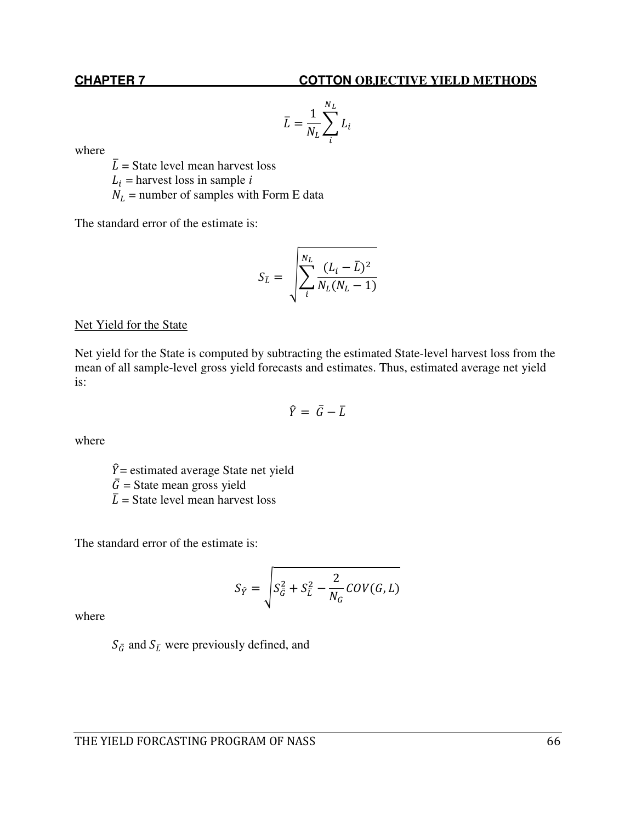$$
\overline{L} = \frac{1}{N_L} \sum_{i}^{N_L} L_i
$$

where

 $\overline{L}$  = State level mean harvest loss

 $L_i$  = harvest loss in sample *i* 

 $N_L$  = number of samples with Form E data

The standard error of the estimate is:

$$
S_{\bar{L}} = \sqrt{\sum_{i}^{N_L} \frac{(L_i - \bar{L})^2}{N_L(N_L - 1)}}
$$

### Net Yield for the State

Net yield for the State is computed by subtracting the estimated State-level harvest loss from the mean of all sample-level gross yield forecasts and estimates. Thus, estimated average net yield is:

$$
\widehat{Y} = \bar{G} - \bar{L}
$$

where

 $\hat{Y}$  = estimated average State net yield  $\overline{G}$  = State mean gross yield  $\overline{L}$  = State level mean harvest loss

The standard error of the estimate is:

$$
S_{\hat{Y}} = \sqrt{S_{\tilde{G}}^2 + S_{\tilde{L}}^2 - \frac{2}{N_G} COV(G, L)}
$$

where

 $S_{\bar{G}}$  and  $S_{\bar{L}}$  were previously defined, and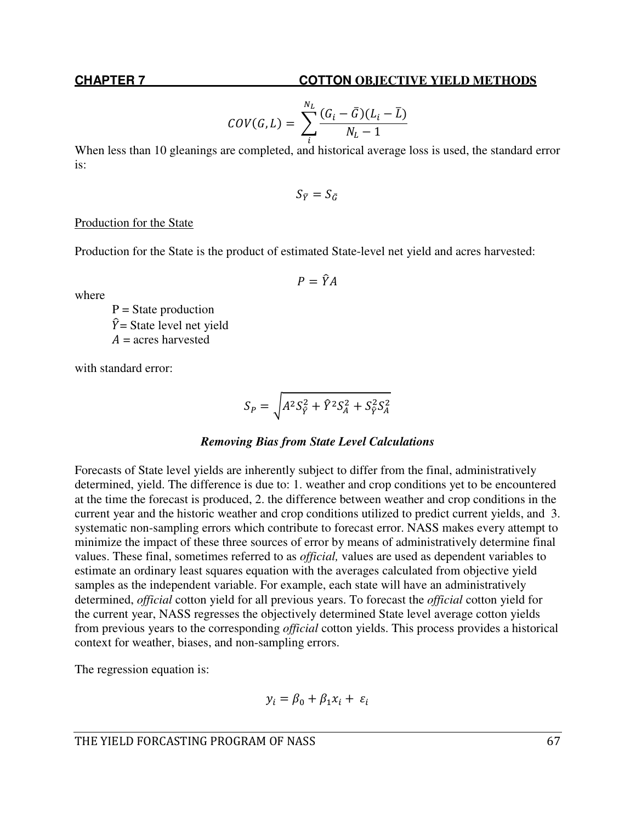$$
COV(G,L) = \sum_{i}^{N_L} \frac{(G_i - \bar{G})(L_i - \bar{L})}{N_L - 1}
$$

When less than 10 gleanings are completed, and historical average loss is used, the standard error is:

$$
S_{\bar{Y}}=S_{\bar{G}}
$$

 $P = \hat{Y}A$ 

# Production for the State

Production for the State is the product of estimated State-level net yield and acres harvested:

where

 $P = State$  production  $\hat{Y}$  = State level net yield  $A =$  acres harvested

with standard error:

$$
S_P = \sqrt{A^2 S_{\hat{Y}}^2 + \hat{Y}^2 S_A^2 + S_{\hat{Y}}^2 S_A^2}
$$

### *Removing Bias from State Level Calculations*

Forecasts of State level yields are inherently subject to differ from the final, administratively determined, yield. The difference is due to: 1. weather and crop conditions yet to be encountered at the time the forecast is produced, 2. the difference between weather and crop conditions in the current year and the historic weather and crop conditions utilized to predict current yields, and 3. systematic non-sampling errors which contribute to forecast error. NASS makes every attempt to minimize the impact of these three sources of error by means of administratively determine final values. These final, sometimes referred to as *official,* values are used as dependent variables to estimate an ordinary least squares equation with the averages calculated from objective yield samples as the independent variable. For example, each state will have an administratively determined, *official* cotton yield for all previous years. To forecast the *official* cotton yield for the current year, NASS regresses the objectively determined State level average cotton yields from previous years to the corresponding *official* cotton yields. This process provides a historical context for weather, biases, and non-sampling errors.

The regression equation is:

$$
y_i = \beta_0 + \beta_1 x_i + \varepsilon_i
$$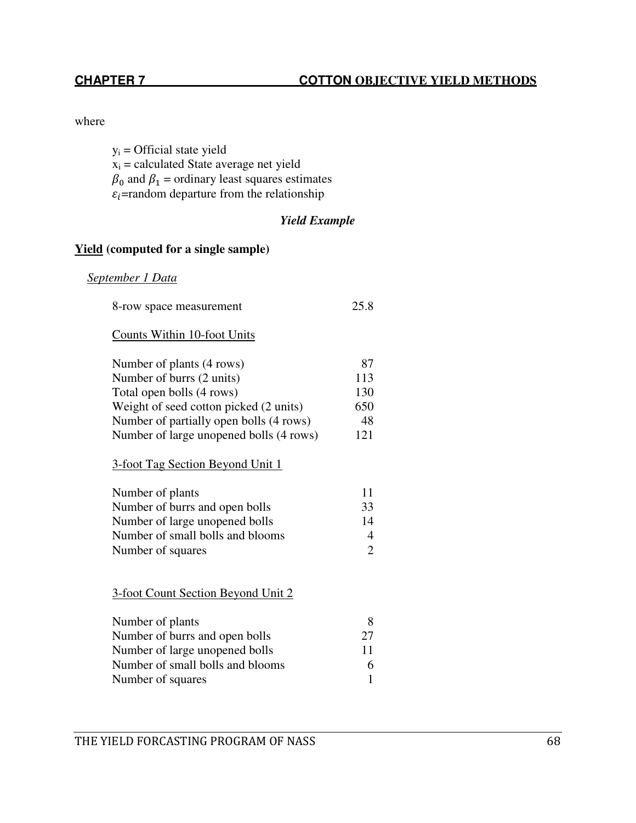# where

 $y_i$  = Official state yield  $x_i$  = calculated State average net yield  $\beta_0$  and  $\beta_1$  = ordinary least squares estimates  $\varepsilon_i$ =random departure from the relationship

# *Yield Example*

# **Yield (computed for a single sample)**

# *September 1 Data*

| 8-row space measurement                                                                                                                                                           | 25.8                                  |
|-----------------------------------------------------------------------------------------------------------------------------------------------------------------------------------|---------------------------------------|
| <b>Counts Within 10-foot Units</b>                                                                                                                                                |                                       |
| Number of plants (4 rows)                                                                                                                                                         | 87                                    |
| Number of burrs (2 units)                                                                                                                                                         | 113                                   |
| Total open bolls (4 rows)                                                                                                                                                         | 130                                   |
| Weight of seed cotton picked (2 units)                                                                                                                                            | 650                                   |
| Number of partially open bolls (4 rows)                                                                                                                                           | 48                                    |
| Number of large unopened bolls (4 rows)                                                                                                                                           | 121                                   |
| 3-foot Tag Section Beyond Unit 1<br>Number of plants<br>Number of burrs and open bolls<br>Number of large unopened bolls<br>Number of small bolls and blooms<br>Number of squares | 11<br>33<br>14<br>4<br>$\overline{2}$ |
| 3-foot Count Section Beyond Unit 2                                                                                                                                                |                                       |
| Number of plants<br>Number of burrs and open bolls<br>Number of large unopened bolls<br>Number of small bolls and blooms<br>Number of squares                                     | 8<br>27<br>11<br>6<br>1               |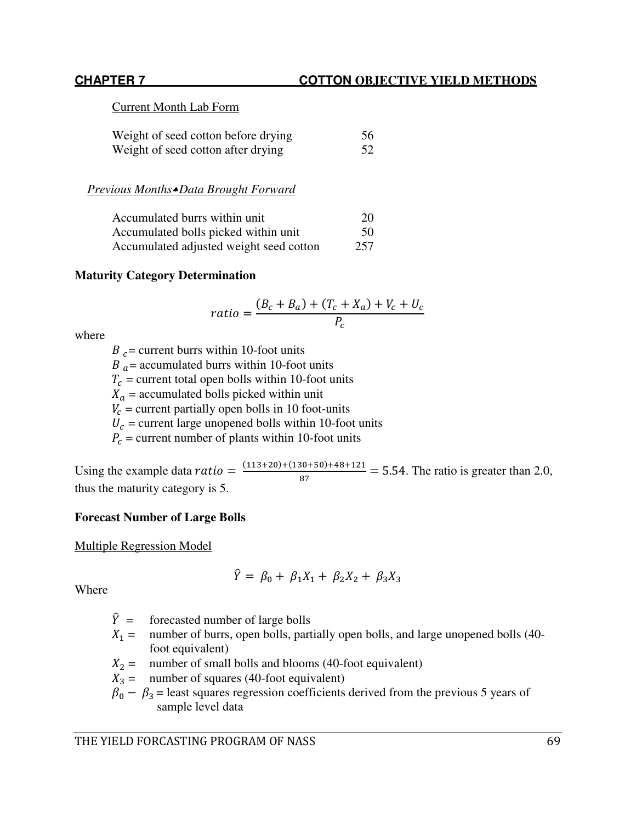# Current Month Lab Form

| Weight of seed cotton before drying | 56 |
|-------------------------------------|----|
| Weight of seed cotton after drying  | 52 |

# *Previous Months*= *Data Brought Forward*

| Accumulated burrs within unit           | 20  |
|-----------------------------------------|-----|
| Accumulated bolls picked within unit    | 50  |
| Accumulated adjusted weight seed cotton | 257 |

# **Maturity Category Determination**

$$
ratio = \frac{(B_c + B_a) + (T_c + X_a) + V_c + U_c}{P_c}
$$

where

 $B_c$  = current burrs within 10-foot units  $B_a$  = accumulated burrs within 10-foot units  $T_c$  = current total open bolls within 10-foot units  $X_a$  = accumulated bolls picked within unit  $V_c$  = current partially open bolls in 10 foot-units  $U_c$  = current large unopened bolls within 10-foot units  $P_c$  = current number of plants within 10-foot units

Using the example data  $ratio = \frac{(113+20)+(130+50)+48+121}{87} = 5.54$ . The ratio is greater than 2.0, thus the maturity category is 5.

# **Forecast Number of Large Bolls**

Multiple Regression Model

$$
\hat{Y} = \beta_0 + \beta_1 X_1 + \beta_2 X_2 + \beta_3 X_3
$$

Where

- $\hat{Y}$  = forecasted number of large bolls<br> $X_1$  = number of burrs, open bolls, part
- number of burrs, open bolls, partially open bolls, and large unopened bolls (40foot equivalent)
- $X_2$  = number of small bolls and blooms (40-foot equivalent)
- $X_3$  = number of squares (40-foot equivalent)
- $\beta_0 \beta_3$  = least squares regression coefficients derived from the previous 5 years of sample level data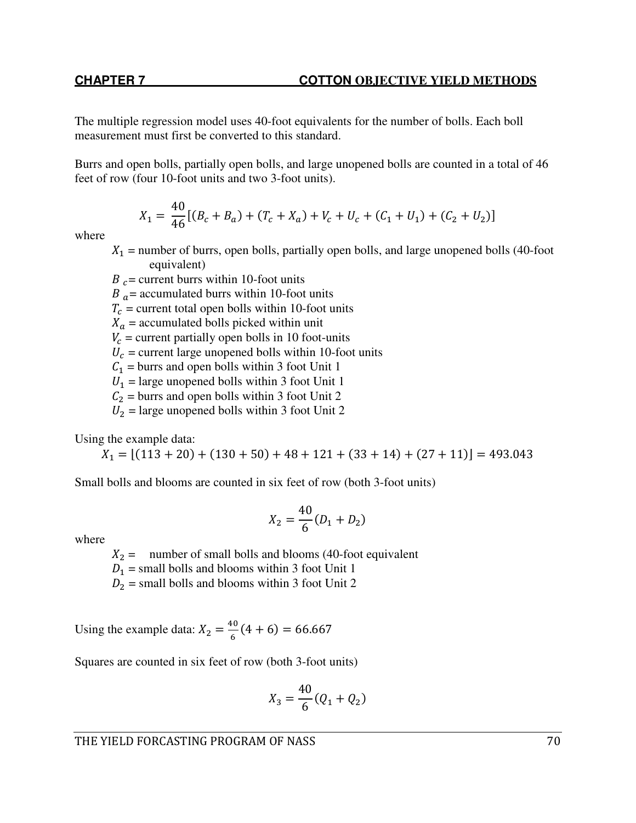The multiple regression model uses 40-foot equivalents for the number of bolls. Each boll measurement must first be converted to this standard.

Burrs and open bolls, partially open bolls, and large unopened bolls are counted in a total of 46 feet of row (four 10-foot units and two 3-foot units).

$$
X_1 = \frac{40}{46} [(B_c + B_a) + (T_c + X_a) + V_c + U_c + (C_1 + U_1) + (C_2 + U_2)]
$$

where

 $X_1$  = number of burrs, open bolls, partially open bolls, and large unopened bolls (40-foot equivalent)

 $B_c$  = current burrs within 10-foot units  $B_a$  = accumulated burrs within 10-foot units  $T_c$  = current total open bolls within 10-foot units  $X_a$  = accumulated bolls picked within unit  $V_c$  = current partially open bolls in 10 foot-units  $U_c$  = current large unopened bolls within 10-foot units  $C_1$  = burrs and open bolls within 3 foot Unit 1  $U_1$  = large unopened bolls within 3 foot Unit 1  $C_2$  = burrs and open bolls within 3 foot Unit 2  $U_2$  = large unopened bolls within 3 foot Unit 2

Using the example data:

 $X_1 = [(113 + 20) + (130 + 50) + 48 + 121 + (33 + 14) + (27 + 11)] = 493.043$ 

Small bolls and blooms are counted in six feet of row (both 3-foot units)

$$
X_2 = \frac{40}{6}(D_1 + D_2)
$$

where

 $X_2$  = number of small bolls and blooms (40-foot equivalent

 $D_1$  = small bolls and blooms within 3 foot Unit 1

 $D_2$  = small bolls and blooms within 3 foot Unit 2

Using the example data:  $X_2 = \frac{40}{6}$  $\frac{1}{6}$  (4 + 6) = 66.667

Squares are counted in six feet of row (both 3-foot units)

$$
X_3 = \frac{40}{6}(Q_1 + Q_2)
$$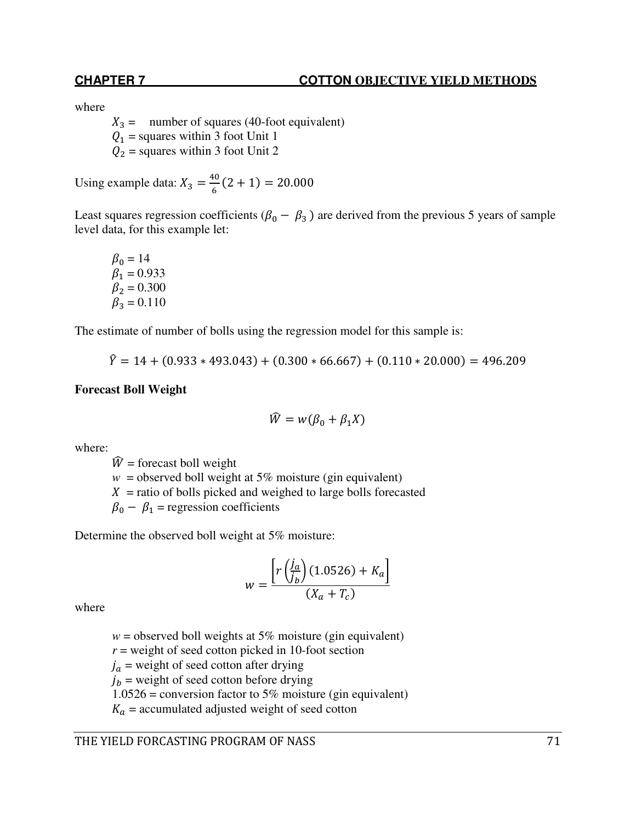# **CHAPTER 7 COTTON OBJECTIVE YIELD METHODS**

where

 $X_3$  = number of squares (40-foot equivalent)  $Q_1$  = squares within 3 foot Unit 1  $Q_2$  = squares within 3 foot Unit 2

Using example data:  $X_3 = \frac{40}{6}$  $\frac{12}{6}$  (2 + 1) = 20.000

Least squares regression coefficients ( $\beta_0 - \beta_3$ ) are derived from the previous 5 years of sample level data, for this example let:

 $\beta_0 = 14$  $\beta_1 = 0.933$  $\beta_2 = 0.300$  $\beta_3 = 0.110$ 

The estimate of number of bolls using the regression model for this sample is:

 $\hat{Y} = 14 + (0.933 * 493.043) + (0.300 * 66.667) + (0.110 * 20.000) = 496.209$ 

### **Forecast Boll Weight**

$$
\widehat{W} = w(\beta_0 + \beta_1 X)
$$

where:

 $\hat{W}$  = forecast boll weight  $w =$  observed boll weight at 5% moisture (gin equivalent)  $X =$  ratio of bolls picked and weighed to large bolls forecasted  $\beta_0 - \beta_1$  = regression coefficients

Determine the observed boll weight at 5% moisture:

$$
w = \frac{\left[r\left(\frac{j_a}{j_b}\right)(1.0526) + K_a\right]}{(X_a + T_c)}
$$

where

 $w =$  observed boll weights at 5% moisture (gin equivalent)

 $r$  = weight of seed cotton picked in 10-foot section

 $j_a$  = weight of seed cotton after drying

 $j_b$  = weight of seed cotton before drying

1.0526 = conversion factor to 5% moisture (gin equivalent)

 $K_a$  = accumulated adjusted weight of seed cotton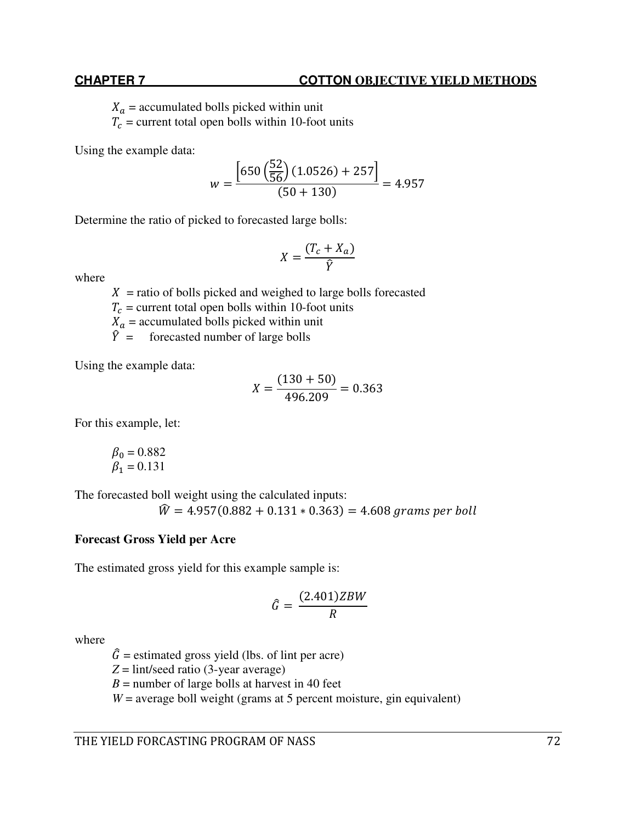### **CHAPTER 7 COTTON OBJECTIVE YIELD METHODS**

 $X_a$  = accumulated bolls picked within unit

 $T_c$  = current total open bolls within 10-foot units

Using the example data:

$$
w = \frac{\left[650\left(\frac{52}{56}\right)(1.0526) + 257\right]}{(50 + 130)} = 4.957
$$

Determine the ratio of picked to forecasted large bolls:

$$
X = \frac{(T_c + X_a)}{\hat{Y}}
$$

where

 $X =$  ratio of bolls picked and weighed to large bolls forecasted

 $T_c$  = current total open bolls within 10-foot units

 $X_a$  = accumulated bolls picked within unit

 $\hat{Y}$  = forecasted number of large bolls

Using the example data:

$$
X = \frac{(130 + 50)}{496.209} = 0.363
$$

For this example, let:

$$
\begin{array}{c} \beta_0=0.882 \\ \beta_1=0.131 \end{array}
$$

The forecasted boll weight using the calculated inputs:

 $\hat{W} = 4.957(0.882 + 0.131 * 0.363) = 4.608$  grams per boll

# **Forecast Gross Yield per Acre**

The estimated gross yield for this example sample is:

$$
\hat{G} = \frac{(2.401)ZBW}{R}
$$

where

 $\hat{G}$  = estimated gross yield (lbs. of lint per acre)

 $Z = \text{lint/seed ratio}$  (3-year average)

 $B =$  number of large bolls at harvest in 40 feet

 $W =$  average boll weight (grams at 5 percent moisture, gin equivalent)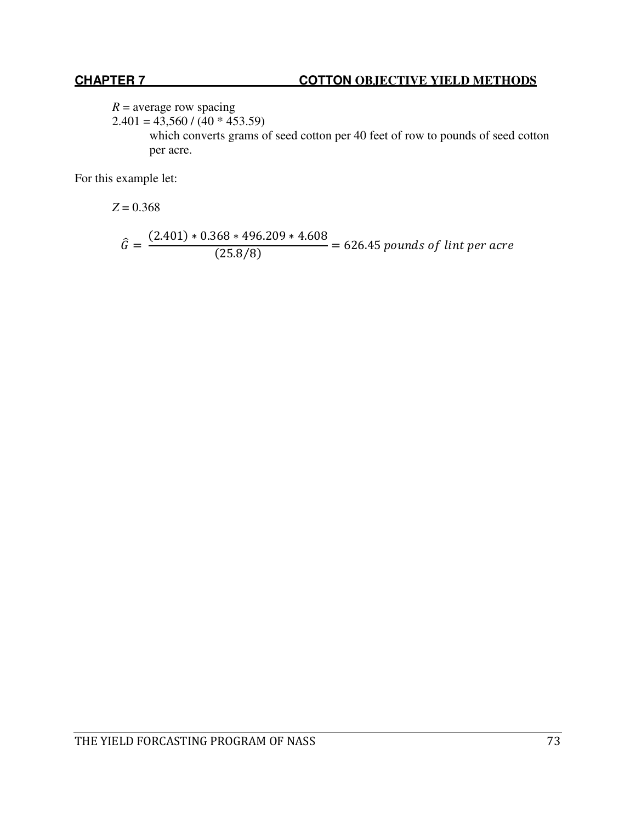$R =$  average row spacing

 $2.401 = 43,560 / (40 * 453.59)$ 

which converts grams of seed cotton per 40 feet of row to pounds of seed cotton per acre.

For this example let:

 $Z = 0.368$ 

$$
\hat{G} = \frac{(2.401) * 0.368 * 496.209 * 4.608}{(25.8/8)} = 626.45 \text{ pounds of } \text{lint per acre}
$$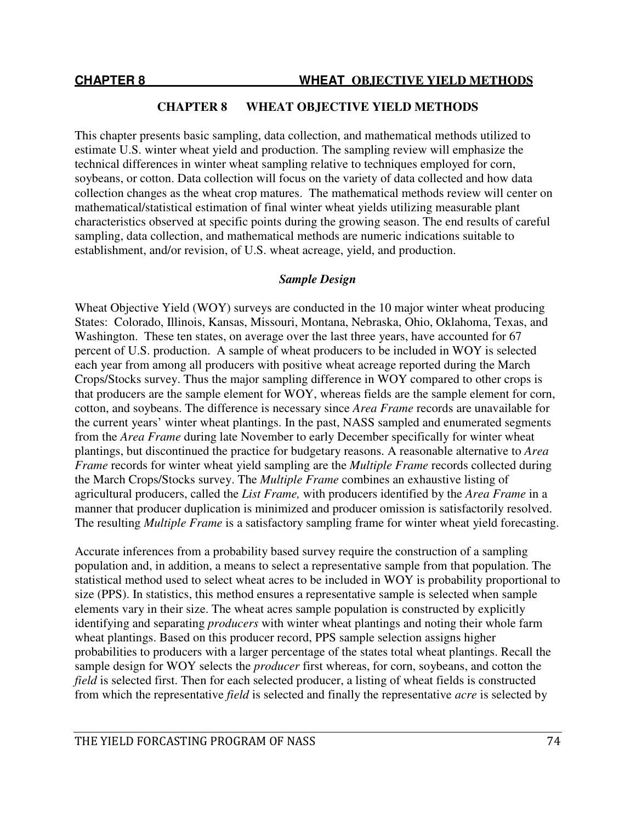This chapter presents basic sampling, data collection, and mathematical methods utilized to estimate U.S. winter wheat yield and production. The sampling review will emphasize the technical differences in winter wheat sampling relative to techniques employed for corn, soybeans, or cotton. Data collection will focus on the variety of data collected and how data collection changes as the wheat crop matures. The mathematical methods review will center on mathematical/statistical estimation of final winter wheat yields utilizing measurable plant characteristics observed at specific points during the growing season. The end results of careful sampling, data collection, and mathematical methods are numeric indications suitable to establishment, and/or revision, of U.S. wheat acreage, yield, and production.

### *Sample Design*

Wheat Objective Yield (WOY) surveys are conducted in the 10 major winter wheat producing States: Colorado, Illinois, Kansas, Missouri, Montana, Nebraska, Ohio, Oklahoma, Texas, and Washington. These ten states, on average over the last three years, have accounted for 67 percent of U.S. production. A sample of wheat producers to be included in WOY is selected each year from among all producers with positive wheat acreage reported during the March Crops/Stocks survey. Thus the major sampling difference in WOY compared to other crops is that producers are the sample element for WOY, whereas fields are the sample element for corn, cotton, and soybeans. The difference is necessary since *Area Frame* records are unavailable for the current years' winter wheat plantings. In the past, NASS sampled and enumerated segments from the *Area Frame* during late November to early December specifically for winter wheat plantings, but discontinued the practice for budgetary reasons. A reasonable alternative to *Area Frame* records for winter wheat yield sampling are the *Multiple Frame* records collected during the March Crops/Stocks survey. The *Multiple Frame* combines an exhaustive listing of agricultural producers, called the *List Frame,* with producers identified by the *Area Frame* in a manner that producer duplication is minimized and producer omission is satisfactorily resolved. The resulting *Multiple Frame* is a satisfactory sampling frame for winter wheat yield forecasting.

Accurate inferences from a probability based survey require the construction of a sampling population and, in addition, a means to select a representative sample from that population. The statistical method used to select wheat acres to be included in WOY is probability proportional to size (PPS). In statistics, this method ensures a representative sample is selected when sample elements vary in their size. The wheat acres sample population is constructed by explicitly identifying and separating *producers* with winter wheat plantings and noting their whole farm wheat plantings. Based on this producer record, PPS sample selection assigns higher probabilities to producers with a larger percentage of the states total wheat plantings. Recall the sample design for WOY selects the *producer* first whereas, for corn, soybeans, and cotton the *field* is selected first. Then for each selected producer, a listing of wheat fields is constructed from which the representative *field* is selected and finally the representative *acre* is selected by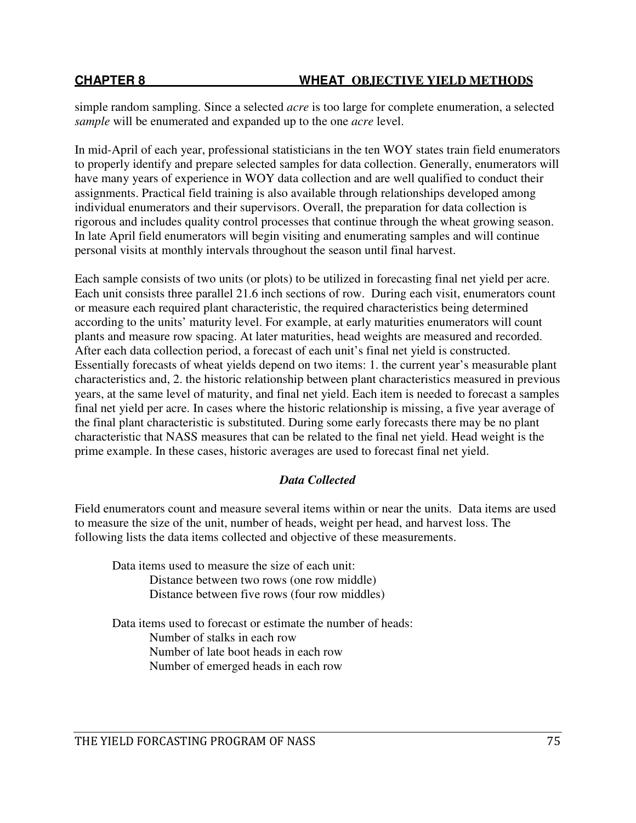simple random sampling. Since a selected *acre* is too large for complete enumeration, a selected *sample* will be enumerated and expanded up to the one *acre* level.

In mid-April of each year, professional statisticians in the ten WOY states train field enumerators to properly identify and prepare selected samples for data collection. Generally, enumerators will have many years of experience in WOY data collection and are well qualified to conduct their assignments. Practical field training is also available through relationships developed among individual enumerators and their supervisors. Overall, the preparation for data collection is rigorous and includes quality control processes that continue through the wheat growing season. In late April field enumerators will begin visiting and enumerating samples and will continue personal visits at monthly intervals throughout the season until final harvest.

Each sample consists of two units (or plots) to be utilized in forecasting final net yield per acre. Each unit consists three parallel 21.6 inch sections of row. During each visit, enumerators count or measure each required plant characteristic, the required characteristics being determined according to the units' maturity level. For example, at early maturities enumerators will count plants and measure row spacing. At later maturities, head weights are measured and recorded. After each data collection period, a forecast of each unit's final net yield is constructed. Essentially forecasts of wheat yields depend on two items: 1. the current year's measurable plant characteristics and, 2. the historic relationship between plant characteristics measured in previous years, at the same level of maturity, and final net yield. Each item is needed to forecast a samples final net yield per acre. In cases where the historic relationship is missing, a five year average of the final plant characteristic is substituted. During some early forecasts there may be no plant characteristic that NASS measures that can be related to the final net yield. Head weight is the prime example. In these cases, historic averages are used to forecast final net yield.

# *Data Collected*

Field enumerators count and measure several items within or near the units. Data items are used to measure the size of the unit, number of heads, weight per head, and harvest loss. The following lists the data items collected and objective of these measurements.

Data items used to measure the size of each unit: Distance between two rows (one row middle) Distance between five rows (four row middles)

Data items used to forecast or estimate the number of heads: Number of stalks in each row Number of late boot heads in each row Number of emerged heads in each row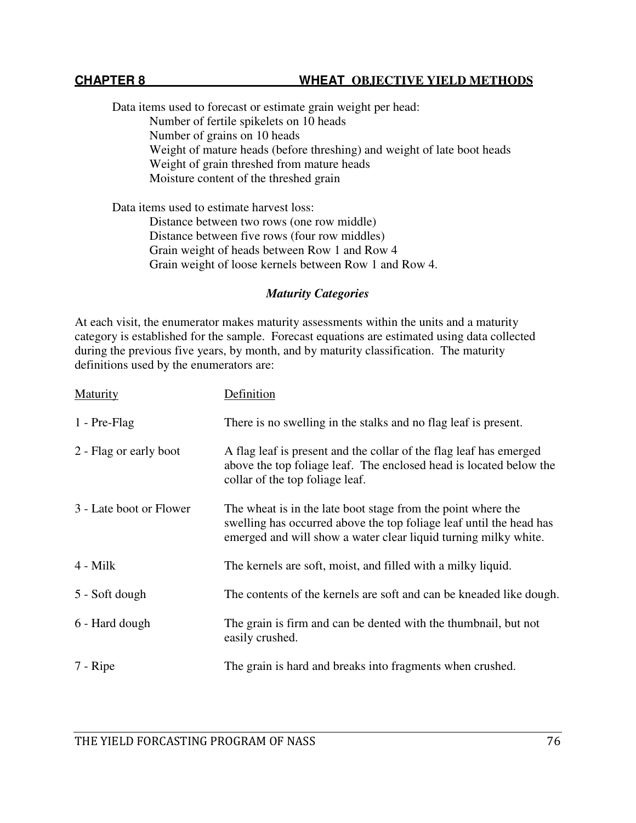Data items used to forecast or estimate grain weight per head: Number of fertile spikelets on 10 heads Number of grains on 10 heads Weight of mature heads (before threshing) and weight of late boot heads Weight of grain threshed from mature heads Moisture content of the threshed grain

Data items used to estimate harvest loss:

Distance between two rows (one row middle) Distance between five rows (four row middles) Grain weight of heads between Row 1 and Row 4 Grain weight of loose kernels between Row 1 and Row 4.

#### *Maturity Categories*

At each visit, the enumerator makes maturity assessments within the units and a maturity category is established for the sample. Forecast equations are estimated using data collected during the previous five years, by month, and by maturity classification. The maturity definitions used by the enumerators are:

| <b>Maturity</b>         | Definition                                                                                                                                                                                             |
|-------------------------|--------------------------------------------------------------------------------------------------------------------------------------------------------------------------------------------------------|
| 1 - Pre-Flag            | There is no swelling in the stalks and no flag leaf is present.                                                                                                                                        |
| 2 - Flag or early boot  | A flag leaf is present and the collar of the flag leaf has emerged<br>above the top foliage leaf. The enclosed head is located below the<br>collar of the top foliage leaf.                            |
| 3 - Late boot or Flower | The wheat is in the late boot stage from the point where the<br>swelling has occurred above the top foliage leaf until the head has<br>emerged and will show a water clear liquid turning milky white. |
| $4 -$ Milk              | The kernels are soft, moist, and filled with a milky liquid.                                                                                                                                           |
| 5 - Soft dough          | The contents of the kernels are soft and can be kneaded like dough.                                                                                                                                    |
| 6 - Hard dough          | The grain is firm and can be dented with the thumbnail, but not<br>easily crushed.                                                                                                                     |
| 7 - Ripe                | The grain is hard and breaks into fragments when crushed.                                                                                                                                              |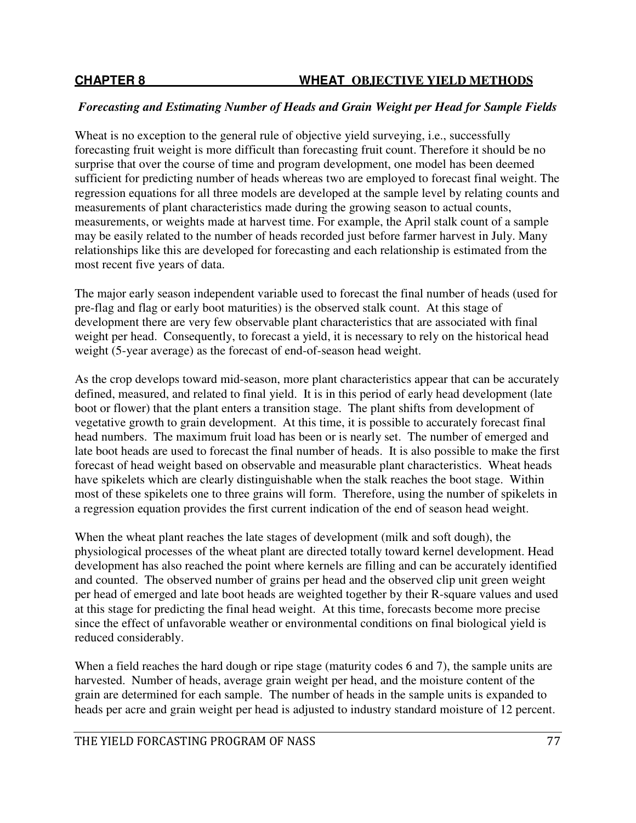# *Forecasting and Estimating Number of Heads and Grain Weight per Head for Sample Fields*

Wheat is no exception to the general rule of objective yield surveying, i.e., successfully forecasting fruit weight is more difficult than forecasting fruit count. Therefore it should be no surprise that over the course of time and program development, one model has been deemed sufficient for predicting number of heads whereas two are employed to forecast final weight. The regression equations for all three models are developed at the sample level by relating counts and measurements of plant characteristics made during the growing season to actual counts, measurements, or weights made at harvest time. For example, the April stalk count of a sample may be easily related to the number of heads recorded just before farmer harvest in July. Many relationships like this are developed for forecasting and each relationship is estimated from the most recent five years of data.

The major early season independent variable used to forecast the final number of heads (used for pre-flag and flag or early boot maturities) is the observed stalk count. At this stage of development there are very few observable plant characteristics that are associated with final weight per head. Consequently, to forecast a yield, it is necessary to rely on the historical head weight (5-year average) as the forecast of end-of-season head weight.

As the crop develops toward mid-season, more plant characteristics appear that can be accurately defined, measured, and related to final yield. It is in this period of early head development (late boot or flower) that the plant enters a transition stage. The plant shifts from development of vegetative growth to grain development. At this time, it is possible to accurately forecast final head numbers. The maximum fruit load has been or is nearly set. The number of emerged and late boot heads are used to forecast the final number of heads. It is also possible to make the first forecast of head weight based on observable and measurable plant characteristics. Wheat heads have spikelets which are clearly distinguishable when the stalk reaches the boot stage. Within most of these spikelets one to three grains will form. Therefore, using the number of spikelets in a regression equation provides the first current indication of the end of season head weight.

When the wheat plant reaches the late stages of development (milk and soft dough), the physiological processes of the wheat plant are directed totally toward kernel development. Head development has also reached the point where kernels are filling and can be accurately identified and counted. The observed number of grains per head and the observed clip unit green weight per head of emerged and late boot heads are weighted together by their R-square values and used at this stage for predicting the final head weight. At this time, forecasts become more precise since the effect of unfavorable weather or environmental conditions on final biological yield is reduced considerably.

When a field reaches the hard dough or ripe stage (maturity codes 6 and 7), the sample units are harvested. Number of heads, average grain weight per head, and the moisture content of the grain are determined for each sample. The number of heads in the sample units is expanded to heads per acre and grain weight per head is adjusted to industry standard moisture of 12 percent.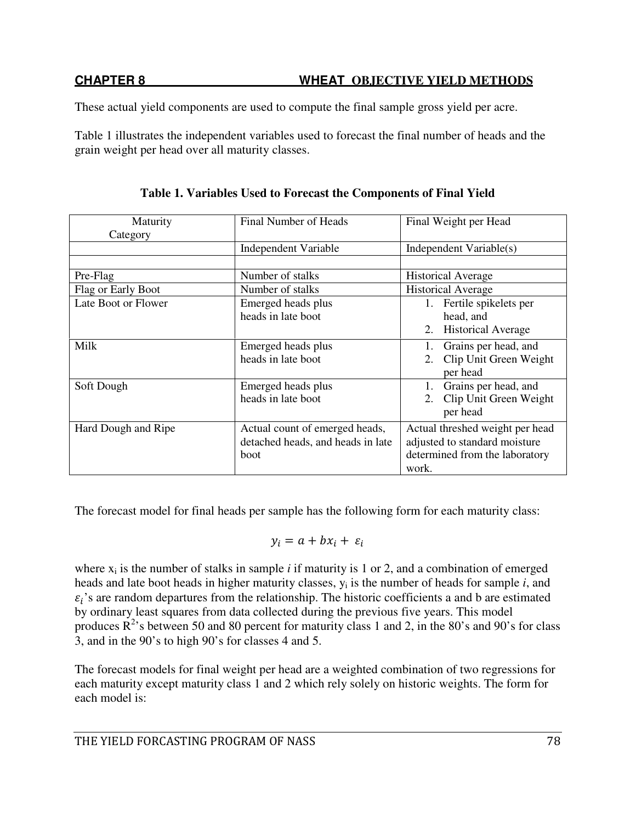These actual yield components are used to compute the final sample gross yield per acre.

Table 1 illustrates the independent variables used to forecast the final number of heads and the grain weight per head over all maturity classes.

| Maturity            | Final Number of Heads             | Final Weight per Head                                            |  |
|---------------------|-----------------------------------|------------------------------------------------------------------|--|
| Category            |                                   |                                                                  |  |
|                     | <b>Independent Variable</b>       | Independent Variable(s)                                          |  |
|                     |                                   |                                                                  |  |
| Pre-Flag            | Number of stalks                  | <b>Historical Average</b>                                        |  |
| Flag or Early Boot  | Number of stalks                  | <b>Historical Average</b>                                        |  |
| Late Boot or Flower | Emerged heads plus                | Fertile spikelets per<br>$1_{\cdot}$                             |  |
|                     | heads in late boot                | head, and                                                        |  |
|                     |                                   | <b>Historical Average</b><br>2.                                  |  |
| Milk                | Emerged heads plus                | Grains per head, and<br>1.                                       |  |
|                     | heads in late boot                | Clip Unit Green Weight<br>2.                                     |  |
|                     |                                   | per head                                                         |  |
| Soft Dough          | Emerged heads plus                | Grains per head, and                                             |  |
|                     | heads in late boot                | Clip Unit Green Weight<br>2.                                     |  |
|                     |                                   | per head                                                         |  |
| Hard Dough and Ripe | Actual count of emerged heads,    | Actual threshed weight per head<br>adjusted to standard moisture |  |
|                     | detached heads, and heads in late |                                                                  |  |
|                     | <b>boot</b>                       | determined from the laboratory                                   |  |
|                     |                                   | work.                                                            |  |

**Table 1. Variables Used to Forecast the Components of Final Yield**

The forecast model for final heads per sample has the following form for each maturity class:

$$
y_i = a + bx_i + \varepsilon_i
$$

where  $x_i$  is the number of stalks in sample  $i$  if maturity is 1 or 2, and a combination of emerged heads and late boot heads in higher maturity classes, y<sup>i</sup> is the number of heads for sample *i*, and  $\varepsilon_i$ 's are random departures from the relationship. The historic coefficients a and b are estimated by ordinary least squares from data collected during the previous five years. This model produces  $\mathbb{R}^2$ 's between 50 and 80 percent for maturity class 1 and 2, in the 80's and 90's for class 3, and in the 90's to high 90's for classes 4 and 5.

The forecast models for final weight per head are a weighted combination of two regressions for each maturity except maturity class 1 and 2 which rely solely on historic weights. The form for each model is: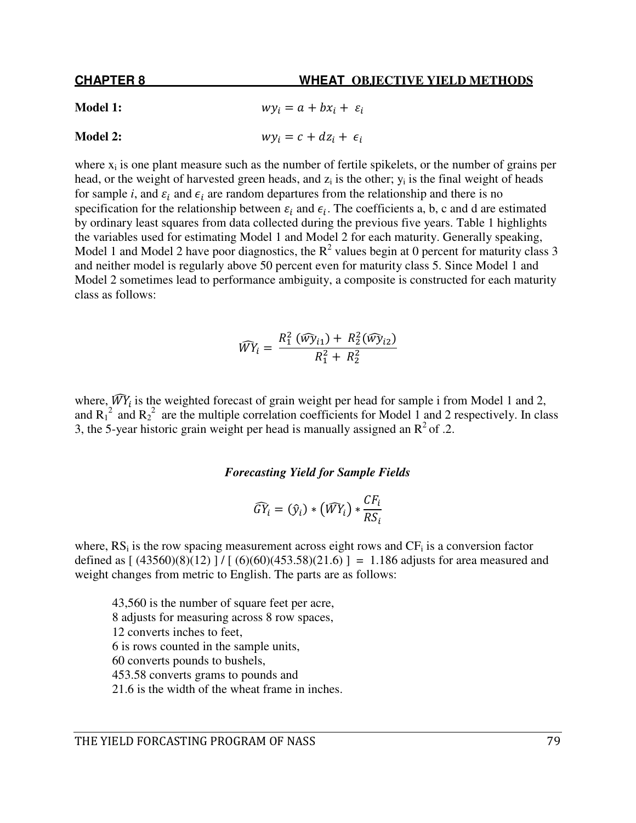# **CHAPTER 8 WHEAT OBJECTIVE YIELD METHODS Model 1:**  $wy_i = a + bx_i + \varepsilon_i$ **Model 2:**  $wy_i = c + dz_i + \epsilon_i$

where  $x_i$  is one plant measure such as the number of fertile spikelets, or the number of grains per head, or the weight of harvested green heads, and  $z_i$  is the other;  $y_i$  is the final weight of heads for sample *i*, and  $\varepsilon_i$  and  $\epsilon_i$  are random departures from the relationship and there is no specification for the relationship between  $\varepsilon_i$  and  $\epsilon_i$ . The coefficients a, b, c and d are estimated by ordinary least squares from data collected during the previous five years. Table 1 highlights the variables used for estimating Model 1 and Model 2 for each maturity. Generally speaking, Model 1 and Model 2 have poor diagnostics, the  $R^2$  values begin at 0 percent for maturity class 3 and neither model is regularly above 50 percent even for maturity class 5. Since Model 1 and Model 2 sometimes lead to performance ambiguity, a composite is constructed for each maturity class as follows:

$$
\widehat{WY}_i = \frac{R_1^2(\widehat{wy}_{i1}) + R_2^2(\widehat{wy}_{i2})}{R_1^2 + R_2^2}
$$

where,  $\overrightarrow{W}Y_i$  is the weighted forecast of grain weight per head for sample i from Model 1 and 2, and  $R_1^2$  and  $R_2^2$  are the multiple correlation coefficients for Model 1 and 2 respectively. In class 3, the 5-year historic grain weight per head is manually assigned an  $R^2$  of .2.

#### *Forecasting Yield for Sample Fields*

$$
\widehat{GY}_i = (\widehat{y}_i) * (\widehat{WY}_i) * \frac{CF_i}{RS_i}
$$

where,  $RS_i$  is the row spacing measurement across eight rows and  $CF_i$  is a conversion factor defined as  $[(43560)(8)(12)]/[(6)(60)(453.58)(21.6)] = 1.186$  adjusts for area measured and weight changes from metric to English. The parts are as follows:

43,560 is the number of square feet per acre, 8 adjusts for measuring across 8 row spaces, 12 converts inches to feet, 6 is rows counted in the sample units, 60 converts pounds to bushels, 453.58 converts grams to pounds and 21.6 is the width of the wheat frame in inches.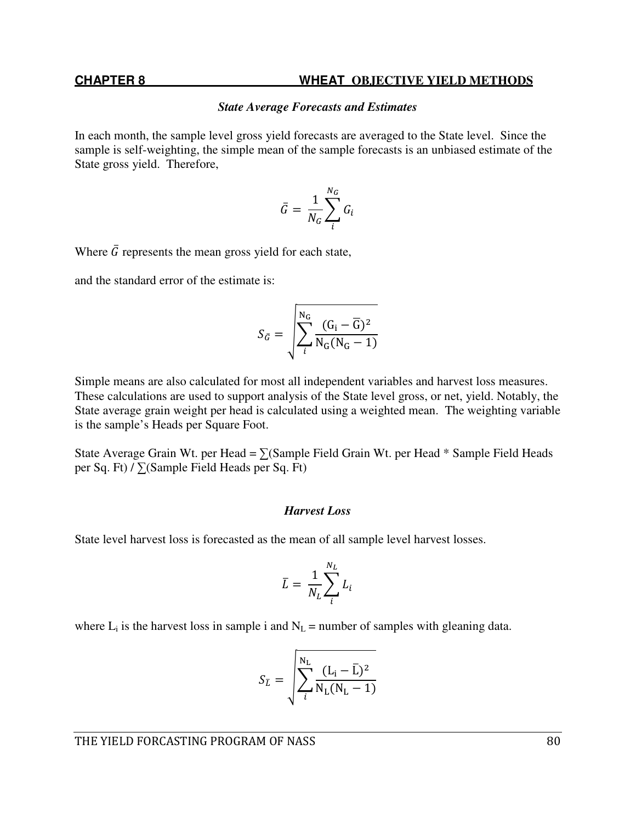#### *State Average Forecasts and Estimates*

In each month, the sample level gross yield forecasts are averaged to the State level. Since the sample is self-weighting, the simple mean of the sample forecasts is an unbiased estimate of the State gross yield. Therefore,

$$
\bar{G} = \frac{1}{N_G} \sum_{i}^{N_G} G_i
$$

Where  $\bar{G}$  represents the mean gross yield for each state,

and the standard error of the estimate is:

$$
S_{\bar{G}} = \sqrt{\sum_{i}^{N_G} \frac{(G_i - \overline{G})^2}{N_G(N_G - 1)}}
$$

Simple means are also calculated for most all independent variables and harvest loss measures. These calculations are used to support analysis of the State level gross, or net, yield. Notably, the State average grain weight per head is calculated using a weighted mean. The weighting variable is the sample's Heads per Square Foot.

State Average Grain Wt. per Head =  $\Sigma$ (Sample Field Grain Wt. per Head \* Sample Field Heads per Sq. Ft) / ∑(Sample Field Heads per Sq. Ft)

#### *Harvest Loss*

State level harvest loss is forecasted as the mean of all sample level harvest losses.

$$
\bar{L} = \frac{1}{N_L} \sum_{i}^{N_L} L_i
$$

where  $L_i$  is the harvest loss in sample i and  $N_L$  = number of samples with gleaning data.

$$
S_{\bar{L}} = \sqrt{\sum_{i}^{N_{\rm L}} \frac{(L_{i} - \bar{L})^2}{N_{\rm L}(N_{\rm L} - 1)}}
$$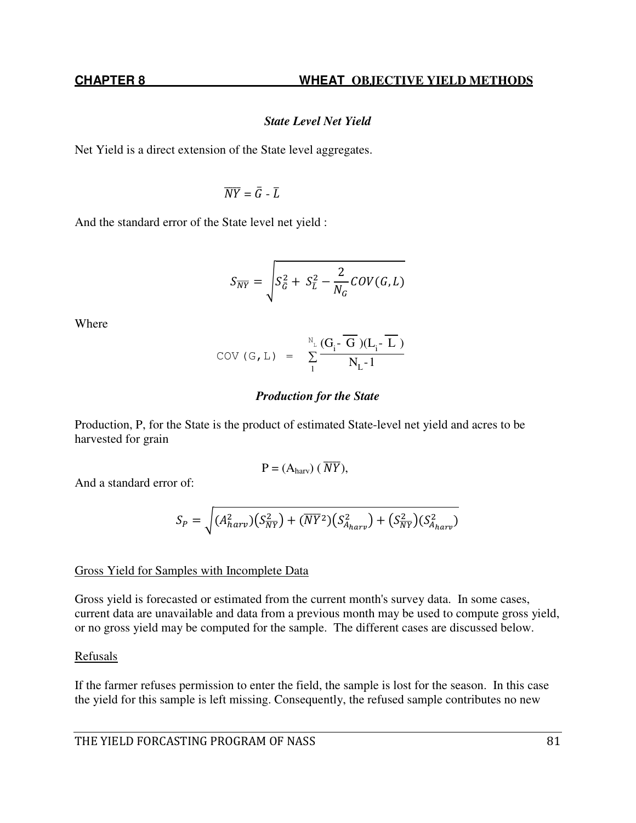# *State Level Net Yield*

Net Yield is a direct extension of the State level aggregates.

$$
\overline{NY}=\bar{G}-\bar{L}
$$

And the standard error of the State level net yield :

$$
S_{\overline{NY}} = \sqrt{S_{\overline{G}}^2 + S_{\overline{L}}^2 - \frac{2}{N_G} \text{COV}(G, L)}
$$

Where

$$
COV (G, L) = \sum_{1}^{N_{L}} \frac{(G_{i} - \overline{G})(L_{i} - \overline{L})}{N_{L} - 1}
$$

### *Production for the State*

Production, P, for the State is the product of estimated State-level net yield and acres to be harvested for grain

$$
P = (Aharv) (\overline{NY}),
$$

And a standard error of:

$$
S_P = \sqrt{(A_{harv}^2)(S_{\overline{NY}}^2) + (\overline{NY}^2)(S_{A_{harv}}^2) + (S_{\overline{NY}}^2)(S_{A_{harv}}^2)}
$$

# Gross Yield for Samples with Incomplete Data

Gross yield is forecasted or estimated from the current month's survey data. In some cases, current data are unavailable and data from a previous month may be used to compute gross yield, or no gross yield may be computed for the sample. The different cases are discussed below.

# Refusals

If the farmer refuses permission to enter the field, the sample is lost for the season. In this case the yield for this sample is left missing. Consequently, the refused sample contributes no new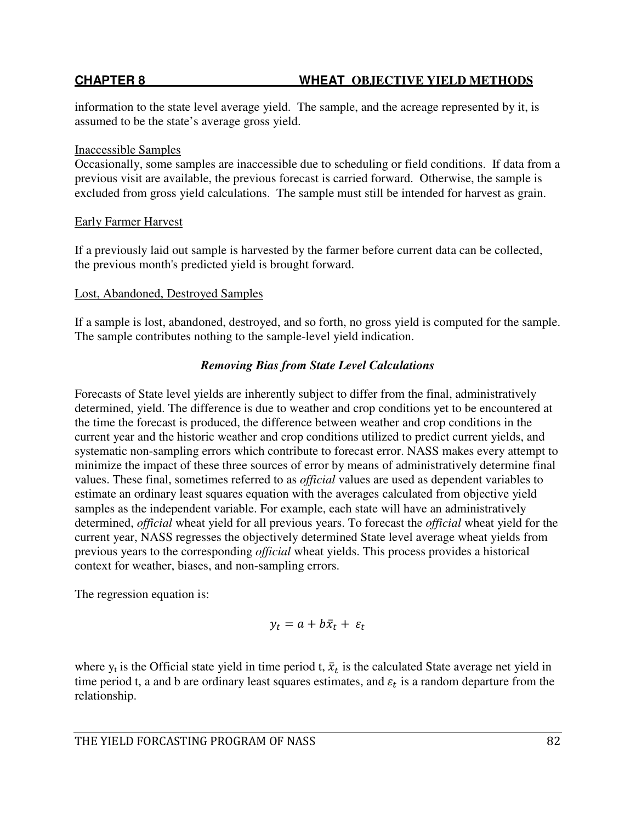information to the state level average yield. The sample, and the acreage represented by it, is assumed to be the state's average gross yield.

### Inaccessible Samples

Occasionally, some samples are inaccessible due to scheduling or field conditions. If data from a previous visit are available, the previous forecast is carried forward. Otherwise, the sample is excluded from gross yield calculations. The sample must still be intended for harvest as grain.

# Early Farmer Harvest

If a previously laid out sample is harvested by the farmer before current data can be collected, the previous month's predicted yield is brought forward.

# Lost, Abandoned, Destroyed Samples

If a sample is lost, abandoned, destroyed, and so forth, no gross yield is computed for the sample. The sample contributes nothing to the sample-level yield indication.

# *Removing Bias from State Level Calculations*

Forecasts of State level yields are inherently subject to differ from the final, administratively determined, yield. The difference is due to weather and crop conditions yet to be encountered at the time the forecast is produced, the difference between weather and crop conditions in the current year and the historic weather and crop conditions utilized to predict current yields, and systematic non-sampling errors which contribute to forecast error. NASS makes every attempt to minimize the impact of these three sources of error by means of administratively determine final values. These final, sometimes referred to as *official* values are used as dependent variables to estimate an ordinary least squares equation with the averages calculated from objective yield samples as the independent variable. For example, each state will have an administratively determined, *official* wheat yield for all previous years. To forecast the *official* wheat yield for the current year, NASS regresses the objectively determined State level average wheat yields from previous years to the corresponding *official* wheat yields. This process provides a historical context for weather, biases, and non-sampling errors.

The regression equation is:

$$
y_t = a + b\bar{x}_t + \varepsilon_t
$$

where  $y_t$  is the Official state yield in time period t,  $\bar{x}_t$  is the calculated State average net yield in time period t, a and b are ordinary least squares estimates, and  $\varepsilon_t$  is a random departure from the relationship.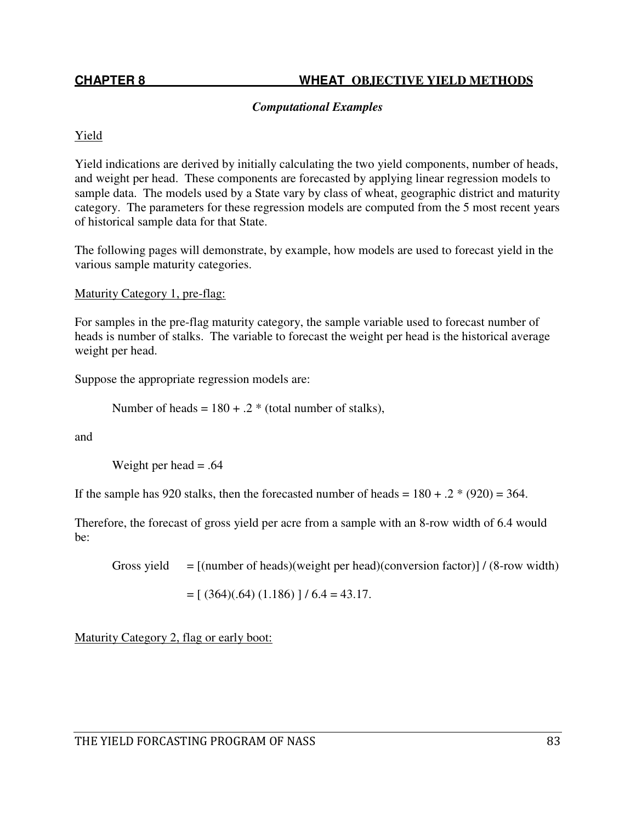### *Computational Examples*

### Yield

Yield indications are derived by initially calculating the two yield components, number of heads, and weight per head. These components are forecasted by applying linear regression models to sample data. The models used by a State vary by class of wheat, geographic district and maturity category. The parameters for these regression models are computed from the 5 most recent years of historical sample data for that State.

The following pages will demonstrate, by example, how models are used to forecast yield in the various sample maturity categories.

Maturity Category 1, pre-flag:

For samples in the pre-flag maturity category, the sample variable used to forecast number of heads is number of stalks. The variable to forecast the weight per head is the historical average weight per head.

Suppose the appropriate regression models are:

Number of heads =  $180 + .2$  \* (total number of stalks),

and

Weight per head  $= .64$ 

If the sample has 920 stalks, then the forecasted number of heads =  $180 + .2$  \* (920) = 364.

Therefore, the forecast of gross yield per acre from a sample with an 8-row width of 6.4 would be:

Gross yield  $= [(\text{number of heads})(\text{weight per head})(\text{conversion factor})] / (8\text{-row width})$ 

$$
= [ (364)(.64) (1.186) ] / 6.4 = 43.17.
$$

Maturity Category 2, flag or early boot: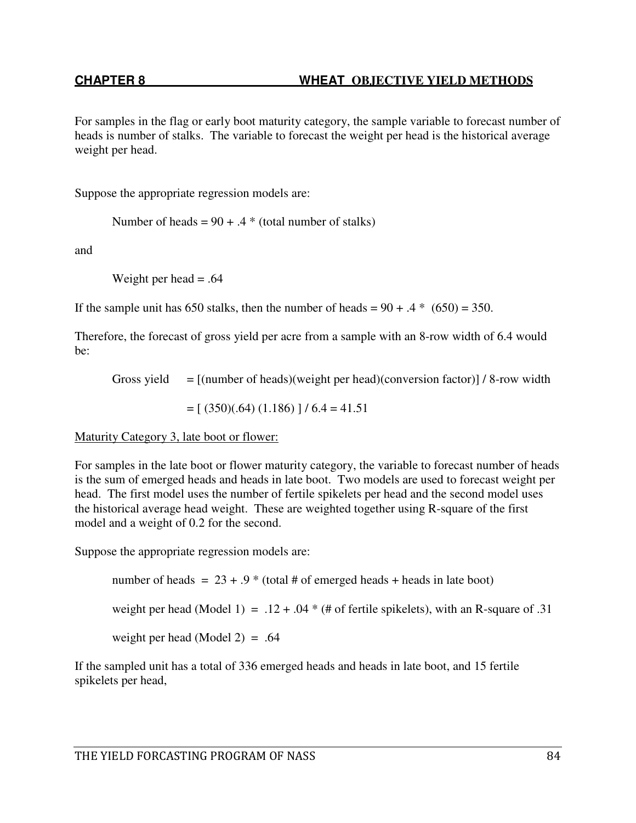For samples in the flag or early boot maturity category, the sample variable to forecast number of heads is number of stalks. The variable to forecast the weight per head is the historical average weight per head.

Suppose the appropriate regression models are:

Number of heads =  $90 + .4$  \* (total number of stalks)

and

Weight per head  $= .64$ 

If the sample unit has 650 stalks, then the number of heads =  $90 + .4$  \* (650) = 350.

Therefore, the forecast of gross yield per acre from a sample with an 8-row width of 6.4 would be:

Gross yield  $=$  [(number of heads)(weight per head)(conversion factor)] / 8-row width

 $= [ (350)(.64) (1.186) ] / 6.4 = 41.51$ 

Maturity Category 3, late boot or flower:

For samples in the late boot or flower maturity category, the variable to forecast number of heads is the sum of emerged heads and heads in late boot. Two models are used to forecast weight per head. The first model uses the number of fertile spikelets per head and the second model uses the historical average head weight. These are weighted together using R-square of the first model and a weight of 0.2 for the second.

Suppose the appropriate regression models are:

number of heads =  $23 + .9$  \* (total # of emerged heads + heads in late boot) weight per head (Model 1) =  $.12 + .04 *$  (# of fertile spikelets), with an R-square of .31 weight per head (Model 2) = .64

If the sampled unit has a total of 336 emerged heads and heads in late boot, and 15 fertile spikelets per head,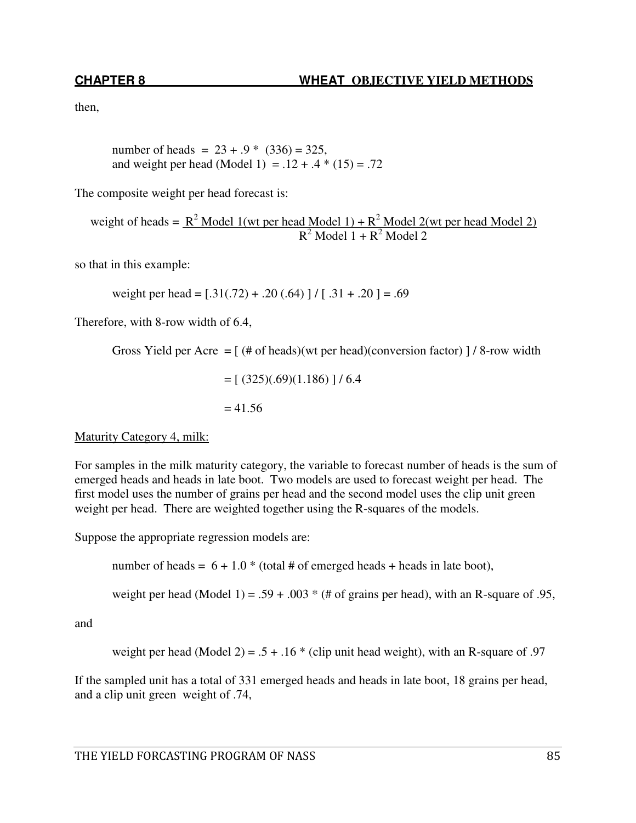then,

number of heads =  $23 + .9$  \*  $(336) = 325$ , and weight per head (Model 1) =  $.12 + .4 * (15) = .72$ 

The composite weight per head forecast is:

weight of heads =  $\frac{R^2 \text{ Model 1 (wt per head Model 1) + R^2 Model 2(wt per head Model 2)}}{R^2}$  $R^2$  Model 1 +  $R^2$  Model 2

so that in this example:

weight per head =  $[0.31(0.72) + 0.20(0.64)$  |  $/$  [ .31 + .20 ] = .69

Therefore, with 8-row width of 6.4,

Gross Yield per Acre =  $[$  (# of heads)(wt per head)(conversion factor)  $]$  / 8-row width

 $=[ (325)(.69)(1.186)]/6.4$  $= 41.56$ 

#### Maturity Category 4, milk:

For samples in the milk maturity category, the variable to forecast number of heads is the sum of emerged heads and heads in late boot. Two models are used to forecast weight per head. The first model uses the number of grains per head and the second model uses the clip unit green weight per head. There are weighted together using the R-squares of the models.

Suppose the appropriate regression models are:

number of heads =  $6 + 1.0$  \* (total # of emerged heads + heads in late boot),

weight per head (Model 1) = .59 + .003  $*$  (# of grains per head), with an R-square of .95,

and

weight per head (Model 2) =  $.5 + .16 *$  (clip unit head weight), with an R-square of .97

If the sampled unit has a total of 331 emerged heads and heads in late boot, 18 grains per head, and a clip unit green weight of .74,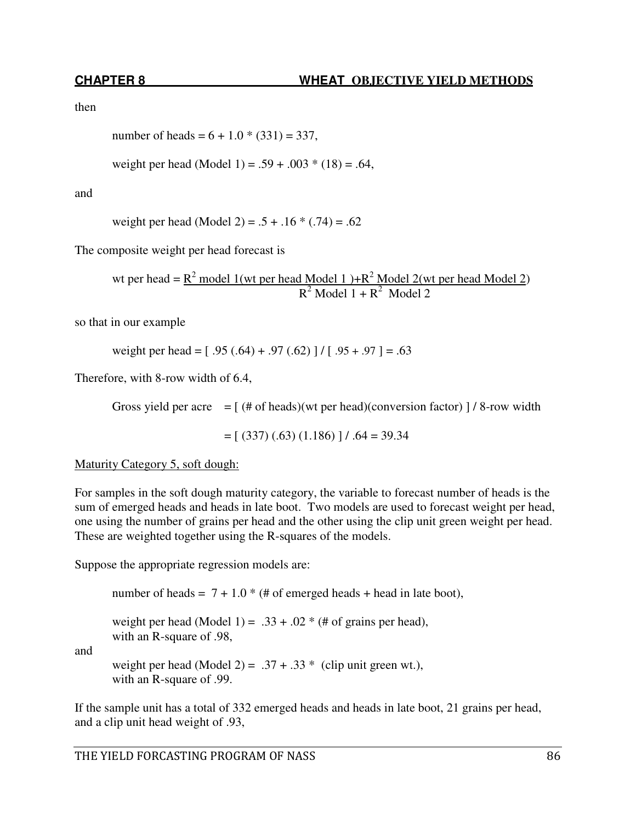then

number of heads = 
$$
6 + 1.0 \times (331) = 337
$$
,

weight per head (Model 1) =  $.59 + .003 * (18) = .64$ ,

and

weight per head (Model 2) =  $.5 + .16 * (.74) = .62$ 

The composite weight per head forecast is

wt per head =  $R^2$  model 1(wt per head Model 1)+ $R^2$  Model 2(wt per head Model 2)  $R^2$  Model 1 +  $R^2$  Model 2

so that in our example

weight per head =  $[.95(.64) + .97(.62)] / [.95 + .97] = .63$ 

Therefore, with 8-row width of 6.4,

Gross yield per acre  $=$  [ (# of heads)(wt per head)(conversion factor) ] / 8-row width

 $= [ (337) (.63) (1.186) ] / .64 = 39.34$ 

Maturity Category 5, soft dough:

For samples in the soft dough maturity category, the variable to forecast number of heads is the sum of emerged heads and heads in late boot. Two models are used to forecast weight per head, one using the number of grains per head and the other using the clip unit green weight per head. These are weighted together using the R-squares of the models.

Suppose the appropriate regression models are:

number of heads =  $7 + 1.0$  \* (# of emerged heads + head in late boot),

weight per head (Model 1) =  $.33 + .02 *$  (# of grains per head),

with an R-square of .98,

and

weight per head (Model 2) =  $.37 + .33$  \* (clip unit green wt.), with an R-square of .99.

If the sample unit has a total of 332 emerged heads and heads in late boot, 21 grains per head, and a clip unit head weight of .93,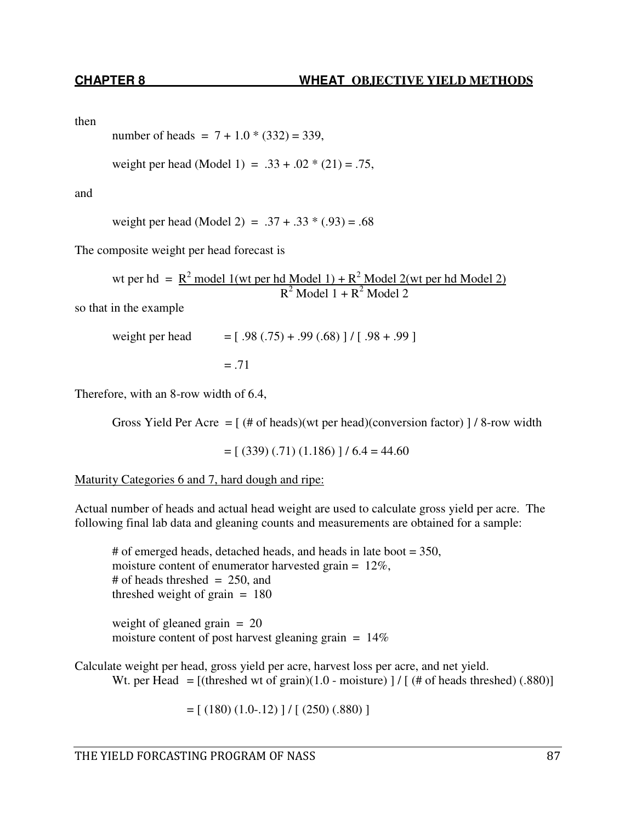then

number of heads =  $7 + 1.0 \times (332) = 339$ ,

weight per head (Model 1) =  $.33 + .02 * (21) = .75$ ,

and

weight per head (Model 2) =  $.37 + .33 * (.93) = .68$ 

The composite weight per head forecast is

wt per hd =  $R^2$  model 1(wt per hd Model 1) +  $R^2$  Model 2(wt per hd Model 2)  $R^2$  Model 1 +  $R^2$  Model 2

so that in the example

weight per head  $= [ .98 (.75) + .99 (.68) ] / [ .98 + .99 ]$  $= .71$ 

Therefore, with an 8-row width of 6.4,

Gross Yield Per Acre =  $[$  (# of heads)(wt per head)(conversion factor)  $]/ 8$ -row width

 $= [ (339) (.71) (1.186) ] / 6.4 = 44.60$ 

Maturity Categories 6 and 7, hard dough and ripe:

Actual number of heads and actual head weight are used to calculate gross yield per acre. The following final lab data and gleaning counts and measurements are obtained for a sample:

# of emerged heads, detached heads, and heads in late boot = 350, moisture content of enumerator harvested grain = 12%, # of heads threshed  $= 250$ , and threshed weight of grain  $= 180$ 

weight of gleaned grain  $= 20$ moisture content of post harvest gleaning grain  $= 14\%$ 

Calculate weight per head, gross yield per acre, harvest loss per acre, and net yield. Wt. per Head =  $[(threshold wt of grain)(1.0 - moisture)] / [(# of heads threshold)(.880)]$ 

 $= [ (180) (1.0-12) ] / [ (250) (0.880) ]$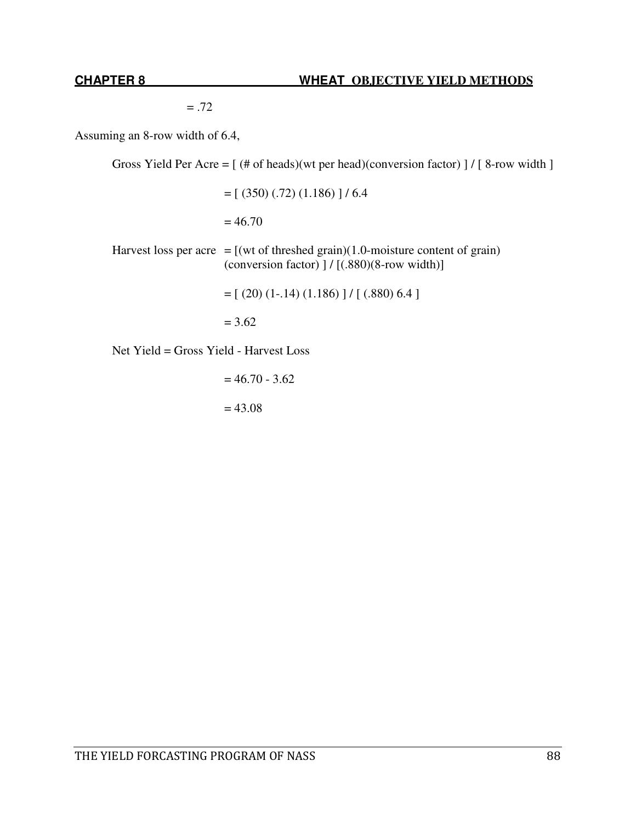$=.72$ 

Assuming an 8-row width of 6.4,

Gross Yield Per Acre =  $[$  (# of heads)(wt per head)(conversion factor) ] /  $[$  8-row width  $]$ 

 $=[ (350) (.72) (1.186) ] / 6.4$ 

 $= 46.70$ 

Harvest loss per acre =  $[(wt of threshold grain)(1.0-moisture content of grain)]$ (conversion factor)  $]/[(.880)(8$ -row width)]

 $=[ (20) (1-.14) (1.186) ] / [ (.880) 6.4 ]$ 

 $= 3.62$ 

Net Yield = Gross Yield - Harvest Loss

 $= 46.70 - 3.62$  $= 43.08$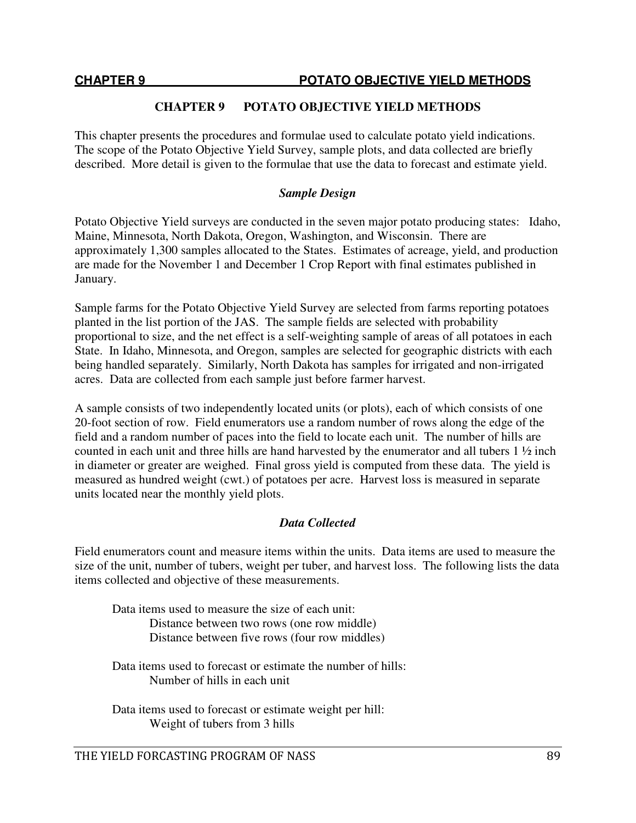# **CHAPTER 9 POTATO OBJECTIVE YIELD METHODS**

This chapter presents the procedures and formulae used to calculate potato yield indications. The scope of the Potato Objective Yield Survey, sample plots, and data collected are briefly described. More detail is given to the formulae that use the data to forecast and estimate yield.

# *Sample Design*

Potato Objective Yield surveys are conducted in the seven major potato producing states: Idaho, Maine, Minnesota, North Dakota, Oregon, Washington, and Wisconsin. There are approximately 1,300 samples allocated to the States. Estimates of acreage, yield, and production are made for the November 1 and December 1 Crop Report with final estimates published in January.

Sample farms for the Potato Objective Yield Survey are selected from farms reporting potatoes planted in the list portion of the JAS. The sample fields are selected with probability proportional to size, and the net effect is a self-weighting sample of areas of all potatoes in each State. In Idaho, Minnesota, and Oregon, samples are selected for geographic districts with each being handled separately. Similarly, North Dakota has samples for irrigated and non-irrigated acres. Data are collected from each sample just before farmer harvest.

A sample consists of two independently located units (or plots), each of which consists of one 20-foot section of row. Field enumerators use a random number of rows along the edge of the field and a random number of paces into the field to locate each unit. The number of hills are counted in each unit and three hills are hand harvested by the enumerator and all tubers 1 ½ inch in diameter or greater are weighed. Final gross yield is computed from these data. The yield is measured as hundred weight (cwt.) of potatoes per acre. Harvest loss is measured in separate units located near the monthly yield plots.

# *Data Collected*

Field enumerators count and measure items within the units. Data items are used to measure the size of the unit, number of tubers, weight per tuber, and harvest loss. The following lists the data items collected and objective of these measurements.

 Data items used to measure the size of each unit: Distance between two rows (one row middle) Distance between five rows (four row middles)

 Data items used to forecast or estimate the number of hills: Number of hills in each unit

 Data items used to forecast or estimate weight per hill: Weight of tubers from 3 hills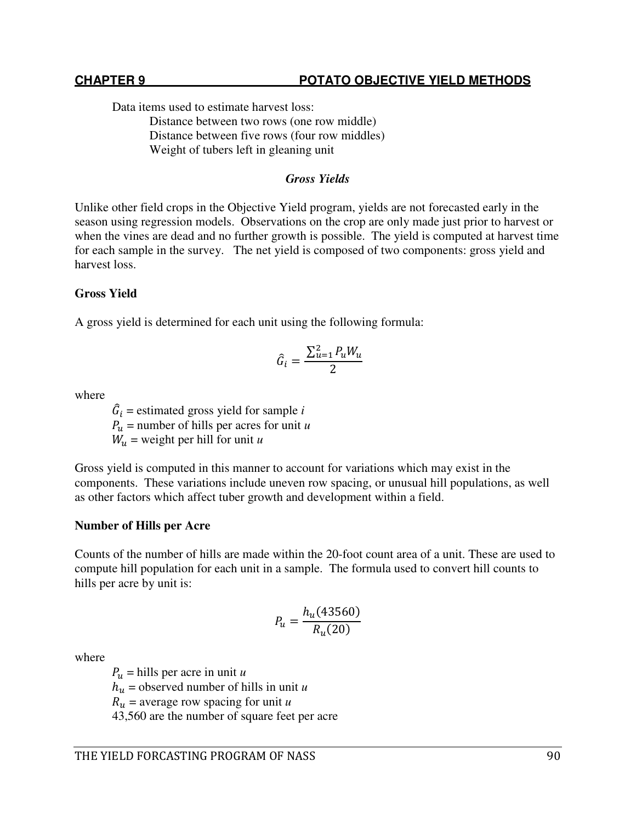Data items used to estimate harvest loss:

 Distance between two rows (one row middle) Distance between five rows (four row middles) Weight of tubers left in gleaning unit

### *Gross Yields*

Unlike other field crops in the Objective Yield program, yields are not forecasted early in the season using regression models. Observations on the crop are only made just prior to harvest or when the vines are dead and no further growth is possible. The yield is computed at harvest time for each sample in the survey. The net yield is composed of two components: gross yield and harvest loss.

# **Gross Yield**

A gross yield is determined for each unit using the following formula:

$$
\hat{G}_i = \frac{\sum_{u=1}^2 P_u W_u}{2}
$$

where

 $\hat{G}_i$  = estimated gross yield for sample *i*  $P_u$  = number of hills per acres for unit *u*  $W_u$  = weight per hill for unit *u* 

Gross yield is computed in this manner to account for variations which may exist in the components. These variations include uneven row spacing, or unusual hill populations, as well as other factors which affect tuber growth and development within a field.

#### **Number of Hills per Acre**

Counts of the number of hills are made within the 20-foot count area of a unit. These are used to compute hill population for each unit in a sample. The formula used to convert hill counts to hills per acre by unit is:

$$
P_u = \frac{h_u(43560)}{R_u(20)}
$$

where

 $P_u$  = hills per acre in unit *u*  $h_u$  = observed number of hills in unit *u*  $R_u$  = average row spacing for unit *u* 43,560 are the number of square feet per acre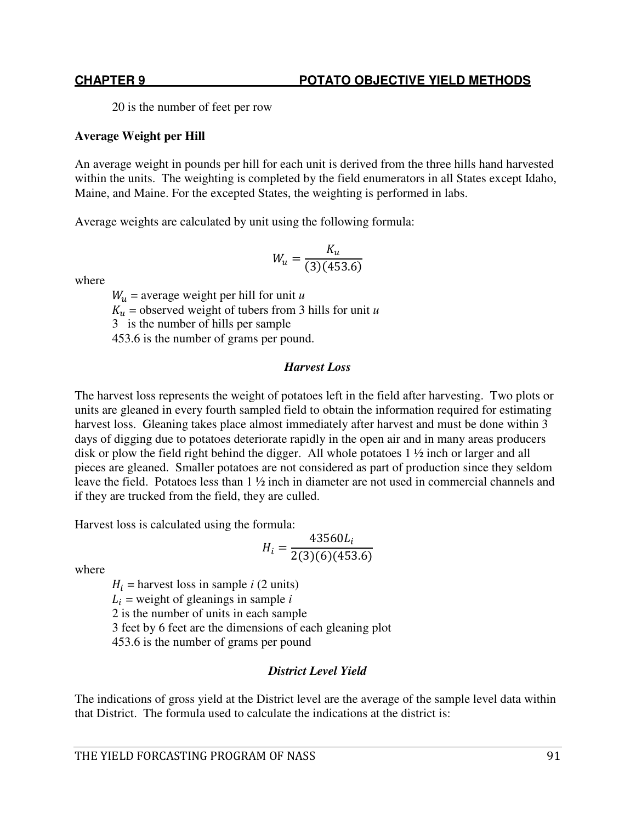20 is the number of feet per row

### **Average Weight per Hill**

An average weight in pounds per hill for each unit is derived from the three hills hand harvested within the units. The weighting is completed by the field enumerators in all States except Idaho, Maine, and Maine. For the excepted States, the weighting is performed in labs.

Average weights are calculated by unit using the following formula:

$$
W_u = \frac{K_u}{(3)(453.6)}
$$

where

 $W_u$  = average weight per hill for unit *u*  $K_u$  = observed weight of tubers from 3 hills for unit *u* 3 is the number of hills per sample 453.6 is the number of grams per pound.

### *Harvest Loss*

The harvest loss represents the weight of potatoes left in the field after harvesting. Two plots or units are gleaned in every fourth sampled field to obtain the information required for estimating harvest loss. Gleaning takes place almost immediately after harvest and must be done within 3 days of digging due to potatoes deteriorate rapidly in the open air and in many areas producers disk or plow the field right behind the digger. All whole potatoes 1 ½ inch or larger and all pieces are gleaned. Smaller potatoes are not considered as part of production since they seldom leave the field. Potatoes less than 1 ½ inch in diameter are not used in commercial channels and if they are trucked from the field, they are culled.

Harvest loss is calculated using the formula:

$$
H_i = \frac{43560L_i}{2(3)(6)(453.6)}
$$

where

 $H_i$  = harvest loss in sample *i* (2 units)  $L_i$  = weight of gleanings in sample *i* 2 is the number of units in each sample 3 feet by 6 feet are the dimensions of each gleaning plot 453.6 is the number of grams per pound

# *District Level Yield*

The indications of gross yield at the District level are the average of the sample level data within that District. The formula used to calculate the indications at the district is: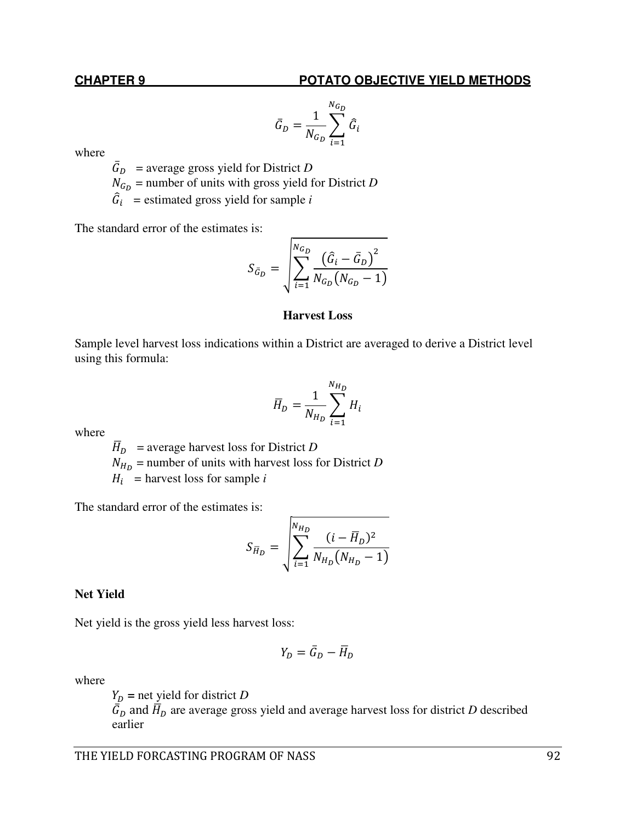### **CHAPTER 9 POTATO OBJECTIVE YIELD METHODS**

$$
\bar{G}_D = \frac{1}{N_{G_D}} \sum_{i=1}^{N_{G_D}} \hat{G}_i
$$

where

 $\bar{G}_D$  = average gross yield for District *D*  $N_{G_D}$  = number of units with gross yield for District *D*  $\hat{G}_i$  = estimated gross yield for sample *i* 

The standard error of the estimates is:

$$
S_{\bar{G}_D} = \sqrt{\sum_{i=1}^{N_{G_D}} \frac{(\hat{G}_i - \bar{G}_D)^2}{N_{G_D}(N_{G_D} - 1)}}
$$

#### **Harvest Loss**

Sample level harvest loss indications within a District are averaged to derive a District level using this formula:

$$
\overline{H}_D = \frac{1}{N_{H_D}} \sum_{i=1}^{N_{H_D}} H_i
$$

where

 $\overline{H}_D$  = average harvest loss for District *D* 

 $N_{H_D}$  = number of units with harvest loss for District *D* 

 $H_i$  = harvest loss for sample *i* 

The standard error of the estimates is:

$$
S_{\overline{H}_D} = \sqrt{\sum_{i=1}^{N_{H_D}} \frac{(i - \overline{H}_D)^2}{N_{H_D}(N_{H_D} - 1)}}
$$

#### **Net Yield**

Net yield is the gross yield less harvest loss:

$$
Y_D = \bar{G}_D - \bar{H}_D
$$

where

 $Y_D$  = net yield for district *D*  $\bar{G}_D$  and  $\bar{H}_D$  are average gross yield and average harvest loss for district *D* described earlier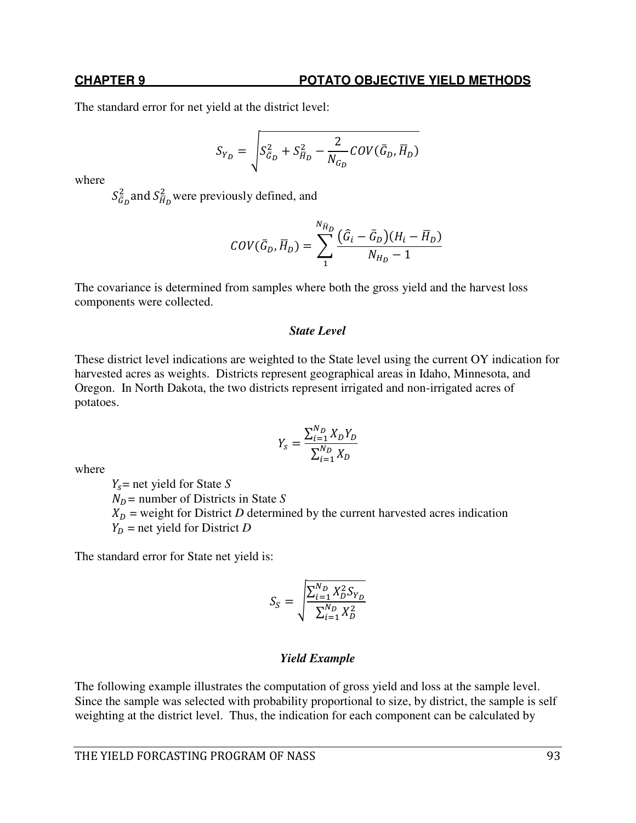#### **CHAPTER 9 POTATO OBJECTIVE YIELD METHODS**

The standard error for net yield at the district level:

$$
S_{Y_D} = \sqrt{S_{\bar{G}_D}^2 + S_{\bar{H}_D}^2 - \frac{2}{N_{G_D}} COV(\bar{G}_D, \bar{H}_D)}
$$

where

 $S_{\bar{G}_D}^2$  and  $S_{\bar{H}_D}^2$  were previously defined, and

$$
COV(\overline{G}_D, \overline{H}_D) = \sum_{1}^{N_{\overline{H}_D}} \frac{(\widehat{G}_i - \overline{G}_D)(H_i - \overline{H}_D)}{N_{H_D} - 1}
$$

The covariance is determined from samples where both the gross yield and the harvest loss components were collected.

#### *State Level*

These district level indications are weighted to the State level using the current OY indication for harvested acres as weights. Districts represent geographical areas in Idaho, Minnesota, and Oregon. In North Dakota, the two districts represent irrigated and non-irrigated acres of potatoes.

$$
Y_{S} = \frac{\sum_{i=1}^{N_{D}} X_{D} Y_{D}}{\sum_{i=1}^{N_{D}} X_{D}}
$$

where

 $Y_s$  = net yield for State *S*  $N_D$  = number of Districts in State *S*  $X_D$  = weight for District *D* determined by the current harvested acres indication  $Y_D$  = net yield for District *D* 

The standard error for State net yield is:

$$
S_S = \sqrt{\frac{\sum_{i=1}^{N_D} X_D^2 S_{Y_D}}{\sum_{i=1}^{N_D} X_D^2}}
$$

#### *Yield Example*

The following example illustrates the computation of gross yield and loss at the sample level. Since the sample was selected with probability proportional to size, by district, the sample is self weighting at the district level. Thus, the indication for each component can be calculated by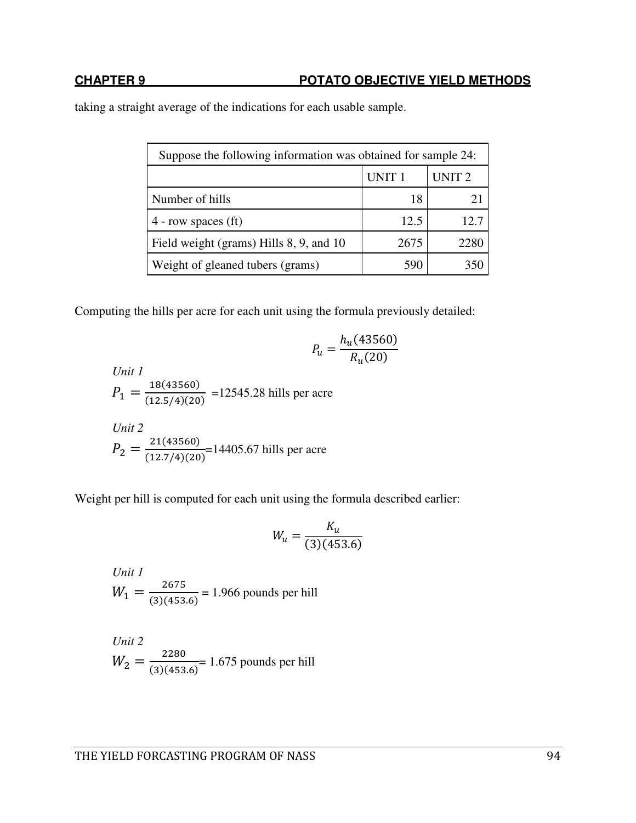taking a straight average of the indications for each usable sample.

| Suppose the following information was obtained for sample 24: |                   |                   |  |
|---------------------------------------------------------------|-------------------|-------------------|--|
|                                                               | UNIT <sub>1</sub> | UNIT <sub>2</sub> |  |
| Number of hills                                               | 18                |                   |  |
| $4$ - row spaces (ft)                                         | 12.5              | 12.1              |  |
| Field weight (grams) Hills 8, 9, and 10                       | 2675              | 2280              |  |
| Weight of gleaned tubers (grams)                              | 590               |                   |  |

Computing the hills per acre for each unit using the formula previously detailed:

$$
P_u = \frac{h_u(43560)}{R_u(20)}
$$

Unit 1  
\n
$$
P_1 = \frac{18(43560)}{(12.5/4)(20)} = 12545.28 \text{ hills per acre}
$$
\nUnit 2  
\n
$$
P_2 = \frac{21(43560)}{(12.7/4)(20)} = 14405.67 \text{ bills per acre}
$$

Weight per hill is computed for each unit using the formula described earlier:

$$
W_u = \frac{K_u}{(3)(453.6)}
$$

*Unit 1*  $W_1 = \frac{2675}{(3)(453)}$  $(3)(453.6)$ = 1.966 pounds per hill

Unit 2  

$$
W_2 = \frac{2280}{(3)(453.6)} = 1.675
$$
 pounds per hill

THE YIELD FORCASTING PROGRAM OF NASS 94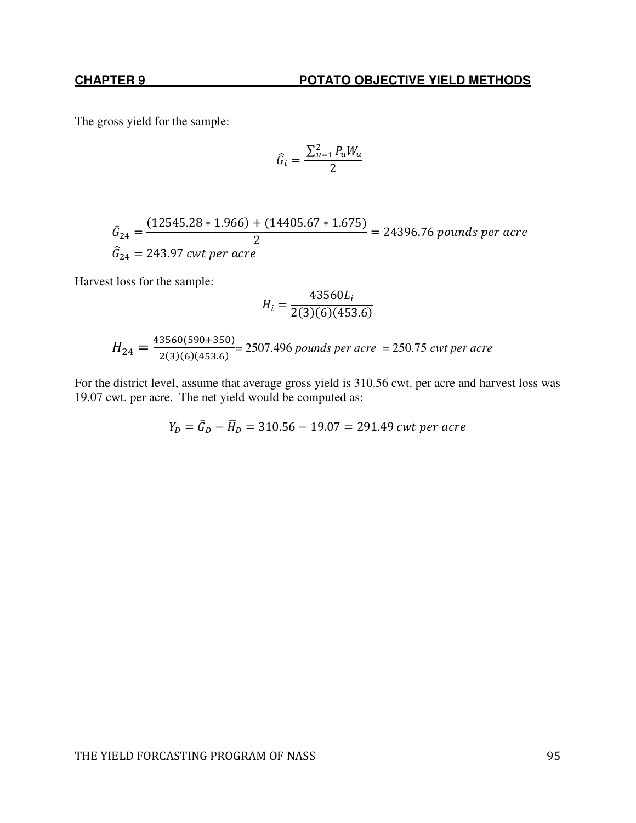The gross yield for the sample:

$$
\hat{G}_i = \frac{\sum_{u=1}^{2} P_u W_u}{2}
$$

$$
\hat{G}_{24} = \frac{(12545.28 * 1.966) + (14405.67 * 1.675)}{2} = 24396.76 \text{ pounds per acre}
$$
\n
$$
\hat{G}_{24} = 243.97 \text{ cwt per acre}
$$

Harvest loss for the sample:

$$
H_i = \frac{43560L_i}{2(3)(6)(453.6)}
$$

$$
H_{24} = \frac{43560(590+350)}{2(3)(6)(453.6)} = 2507.496
$$
 pounds per acre = 250.75 *cut per acre*

For the district level, assume that average gross yield is 310.56 cwt. per acre and harvest loss was 19.07 cwt. per acre. The net yield would be computed as:

$$
Y_D = \bar{G}_D - \bar{H}_D = 310.56 - 19.07 = 291.49 \text{ cwt per acre}
$$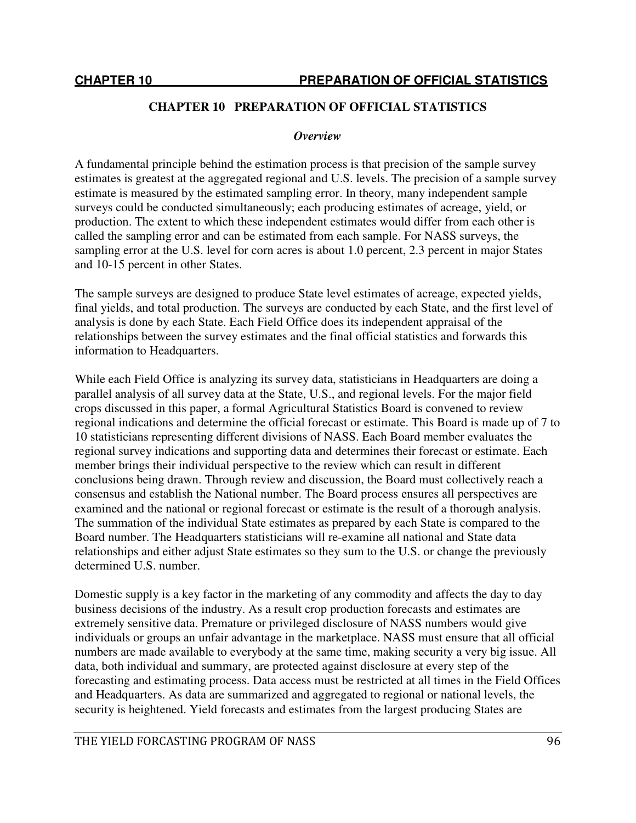# **CHAPTER 10 PREPARATION OF OFFICIAL STATISTICS**

#### *Overview*

A fundamental principle behind the estimation process is that precision of the sample survey estimates is greatest at the aggregated regional and U.S. levels. The precision of a sample survey estimate is measured by the estimated sampling error. In theory, many independent sample surveys could be conducted simultaneously; each producing estimates of acreage, yield, or production. The extent to which these independent estimates would differ from each other is called the sampling error and can be estimated from each sample. For NASS surveys, the sampling error at the U.S. level for corn acres is about 1.0 percent, 2.3 percent in major States and 10-15 percent in other States.

The sample surveys are designed to produce State level estimates of acreage, expected yields, final yields, and total production. The surveys are conducted by each State, and the first level of analysis is done by each State. Each Field Office does its independent appraisal of the relationships between the survey estimates and the final official statistics and forwards this information to Headquarters.

While each Field Office is analyzing its survey data, statisticians in Headquarters are doing a parallel analysis of all survey data at the State, U.S., and regional levels. For the major field crops discussed in this paper, a formal Agricultural Statistics Board is convened to review regional indications and determine the official forecast or estimate. This Board is made up of 7 to 10 statisticians representing different divisions of NASS. Each Board member evaluates the regional survey indications and supporting data and determines their forecast or estimate. Each member brings their individual perspective to the review which can result in different conclusions being drawn. Through review and discussion, the Board must collectively reach a consensus and establish the National number. The Board process ensures all perspectives are examined and the national or regional forecast or estimate is the result of a thorough analysis. The summation of the individual State estimates as prepared by each State is compared to the Board number. The Headquarters statisticians will re-examine all national and State data relationships and either adjust State estimates so they sum to the U.S. or change the previously determined U.S. number.

Domestic supply is a key factor in the marketing of any commodity and affects the day to day business decisions of the industry. As a result crop production forecasts and estimates are extremely sensitive data. Premature or privileged disclosure of NASS numbers would give individuals or groups an unfair advantage in the marketplace. NASS must ensure that all official numbers are made available to everybody at the same time, making security a very big issue. All data, both individual and summary, are protected against disclosure at every step of the forecasting and estimating process. Data access must be restricted at all times in the Field Offices and Headquarters. As data are summarized and aggregated to regional or national levels, the security is heightened. Yield forecasts and estimates from the largest producing States are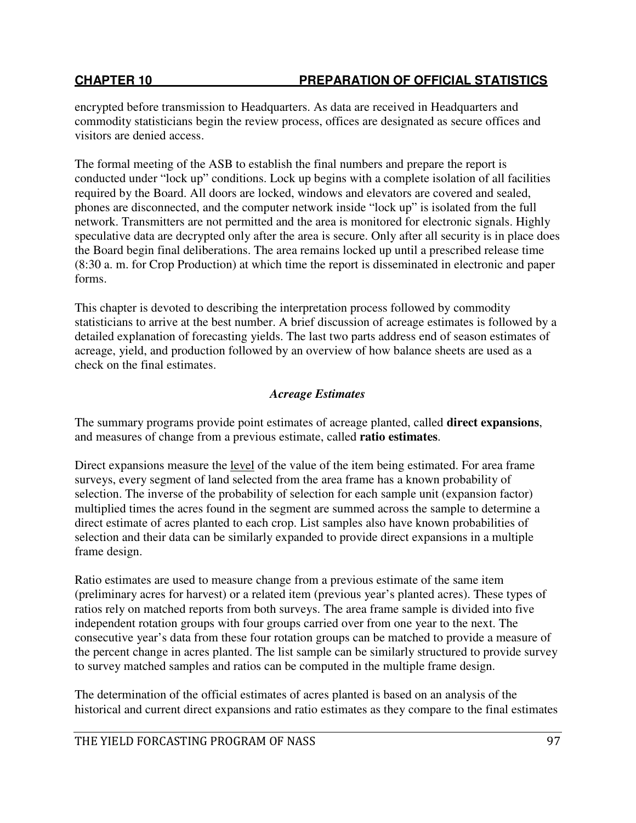# **CHAPTER 10 PREPARATION OF OFFICIAL STATISTICS**

encrypted before transmission to Headquarters. As data are received in Headquarters and commodity statisticians begin the review process, offices are designated as secure offices and visitors are denied access.

The formal meeting of the ASB to establish the final numbers and prepare the report is conducted under "lock up" conditions. Lock up begins with a complete isolation of all facilities required by the Board. All doors are locked, windows and elevators are covered and sealed, phones are disconnected, and the computer network inside "lock up" is isolated from the full network. Transmitters are not permitted and the area is monitored for electronic signals. Highly speculative data are decrypted only after the area is secure. Only after all security is in place does the Board begin final deliberations. The area remains locked up until a prescribed release time (8:30 a. m. for Crop Production) at which time the report is disseminated in electronic and paper forms.

This chapter is devoted to describing the interpretation process followed by commodity statisticians to arrive at the best number. A brief discussion of acreage estimates is followed by a detailed explanation of forecasting yields. The last two parts address end of season estimates of acreage, yield, and production followed by an overview of how balance sheets are used as a check on the final estimates.

# *Acreage Estimates*

The summary programs provide point estimates of acreage planted, called **direct expansions**, and measures of change from a previous estimate, called **ratio estimates**.

Direct expansions measure the level of the value of the item being estimated. For area frame surveys, every segment of land selected from the area frame has a known probability of selection. The inverse of the probability of selection for each sample unit (expansion factor) multiplied times the acres found in the segment are summed across the sample to determine a direct estimate of acres planted to each crop. List samples also have known probabilities of selection and their data can be similarly expanded to provide direct expansions in a multiple frame design.

Ratio estimates are used to measure change from a previous estimate of the same item (preliminary acres for harvest) or a related item (previous year's planted acres). These types of ratios rely on matched reports from both surveys. The area frame sample is divided into five independent rotation groups with four groups carried over from one year to the next. The consecutive year's data from these four rotation groups can be matched to provide a measure of the percent change in acres planted. The list sample can be similarly structured to provide survey to survey matched samples and ratios can be computed in the multiple frame design.

The determination of the official estimates of acres planted is based on an analysis of the historical and current direct expansions and ratio estimates as they compare to the final estimates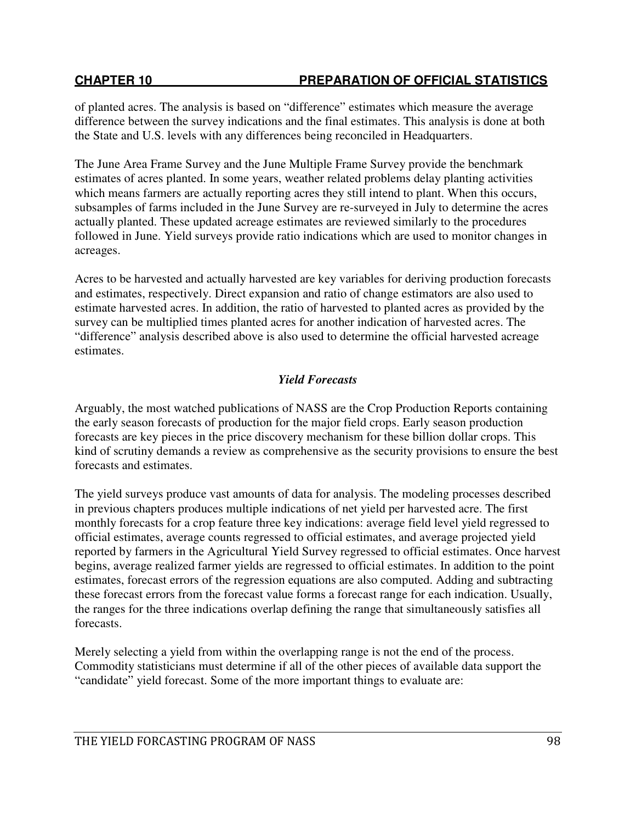of planted acres. The analysis is based on "difference" estimates which measure the average difference between the survey indications and the final estimates. This analysis is done at both the State and U.S. levels with any differences being reconciled in Headquarters.

The June Area Frame Survey and the June Multiple Frame Survey provide the benchmark estimates of acres planted. In some years, weather related problems delay planting activities which means farmers are actually reporting acres they still intend to plant. When this occurs, subsamples of farms included in the June Survey are re-surveyed in July to determine the acres actually planted. These updated acreage estimates are reviewed similarly to the procedures followed in June. Yield surveys provide ratio indications which are used to monitor changes in acreages.

Acres to be harvested and actually harvested are key variables for deriving production forecasts and estimates, respectively. Direct expansion and ratio of change estimators are also used to estimate harvested acres. In addition, the ratio of harvested to planted acres as provided by the survey can be multiplied times planted acres for another indication of harvested acres. The "difference" analysis described above is also used to determine the official harvested acreage estimates.

# *Yield Forecasts*

Arguably, the most watched publications of NASS are the Crop Production Reports containing the early season forecasts of production for the major field crops. Early season production forecasts are key pieces in the price discovery mechanism for these billion dollar crops. This kind of scrutiny demands a review as comprehensive as the security provisions to ensure the best forecasts and estimates.

The yield surveys produce vast amounts of data for analysis. The modeling processes described in previous chapters produces multiple indications of net yield per harvested acre. The first monthly forecasts for a crop feature three key indications: average field level yield regressed to official estimates, average counts regressed to official estimates, and average projected yield reported by farmers in the Agricultural Yield Survey regressed to official estimates. Once harvest begins, average realized farmer yields are regressed to official estimates. In addition to the point estimates, forecast errors of the regression equations are also computed. Adding and subtracting these forecast errors from the forecast value forms a forecast range for each indication. Usually, the ranges for the three indications overlap defining the range that simultaneously satisfies all forecasts.

Merely selecting a yield from within the overlapping range is not the end of the process. Commodity statisticians must determine if all of the other pieces of available data support the "candidate" yield forecast. Some of the more important things to evaluate are: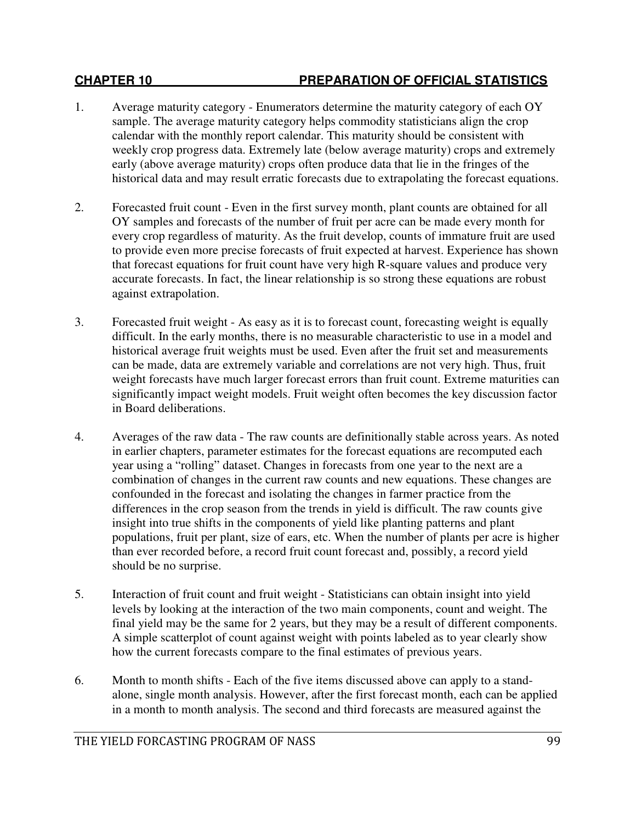- 1. Average maturity category Enumerators determine the maturity category of each OY sample. The average maturity category helps commodity statisticians align the crop calendar with the monthly report calendar. This maturity should be consistent with weekly crop progress data. Extremely late (below average maturity) crops and extremely early (above average maturity) crops often produce data that lie in the fringes of the historical data and may result erratic forecasts due to extrapolating the forecast equations.
- 2. Forecasted fruit count Even in the first survey month, plant counts are obtained for all OY samples and forecasts of the number of fruit per acre can be made every month for every crop regardless of maturity. As the fruit develop, counts of immature fruit are used to provide even more precise forecasts of fruit expected at harvest. Experience has shown that forecast equations for fruit count have very high R-square values and produce very accurate forecasts. In fact, the linear relationship is so strong these equations are robust against extrapolation.
- 3. Forecasted fruit weight As easy as it is to forecast count, forecasting weight is equally difficult. In the early months, there is no measurable characteristic to use in a model and historical average fruit weights must be used. Even after the fruit set and measurements can be made, data are extremely variable and correlations are not very high. Thus, fruit weight forecasts have much larger forecast errors than fruit count. Extreme maturities can significantly impact weight models. Fruit weight often becomes the key discussion factor in Board deliberations.
- 4. Averages of the raw data The raw counts are definitionally stable across years. As noted in earlier chapters, parameter estimates for the forecast equations are recomputed each year using a "rolling" dataset. Changes in forecasts from one year to the next are a combination of changes in the current raw counts and new equations. These changes are confounded in the forecast and isolating the changes in farmer practice from the differences in the crop season from the trends in yield is difficult. The raw counts give insight into true shifts in the components of yield like planting patterns and plant populations, fruit per plant, size of ears, etc. When the number of plants per acre is higher than ever recorded before, a record fruit count forecast and, possibly, a record yield should be no surprise.
- 5. Interaction of fruit count and fruit weight Statisticians can obtain insight into yield levels by looking at the interaction of the two main components, count and weight. The final yield may be the same for 2 years, but they may be a result of different components. A simple scatterplot of count against weight with points labeled as to year clearly show how the current forecasts compare to the final estimates of previous years.
- 6. Month to month shifts Each of the five items discussed above can apply to a standalone, single month analysis. However, after the first forecast month, each can be applied in a month to month analysis. The second and third forecasts are measured against the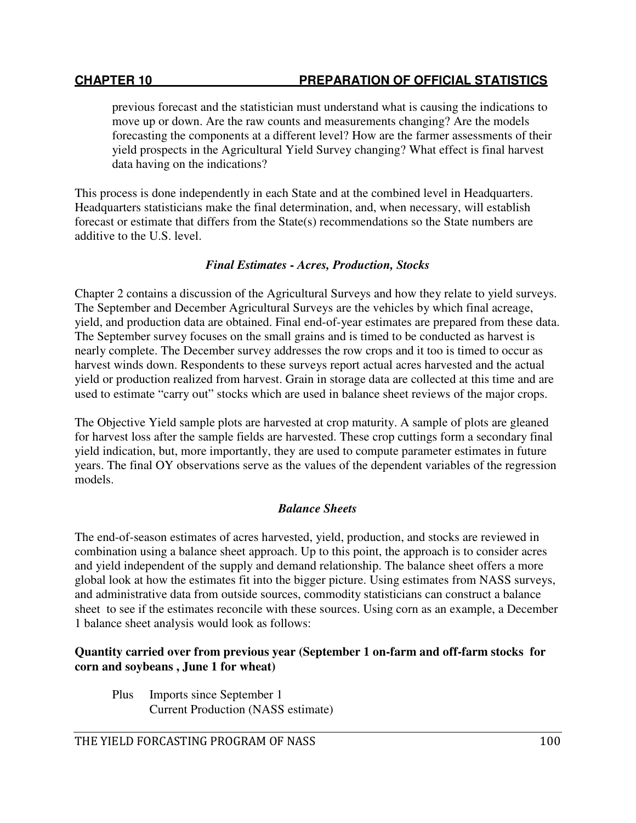# **CHAPTER 10 PREPARATION OF OFFICIAL STATISTICS**

previous forecast and the statistician must understand what is causing the indications to move up or down. Are the raw counts and measurements changing? Are the models forecasting the components at a different level? How are the farmer assessments of their yield prospects in the Agricultural Yield Survey changing? What effect is final harvest data having on the indications?

This process is done independently in each State and at the combined level in Headquarters. Headquarters statisticians make the final determination, and, when necessary, will establish forecast or estimate that differs from the State(s) recommendations so the State numbers are additive to the U.S. level.

#### *Final Estimates - Acres, Production, Stocks*

Chapter 2 contains a discussion of the Agricultural Surveys and how they relate to yield surveys. The September and December Agricultural Surveys are the vehicles by which final acreage, yield, and production data are obtained. Final end-of-year estimates are prepared from these data. The September survey focuses on the small grains and is timed to be conducted as harvest is nearly complete. The December survey addresses the row crops and it too is timed to occur as harvest winds down. Respondents to these surveys report actual acres harvested and the actual yield or production realized from harvest. Grain in storage data are collected at this time and are used to estimate "carry out" stocks which are used in balance sheet reviews of the major crops.

The Objective Yield sample plots are harvested at crop maturity. A sample of plots are gleaned for harvest loss after the sample fields are harvested. These crop cuttings form a secondary final yield indication, but, more importantly, they are used to compute parameter estimates in future years. The final OY observations serve as the values of the dependent variables of the regression models.

# *Balance Sheets*

The end-of-season estimates of acres harvested, yield, production, and stocks are reviewed in combination using a balance sheet approach. Up to this point, the approach is to consider acres and yield independent of the supply and demand relationship. The balance sheet offers a more global look at how the estimates fit into the bigger picture. Using estimates from NASS surveys, and administrative data from outside sources, commodity statisticians can construct a balance sheet to see if the estimates reconcile with these sources. Using corn as an example, a December 1 balance sheet analysis would look as follows:

### **Quantity carried over from previous year (September 1 on-farm and off-farm stocks for corn and soybeans , June 1 for wheat)**

Plus Imports since September 1 Current Production (NASS estimate)